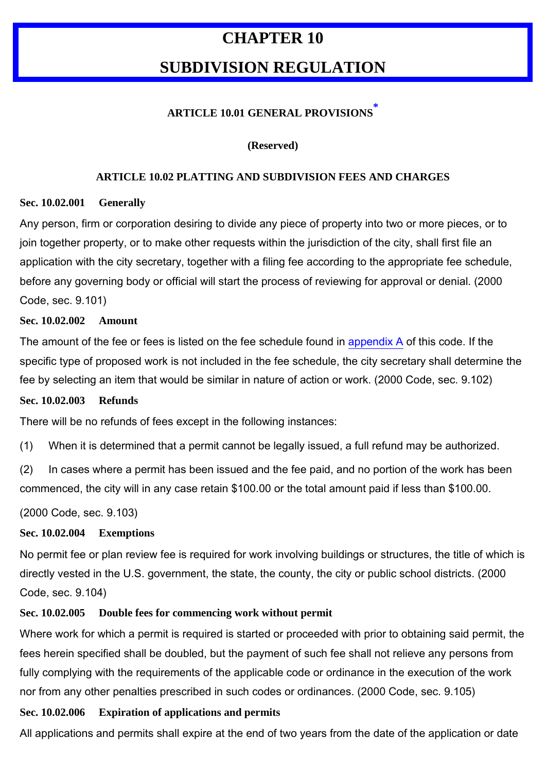# **CHAPTER 10**

# **SUBDIVISION REGULATION**

# **ARTICLE 10.01 GENERAL PROVISIONS \***

#### **(Reserved)**

#### **ARTICLE 10.02 PLATTING AND SUBDIVISION FEES AND CHARGES**

#### **Sec. 10.02.001 Generally**

Any person, firm or corporation desiring to divide any piece of property into two or more pieces, or to join together property, or to make other requests within the jurisdiction of the city, shall first file an application with the city secretary, together with a filing fee according to the appropriate fee schedule, before any governing body or official will start the process of reviewing for approval or denial. (2000 Code, sec. 9.101)

#### **Sec. 10.02.002 Amount**

The amount of the fee or fees is listed on the fee schedule found in appendix A of this code. If the specific type of proposed work is not included in the fee schedule, the city secretary shall determine the fee by selecting an item that would be similar in nature of action or work. (2000 Code, sec. 9.102)

#### **Sec. 10.02.003 Refunds**

There will be no refunds of fees except in the following instances:

(1) When it is determined that a permit cannot be legally issued, a full refund may be authorized.

(2) In cases where a permit has been issued and the fee paid, and no portion of the work has been commenced, the city will in any case retain \$100.00 or the total amount paid if less than \$100.00.

(2000 Code, sec. 9.103)

## **Sec. 10.02.004 Exemptions**

No permit fee or plan review fee is required for work involving buildings or structures, the title of which is directly vested in the U.S. government, the state, the county, the city or public school districts. (2000 Code, sec. 9.104)

# **Sec. 10.02.005 Double fees for commencing work without permit**

Where work for which a permit is required is started or proceeded with prior to obtaining said permit, the fees herein specified shall be doubled, but the payment of such fee shall not relieve any persons from fully complying with the requirements of the applicable code or ordinance in the execution of the work nor from any other penalties prescribed in such codes or ordinances. (2000 Code, sec. 9.105)

## **Sec. 10.02.006 Expiration of applications and permits**

All applications and permits shall expire at the end of two years from the date of the application or date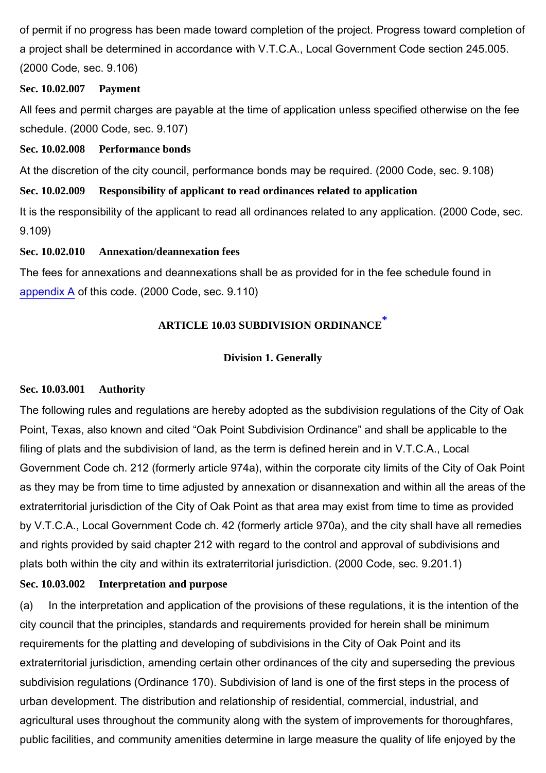of permit if no progress has been made toward completion of the project. Progress toward completion of a project shall be determined in accordance with V.T.C.A., Local Government Code section 245.005. (2000 Code, sec. 9.106)

#### **Sec. 10.02.007 Payment**

All fees and permit charges are payable at the time of application unless specified otherwise on the fee schedule. (2000 Code, sec. 9.107)

#### **Sec. 10.02.008 Performance bonds**

At the discretion of the city council, performance bonds may be required. (2000 Code, sec. 9.108)

## **Sec. 10.02.009 Responsibility of applicant to read ordinances related to application**

It is the responsibility of the applicant to read all ordinances related to any application. (2000 Code, sec. 9.109)

#### **Sec. 10.02.010 Annexation/deannexation fees**

The fees for annexations and deannexations shall be as provided for in the fee schedule found in appendix A of this code. (2000 Code, sec. 9.110)

# **ARTICLE 10.03 SUBDIVISION ORDINANCE \***

## **Division 1. Generally**

#### **Sec. 10.03.001 Authority**

The following rules and regulations are hereby adopted as the subdivision regulations of the City of Oak Point, Texas, also known and cited "Oak Point Subdivision Ordinance" and shall be applicable to the filing of plats and the subdivision of land, as the term is defined herein and in V.T.C.A., Local Government Code ch. 212 (formerly article 974a), within the corporate city limits of the City of Oak Point as they may be from time to time adjusted by annexation or disannexation and within all the areas of the extraterritorial jurisdiction of the City of Oak Point as that area may exist from time to time as provided by V.T.C.A., Local Government Code ch. 42 (formerly article 970a), and the city shall have all remedies and rights provided by said chapter 212 with regard to the control and approval of subdivisions and plats both within the city and within its extraterritorial jurisdiction. (2000 Code, sec. 9.201.1)

## **Sec. 10.03.002 Interpretation and purpose**

(a) In the interpretation and application of the provisions of these regulations, it is the intention of the city council that the principles, standards and requirements provided for herein shall be minimum requirements for the platting and developing of subdivisions in the City of Oak Point and its extraterritorial jurisdiction, amending certain other ordinances of the city and superseding the previous subdivision regulations (Ordinance 170). Subdivision of land is one of the first steps in the process of urban development. The distribution and relationship of residential, commercial, industrial, and agricultural uses throughout the community along with the system of improvements for thoroughfares, public facilities, and community amenities determine in large measure the quality of life enjoyed by the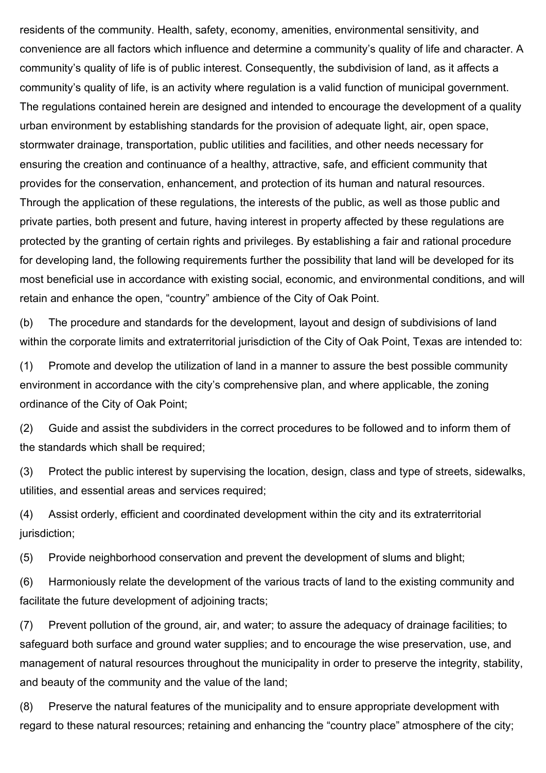residents of the community. Health, safety, economy, amenities, environmental sensitivity, and convenience are all factors which influence and determine a community's quality of life and character. A community's quality of life is of public interest. Consequently, the subdivision of land, as it affects a community's quality of life, is an activity where regulation is a valid function of municipal government. The regulations contained herein are designed and intended to encourage the development of a quality urban environment by establishing standards for the provision of adequate light, air, open space, stormwater drainage, transportation, public utilities and facilities, and other needs necessary for ensuring the creation and continuance of a healthy, attractive, safe, and efficient community that provides for the conservation, enhancement, and protection of its human and natural resources. Through the application of these regulations, the interests of the public, as well as those public and private parties, both present and future, having interest in property affected by these regulations are protected by the granting of certain rights and privileges. By establishing a fair and rational procedure for developing land, the following requirements further the possibility that land will be developed for its most beneficial use in accordance with existing social, economic, and environmental conditions, and will retain and enhance the open, "country" ambience of the City of Oak Point.

(b) The procedure and standards for the development, layout and design of subdivisions of land within the corporate limits and extraterritorial jurisdiction of the City of Oak Point, Texas are intended to:

(1) Promote and develop the utilization of land in a manner to assure the best possible community environment in accordance with the city's comprehensive plan, and where applicable, the zoning ordinance of the City of Oak Point;

(2) Guide and assist the subdividers in the correct procedures to be followed and to inform them of the standards which shall be required;

(3) Protect the public interest by supervising the location, design, class and type of streets, sidewalks, utilities, and essential areas and services required;

(4) Assist orderly, efficient and coordinated development within the city and its extraterritorial jurisdiction;

(5) Provide neighborhood conservation and prevent the development of slums and blight;

(6) Harmoniously relate the development of the various tracts of land to the existing community and facilitate the future development of adjoining tracts;

(7) Prevent pollution of the ground, air, and water; to assure the adequacy of drainage facilities; to safeguard both surface and ground water supplies; and to encourage the wise preservation, use, and management of natural resources throughout the municipality in order to preserve the integrity, stability, and beauty of the community and the value of the land;

(8) Preserve the natural features of the municipality and to ensure appropriate development with regard to these natural resources; retaining and enhancing the "country place" atmosphere of the city;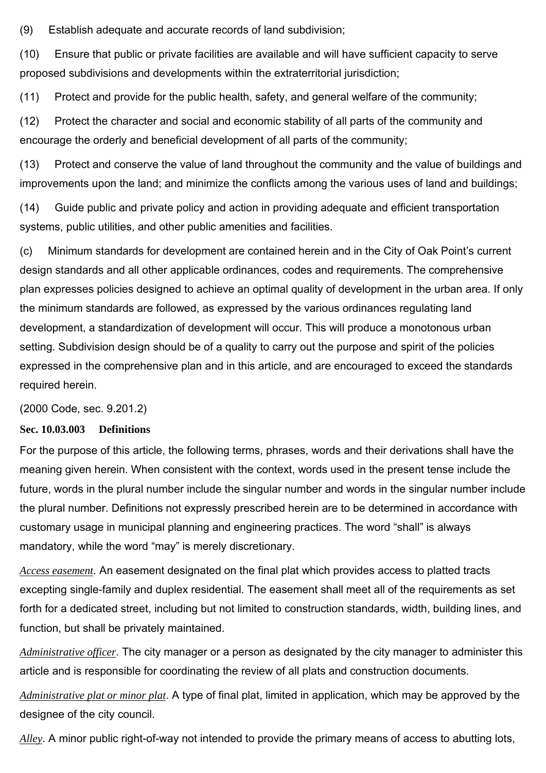(9) Establish adequate and accurate records of land subdivision;

(10) Ensure that public or private facilities are available and will have sufficient capacity to serve proposed subdivisions and developments within the extraterritorial jurisdiction;

(11) Protect and provide for the public health, safety, and general welfare of the community;

(12) Protect the character and social and economic stability of all parts of the community and encourage the orderly and beneficial development of all parts of the community;

(13) Protect and conserve the value of land throughout the community and the value of buildings and improvements upon the land; and minimize the conflicts among the various uses of land and buildings;

(14) Guide public and private policy and action in providing adequate and efficient transportation systems, public utilities, and other public amenities and facilities.

(c) Minimum standards for development are contained herein and in the City of Oak Point's current design standards and all other applicable ordinances, codes and requirements. The comprehensive plan expresses policies designed to achieve an optimal quality of development in the urban area. If only the minimum standards are followed, as expressed by the various ordinances regulating land development, a standardization of development will occur. This will produce a monotonous urban setting. Subdivision design should be of a quality to carry out the purpose and spirit of the policies expressed in the comprehensive plan and in this article, and are encouraged to exceed the standards required herein.

(2000 Code, sec. 9.201.2)

## **Sec. 10.03.003 Definitions**

For the purpose of this article, the following terms, phrases, words and their derivations shall have the meaning given herein. When consistent with the context, words used in the present tense include the future, words in the plural number include the singular number and words in the singular number include the plural number. Definitions not expressly prescribed herein are to be determined in accordance with customary usage in municipal planning and engineering practices. The word "shall" is always mandatory, while the word "may" is merely discretionary.

*Access easement*. An easement designated on the final plat which provides access to platted tracts excepting single-family and duplex residential. The easement shall meet all of the requirements as set forth for a dedicated street, including but not limited to construction standards, width, building lines, and function, but shall be privately maintained.

*Administrative officer*. The city manager or a person as designated by the city manager to administer this article and is responsible for coordinating the review of all plats and construction documents.

*Administrative plat or minor plat*. A type of final plat, limited in application, which may be approved by the designee of the city council.

*Alley*. A minor public right-of-way not intended to provide the primary means of access to abutting lots,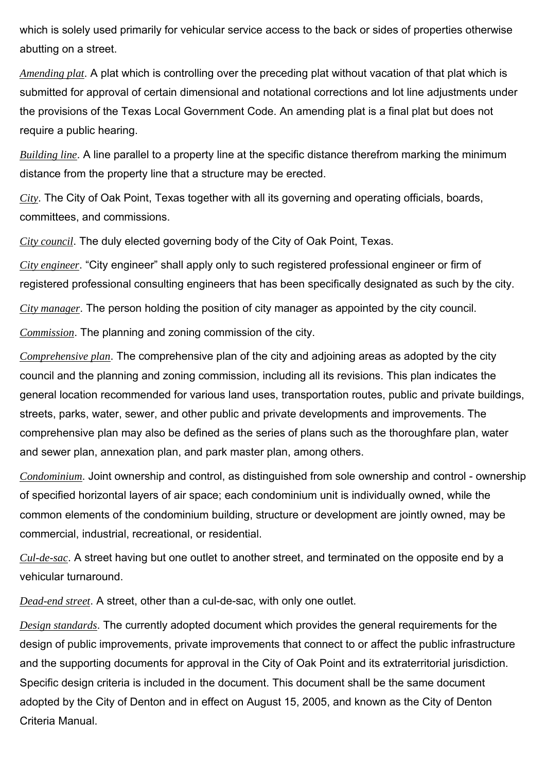which is solely used primarily for vehicular service access to the back or sides of properties otherwise abutting on a street.

*Amending plat*. A plat which is controlling over the preceding plat without vacation of that plat which is submitted for approval of certain dimensional and notational corrections and lot line adjustments under the provisions of the Texas Local Government Code. An amending plat is a final plat but does not require a public hearing.

*Building line*. A line parallel to a property line at the specific distance therefrom marking the minimum distance from the property line that a structure may be erected.

*City*. The City of Oak Point, Texas together with all its governing and operating officials, boards, committees, and commissions.

*City council*. The duly elected governing body of the City of Oak Point, Texas.

*City engineer*. "City engineer" shall apply only to such registered professional engineer or firm of registered professional consulting engineers that has been specifically designated as such by the city.

*City manager*. The person holding the position of city manager as appointed by the city council.

*Commission*. The planning and zoning commission of the city.

*Comprehensive plan*. The comprehensive plan of the city and adjoining areas as adopted by the city council and the planning and zoning commission, including all its revisions. This plan indicates the general location recommended for various land uses, transportation routes, public and private buildings, streets, parks, water, sewer, and other public and private developments and improvements. The comprehensive plan may also be defined as the series of plans such as the thoroughfare plan, water and sewer plan, annexation plan, and park master plan, among others.

*Condominium*. Joint ownership and control, as distinguished from sole ownership and control - ownership of specified horizontal layers of air space; each condominium unit is individually owned, while the common elements of the condominium building, structure or development are jointly owned, may be commercial, industrial, recreational, or residential.

*Cul-de-sac*. A street having but one outlet to another street, and terminated on the opposite end by a vehicular turnaround.

*Dead-end street*. A street, other than a cul-de-sac, with only one outlet.

*Design standards*. The currently adopted document which provides the general requirements for the design of public improvements, private improvements that connect to or affect the public infrastructure and the supporting documents for approval in the City of Oak Point and its extraterritorial jurisdiction. Specific design criteria is included in the document. This document shall be the same document adopted by the City of Denton and in effect on August 15, 2005, and known as the City of Denton Criteria Manual.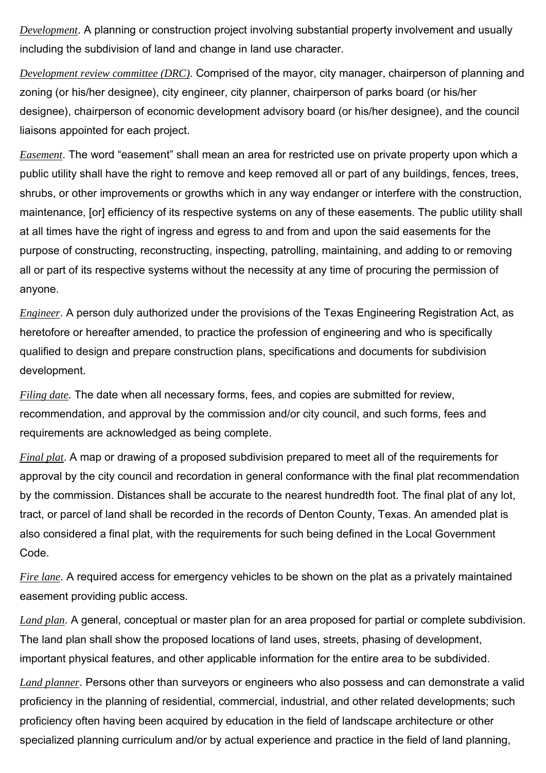*Development*. A planning or construction project involving substantial property involvement and usually including the subdivision of land and change in land use character.

*Development review committee (DRC)*. Comprised of the mayor, city manager, chairperson of planning and zoning (or his/her designee), city engineer, city planner, chairperson of parks board (or his/her designee), chairperson of economic development advisory board (or his/her designee), and the council liaisons appointed for each project.

*Easement*. The word "easement" shall mean an area for restricted use on private property upon which a public utility shall have the right to remove and keep removed all or part of any buildings, fences, trees, shrubs, or other improvements or growths which in any way endanger or interfere with the construction, maintenance, [or] efficiency of its respective systems on any of these easements. The public utility shall at all times have the right of ingress and egress to and from and upon the said easements for the purpose of constructing, reconstructing, inspecting, patrolling, maintaining, and adding to or removing all or part of its respective systems without the necessity at any time of procuring the permission of anyone.

*Engineer*. A person duly authorized under the provisions of the Texas Engineering Registration Act, as heretofore or hereafter amended, to practice the profession of engineering and who is specifically qualified to design and prepare construction plans, specifications and documents for subdivision development.

*Filing date*. The date when all necessary forms, fees, and copies are submitted for review, recommendation, and approval by the commission and/or city council, and such forms, fees and requirements are acknowledged as being complete.

*Final plat*. A map or drawing of a proposed subdivision prepared to meet all of the requirements for approval by the city council and recordation in general conformance with the final plat recommendation by the commission. Distances shall be accurate to the nearest hundredth foot. The final plat of any lot, tract, or parcel of land shall be recorded in the records of Denton County, Texas. An amended plat is also considered a final plat, with the requirements for such being defined in the Local Government Code.

*Fire lane*. A required access for emergency vehicles to be shown on the plat as a privately maintained easement providing public access.

*Land plan*. A general, conceptual or master plan for an area proposed for partial or complete subdivision. The land plan shall show the proposed locations of land uses, streets, phasing of development, important physical features, and other applicable information for the entire area to be subdivided.

*Land planner*. Persons other than surveyors or engineers who also possess and can demonstrate a valid proficiency in the planning of residential, commercial, industrial, and other related developments; such proficiency often having been acquired by education in the field of landscape architecture or other specialized planning curriculum and/or by actual experience and practice in the field of land planning,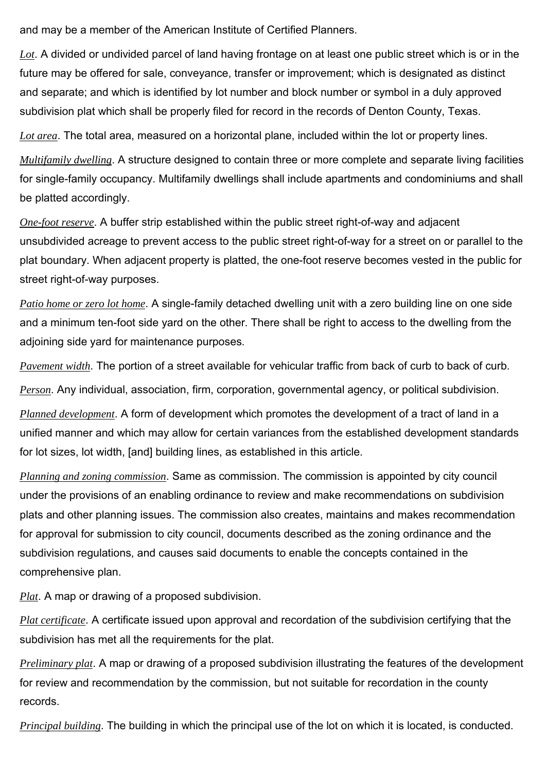and may be a member of the American Institute of Certified Planners.

*Lot*. A divided or undivided parcel of land having frontage on at least one public street which is or in the future may be offered for sale, conveyance, transfer or improvement; which is designated as distinct and separate; and which is identified by lot number and block number or symbol in a duly approved subdivision plat which shall be properly filed for record in the records of Denton County, Texas.

*Lot area*. The total area, measured on a horizontal plane, included within the lot or property lines.

*Multifamily dwelling*. A structure designed to contain three or more complete and separate living facilities for single-family occupancy. Multifamily dwellings shall include apartments and condominiums and shall be platted accordingly.

*One-foot reserve*. A buffer strip established within the public street right-of-way and adjacent unsubdivided acreage to prevent access to the public street right-of-way for a street on or parallel to the plat boundary. When adjacent property is platted, the one-foot reserve becomes vested in the public for street right-of-way purposes.

*Patio home or zero lot home*. A single-family detached dwelling unit with a zero building line on one side and a minimum ten-foot side yard on the other. There shall be right to access to the dwelling from the adjoining side yard for maintenance purposes.

*Pavement width*. The portion of a street available for vehicular traffic from back of curb to back of curb.

*Person*. Any individual, association, firm, corporation, governmental agency, or political subdivision.

*Planned development*. A form of development which promotes the development of a tract of land in a unified manner and which may allow for certain variances from the established development standards for lot sizes, lot width, [and] building lines, as established in this article.

*Planning and zoning commission*. Same as commission. The commission is appointed by city council under the provisions of an enabling ordinance to review and make recommendations on subdivision plats and other planning issues. The commission also creates, maintains and makes recommendation for approval for submission to city council, documents described as the zoning ordinance and the subdivision regulations, and causes said documents to enable the concepts contained in the comprehensive plan.

*Plat*. A map or drawing of a proposed subdivision.

*Plat certificate*. A certificate issued upon approval and recordation of the subdivision certifying that the subdivision has met all the requirements for the plat.

*Preliminary plat*. A map or drawing of a proposed subdivision illustrating the features of the development for review and recommendation by the commission, but not suitable for recordation in the county records.

*Principal building*. The building in which the principal use of the lot on which it is located, is conducted.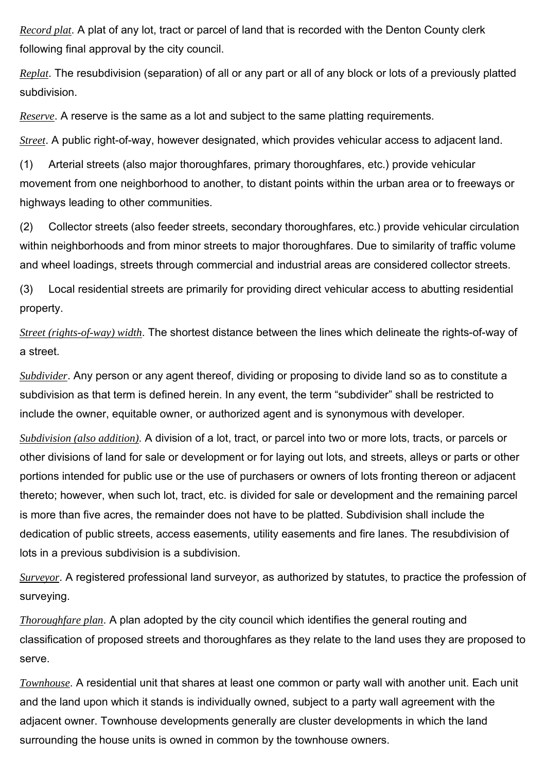*Record plat*. A plat of any lot, tract or parcel of land that is recorded with the Denton County clerk following final approval by the city council.

*Replat*. The resubdivision (separation) of all or any part or all of any block or lots of a previously platted subdivision.

*Reserve*. A reserve is the same as a lot and subject to the same platting requirements.

*Street*. A public right-of-way, however designated, which provides vehicular access to adjacent land.

(1) Arterial streets (also major thoroughfares, primary thoroughfares, etc.) provide vehicular movement from one neighborhood to another, to distant points within the urban area or to freeways or highways leading to other communities.

(2) Collector streets (also feeder streets, secondary thoroughfares, etc.) provide vehicular circulation within neighborhoods and from minor streets to major thoroughfares. Due to similarity of traffic volume and wheel loadings, streets through commercial and industrial areas are considered collector streets.

(3) Local residential streets are primarily for providing direct vehicular access to abutting residential property.

*Street (rights-of-way) width*. The shortest distance between the lines which delineate the rights-of-way of a street.

*Subdivider*. Any person or any agent thereof, dividing or proposing to divide land so as to constitute a subdivision as that term is defined herein. In any event, the term "subdivider" shall be restricted to include the owner, equitable owner, or authorized agent and is synonymous with developer.

*Subdivision (also addition)*. A division of a lot, tract, or parcel into two or more lots, tracts, or parcels or other divisions of land for sale or development or for laying out lots, and streets, alleys or parts or other portions intended for public use or the use of purchasers or owners of lots fronting thereon or adjacent thereto; however, when such lot, tract, etc. is divided for sale or development and the remaining parcel is more than five acres, the remainder does not have to be platted. Subdivision shall include the dedication of public streets, access easements, utility easements and fire lanes. The resubdivision of lots in a previous subdivision is a subdivision.

*Surveyor*. A registered professional land surveyor, as authorized by statutes, to practice the profession of surveying.

*Thoroughfare plan*. A plan adopted by the city council which identifies the general routing and classification of proposed streets and thoroughfares as they relate to the land uses they are proposed to serve.

*Townhouse*. A residential unit that shares at least one common or party wall with another unit. Each unit and the land upon which it stands is individually owned, subject to a party wall agreement with the adjacent owner. Townhouse developments generally are cluster developments in which the land surrounding the house units is owned in common by the townhouse owners.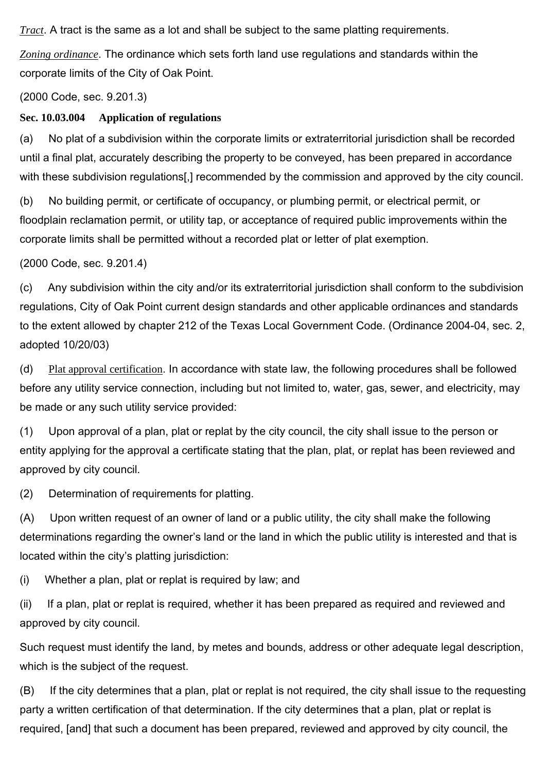*Tract*. A tract is the same as a lot and shall be subject to the same platting requirements.

*Zoning ordinance*. The ordinance which sets forth land use regulations and standards within the corporate limits of the City of Oak Point.

(2000 Code, sec. 9.201.3)

#### **Sec. 10.03.004 Application of regulations**

(a) No plat of a subdivision within the corporate limits or extraterritorial jurisdiction shall be recorded until a final plat, accurately describing the property to be conveyed, has been prepared in accordance with these subdivision regulations[,] recommended by the commission and approved by the city council.

(b) No building permit, or certificate of occupancy, or plumbing permit, or electrical permit, or floodplain reclamation permit, or utility tap, or acceptance of required public improvements within the corporate limits shall be permitted without a recorded plat or letter of plat exemption.

(2000 Code, sec. 9.201.4)

(c) Any subdivision within the city and/or its extraterritorial jurisdiction shall conform to the subdivision regulations, City of Oak Point current design standards and other applicable ordinances and standards to the extent allowed by chapter 212 of the Texas Local Government Code. (Ordinance 2004-04, sec. 2, adopted 10/20/03)

(d) Plat approval certification. In accordance with state law, the following procedures shall be followed before any utility service connection, including but not limited to, water, gas, sewer, and electricity, may be made or any such utility service provided:

(1) Upon approval of a plan, plat or replat by the city council, the city shall issue to the person or entity applying for the approval a certificate stating that the plan, plat, or replat has been reviewed and approved by city council.

(2) Determination of requirements for platting.

(A) Upon written request of an owner of land or a public utility, the city shall make the following determinations regarding the owner's land or the land in which the public utility is interested and that is located within the city's platting jurisdiction:

(i) Whether a plan, plat or replat is required by law; and

(ii) If a plan, plat or replat is required, whether it has been prepared as required and reviewed and approved by city council.

Such request must identify the land, by metes and bounds, address or other adequate legal description, which is the subject of the request.

(B) If the city determines that a plan, plat or replat is not required, the city shall issue to the requesting party a written certification of that determination. If the city determines that a plan, plat or replat is required, [and] that such a document has been prepared, reviewed and approved by city council, the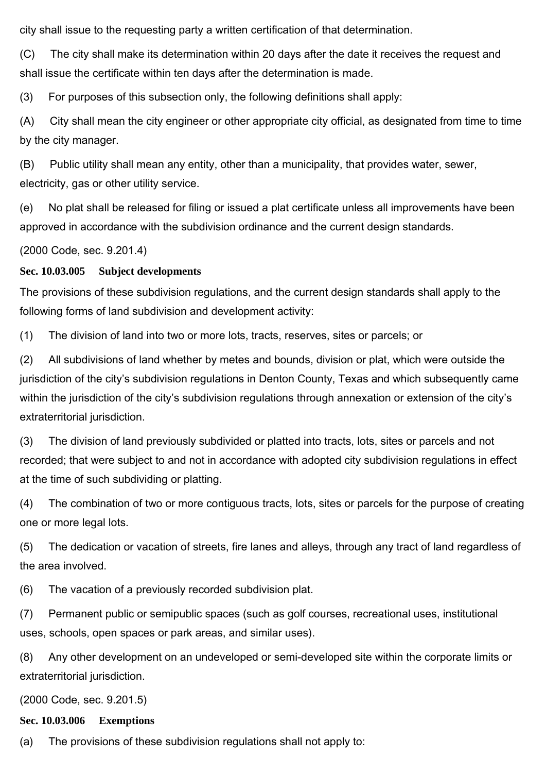city shall issue to the requesting party a written certification of that determination.

(C) The city shall make its determination within 20 days after the date it receives the request and shall issue the certificate within ten days after the determination is made.

(3) For purposes of this subsection only, the following definitions shall apply:

(A) City shall mean the city engineer or other appropriate city official, as designated from time to time by the city manager.

(B) Public utility shall mean any entity, other than a municipality, that provides water, sewer, electricity, gas or other utility service.

(e) No plat shall be released for filing or issued a plat certificate unless all improvements have been approved in accordance with the subdivision ordinance and the current design standards.

(2000 Code, sec. 9.201.4)

#### **Sec. 10.03.005 Subject developments**

The provisions of these subdivision regulations, and the current design standards shall apply to the following forms of land subdivision and development activity:

(1) The division of land into two or more lots, tracts, reserves, sites or parcels; or

(2) All subdivisions of land whether by metes and bounds, division or plat, which were outside the jurisdiction of the city's subdivision regulations in Denton County, Texas and which subsequently came within the jurisdiction of the city's subdivision regulations through annexation or extension of the city's extraterritorial jurisdiction.

(3) The division of land previously subdivided or platted into tracts, lots, sites or parcels and not recorded; that were subject to and not in accordance with adopted city subdivision regulations in effect at the time of such subdividing or platting.

(4) The combination of two or more contiguous tracts, lots, sites or parcels for the purpose of creating one or more legal lots.

(5) The dedication or vacation of streets, fire lanes and alleys, through any tract of land regardless of the area involved.

(6) The vacation of a previously recorded subdivision plat.

(7) Permanent public or semipublic spaces (such as golf courses, recreational uses, institutional uses, schools, open spaces or park areas, and similar uses).

(8) Any other development on an undeveloped or semi-developed site within the corporate limits or extraterritorial jurisdiction.

(2000 Code, sec. 9.201.5)

#### **Sec. 10.03.006 Exemptions**

(a) The provisions of these subdivision regulations shall not apply to: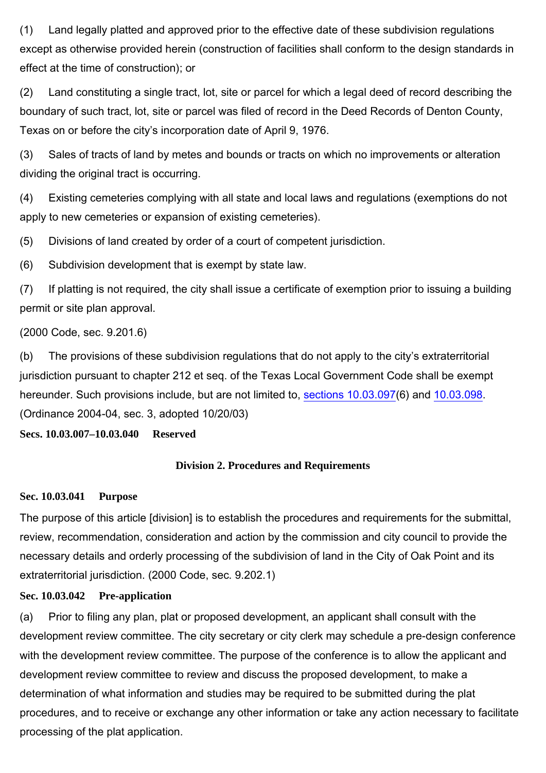(1) Land legally platted and approved prior to the effective date of these subdivision regulations except as otherwise provided herein (construction of facilities shall conform to the design standards in effect at the time of construction); or

(2) Land constituting a single tract, lot, site or parcel for which a legal deed of record describing the boundary of such tract, lot, site or parcel was filed of record in the Deed Records of Denton County, Texas on or before the city's incorporation date of April 9, 1976.

(3) Sales of tracts of land by metes and bounds or tracts on which no improvements or alteration dividing the original tract is occurring.

(4) Existing cemeteries complying with all state and local laws and regulations (exemptions do not apply to new cemeteries or expansion of existing cemeteries).

(5) Divisions of land created by order of a court of competent jurisdiction.

(6) Subdivision development that is exempt by state law.

(7) If platting is not required, the city shall issue a certificate of exemption prior to issuing a building permit or site plan approval.

(2000 Code, sec. 9.201.6)

(b) The provisions of these subdivision regulations that do not apply to the city's extraterritorial jurisdiction pursuant to chapter 212 et seq. of the Texas Local Government Code shall be exempt hereunder. Such provisions include, but are not limited to, sections 10.03.097(6) and 10.03.098. (Ordinance 2004-04, sec. 3, adopted 10/20/03)

**Secs. 10.03.007–10.03.040 Reserved**

## **Division 2. Procedures and Requirements**

#### **Sec. 10.03.041 Purpose**

The purpose of this article [division] is to establish the procedures and requirements for the submittal, review, recommendation, consideration and action by the commission and city council to provide the necessary details and orderly processing of the subdivision of land in the City of Oak Point and its extraterritorial jurisdiction. (2000 Code, sec. 9.202.1)

# **Sec. 10.03.042 Pre-application**

(a) Prior to filing any plan, plat or proposed development, an applicant shall consult with the development review committee. The city secretary or city clerk may schedule a pre-design conference with the development review committee. The purpose of the conference is to allow the applicant and development review committee to review and discuss the proposed development, to make a determination of what information and studies may be required to be submitted during the plat procedures, and to receive or exchange any other information or take any action necessary to facilitate processing of the plat application.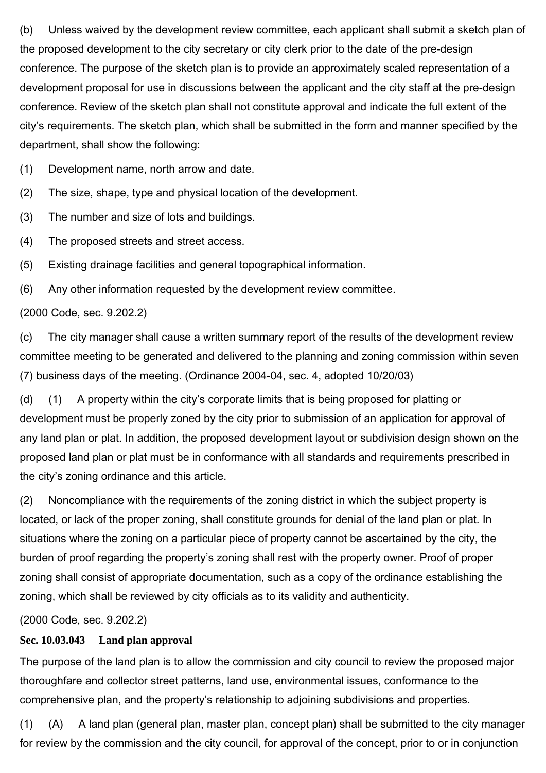(b) Unless waived by the development review committee, each applicant shall submit a sketch plan of the proposed development to the city secretary or city clerk prior to the date of the pre-design conference. The purpose of the sketch plan is to provide an approximately scaled representation of a development proposal for use in discussions between the applicant and the city staff at the pre-design conference. Review of the sketch plan shall not constitute approval and indicate the full extent of the city's requirements. The sketch plan, which shall be submitted in the form and manner specified by the department, shall show the following:

(1) Development name, north arrow and date.

(2) The size, shape, type and physical location of the development.

(3) The number and size of lots and buildings.

(4) The proposed streets and street access.

(5) Existing drainage facilities and general topographical information.

(6) Any other information requested by the development review committee.

(2000 Code, sec. 9.202.2)

(c) The city manager shall cause a written summary report of the results of the development review committee meeting to be generated and delivered to the planning and zoning commission within seven (7) business days of the meeting. (Ordinance 2004-04, sec. 4, adopted 10/20/03)

(d) (1) A property within the city's corporate limits that is being proposed for platting or development must be properly zoned by the city prior to submission of an application for approval of any land plan or plat. In addition, the proposed development layout or subdivision design shown on the proposed land plan or plat must be in conformance with all standards and requirements prescribed in the city's zoning ordinance and this article.

(2) Noncompliance with the requirements of the zoning district in which the subject property is located, or lack of the proper zoning, shall constitute grounds for denial of the land plan or plat. In situations where the zoning on a particular piece of property cannot be ascertained by the city, the burden of proof regarding the property's zoning shall rest with the property owner. Proof of proper zoning shall consist of appropriate documentation, such as a copy of the ordinance establishing the zoning, which shall be reviewed by city officials as to its validity and authenticity.

(2000 Code, sec. 9.202.2)

# **Sec. 10.03.043 Land plan approval**

The purpose of the land plan is to allow the commission and city council to review the proposed major thoroughfare and collector street patterns, land use, environmental issues, conformance to the comprehensive plan, and the property's relationship to adjoining subdivisions and properties.

(1) (A) A land plan (general plan, master plan, concept plan) shall be submitted to the city manager for review by the commission and the city council, for approval of the concept, prior to or in conjunction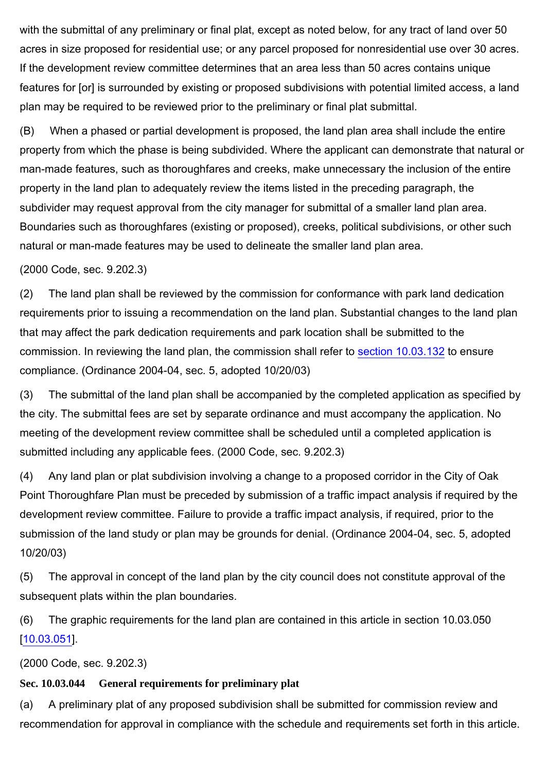with the submittal of any preliminary or final plat, except as noted below, for any tract of land over 50 acres in size proposed for residential use; or any parcel proposed for nonresidential use over 30 acres. If the development review committee determines that an area less than 50 acres contains unique features for [or] is surrounded by existing or proposed subdivisions with potential limited access, a land plan may be required to be reviewed prior to the preliminary or final plat submittal.

(B) When a phased or partial development is proposed, the land plan area shall include the entire property from which the phase is being subdivided. Where the applicant can demonstrate that natural or man-made features, such as thoroughfares and creeks, make unnecessary the inclusion of the entire property in the land plan to adequately review the items listed in the preceding paragraph, the subdivider may request approval from the city manager for submittal of a smaller land plan area. Boundaries such as thoroughfares (existing or proposed), creeks, political subdivisions, or other such natural or man-made features may be used to delineate the smaller land plan area.

(2000 Code, sec. 9.202.3)

(2) The land plan shall be reviewed by the commission for conformance with park land dedication requirements prior to issuing a recommendation on the land plan. Substantial changes to the land plan that may affect the park dedication requirements and park location shall be submitted to the commission. In reviewing the land plan, the commission shall refer to section 10.03.132 to ensure compliance. (Ordinance 2004-04, sec. 5, adopted 10/20/03)

(3) The submittal of the land plan shall be accompanied by the completed application as specified by the city. The submittal fees are set by separate ordinance and must accompany the application. No meeting of the development review committee shall be scheduled until a completed application is submitted including any applicable fees. (2000 Code, sec. 9.202.3)

(4) Any land plan or plat subdivision involving a change to a proposed corridor in the City of Oak Point Thoroughfare Plan must be preceded by submission of a traffic impact analysis if required by the development review committee. Failure to provide a traffic impact analysis, if required, prior to the submission of the land study or plan may be grounds for denial. (Ordinance 2004-04, sec. 5, adopted 10/20/03)

(5) The approval in concept of the land plan by the city council does not constitute approval of the subsequent plats within the plan boundaries.

(6) The graphic requirements for the land plan are contained in this article in section 10.03.050 [10.03.051].

(2000 Code, sec. 9.202.3)

## **Sec. 10.03.044 General requirements for preliminary plat**

(a) A preliminary plat of any proposed subdivision shall be submitted for commission review and recommendation for approval in compliance with the schedule and requirements set forth in this article.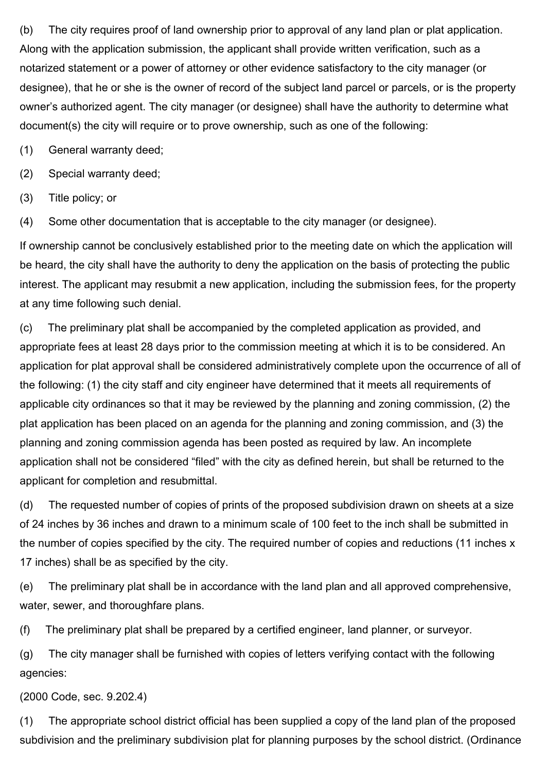(b) The city requires proof of land ownership prior to approval of any land plan or plat application. Along with the application submission, the applicant shall provide written verification, such as a notarized statement or a power of attorney or other evidence satisfactory to the city manager (or designee), that he or she is the owner of record of the subject land parcel or parcels, or is the property owner's authorized agent. The city manager (or designee) shall have the authority to determine what document(s) the city will require or to prove ownership, such as one of the following:

(1) General warranty deed;

(2) Special warranty deed;

(3) Title policy; or

(4) Some other documentation that is acceptable to the city manager (or designee).

If ownership cannot be conclusively established prior to the meeting date on which the application will be heard, the city shall have the authority to deny the application on the basis of protecting the public interest. The applicant may resubmit a new application, including the submission fees, for the property at any time following such denial.

(c) The preliminary plat shall be accompanied by the completed application as provided, and appropriate fees at least 28 days prior to the commission meeting at which it is to be considered. An application for plat approval shall be considered administratively complete upon the occurrence of all of the following: (1) the city staff and city engineer have determined that it meets all requirements of applicable city ordinances so that it may be reviewed by the planning and zoning commission, (2) the plat application has been placed on an agenda for the planning and zoning commission, and (3) the planning and zoning commission agenda has been posted as required by law. An incomplete application shall not be considered "filed" with the city as defined herein, but shall be returned to the applicant for completion and resubmittal.

(d) The requested number of copies of prints of the proposed subdivision drawn on sheets at a size of 24 inches by 36 inches and drawn to a minimum scale of 100 feet to the inch shall be submitted in the number of copies specified by the city. The required number of copies and reductions (11 inches x 17 inches) shall be as specified by the city.

(e) The preliminary plat shall be in accordance with the land plan and all approved comprehensive, water, sewer, and thoroughfare plans.

(f) The preliminary plat shall be prepared by a certified engineer, land planner, or surveyor.

(g) The city manager shall be furnished with copies of letters verifying contact with the following agencies:

(2000 Code, sec. 9.202.4)

(1) The appropriate school district official has been supplied a copy of the land plan of the proposed subdivision and the preliminary subdivision plat for planning purposes by the school district. (Ordinance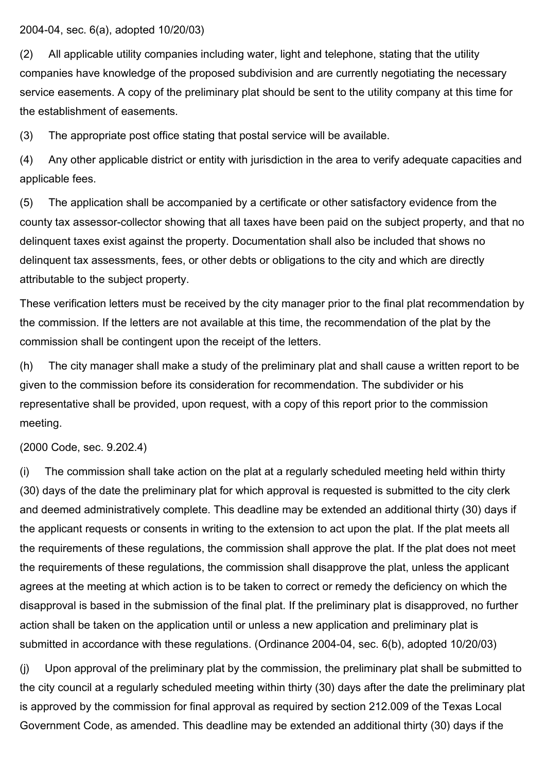# 2004-04, sec. 6(a), adopted 10/20/03)

(2) All applicable utility companies including water, light and telephone, stating that the utility companies have knowledge of the proposed subdivision and are currently negotiating the necessary service easements. A copy of the preliminary plat should be sent to the utility company at this time for the establishment of easements.

(3) The appropriate post office stating that postal service will be available.

(4) Any other applicable district or entity with jurisdiction in the area to verify adequate capacities and applicable fees.

(5) The application shall be accompanied by a certificate or other satisfactory evidence from the county tax assessor-collector showing that all taxes have been paid on the subject property, and that no delinquent taxes exist against the property. Documentation shall also be included that shows no delinquent tax assessments, fees, or other debts or obligations to the city and which are directly attributable to the subject property.

These verification letters must be received by the city manager prior to the final plat recommendation by the commission. If the letters are not available at this time, the recommendation of the plat by the commission shall be contingent upon the receipt of the letters.

(h) The city manager shall make a study of the preliminary plat and shall cause a written report to be given to the commission before its consideration for recommendation. The subdivider or his representative shall be provided, upon request, with a copy of this report prior to the commission meeting.

#### (2000 Code, sec. 9.202.4)

(i) The commission shall take action on the plat at a regularly scheduled meeting held within thirty (30) days of the date the preliminary plat for which approval is requested is submitted to the city clerk and deemed administratively complete. This deadline may be extended an additional thirty (30) days if the applicant requests or consents in writing to the extension to act upon the plat. If the plat meets all the requirements of these regulations, the commission shall approve the plat. If the plat does not meet the requirements of these regulations, the commission shall disapprove the plat, unless the applicant agrees at the meeting at which action is to be taken to correct or remedy the deficiency on which the disapproval is based in the submission of the final plat. If the preliminary plat is disapproved, no further action shall be taken on the application until or unless a new application and preliminary plat is submitted in accordance with these regulations. (Ordinance 2004-04, sec. 6(b), adopted 10/20/03)

(j) Upon approval of the preliminary plat by the commission, the preliminary plat shall be submitted to the city council at a regularly scheduled meeting within thirty (30) days after the date the preliminary plat is approved by the commission for final approval as required by section 212.009 of the Texas Local Government Code, as amended. This deadline may be extended an additional thirty (30) days if the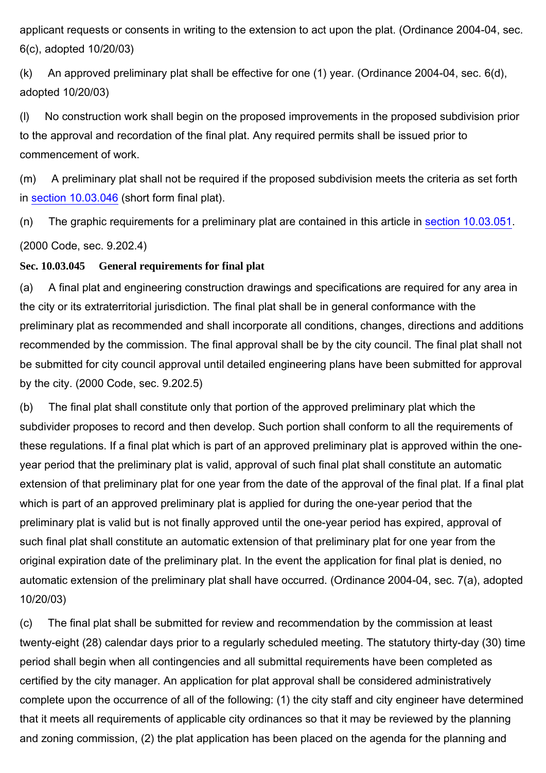applicant requests or consents in writing to the extension to act upon the plat. (Ordinance 2004-04, sec. 6(c), adopted 10/20/03)

(k) An approved preliminary plat shall be effective for one (1) year. (Ordinance 2004-04, sec. 6(d), adopted 10/20/03)

(l) No construction work shall begin on the proposed improvements in the proposed subdivision prior to the approval and recordation of the final plat. Any required permits shall be issued prior to commencement of work.

(m) A preliminary plat shall not be required if the proposed subdivision meets the criteria as set forth in section 10.03.046 (short form final plat).

(n) The graphic requirements for a preliminary plat are contained in this article in section 10.03.051. (2000 Code, sec. 9.202.4)

# **Sec. 10.03.045 General requirements for final plat**

(a) A final plat and engineering construction drawings and specifications are required for any area in the city or its extraterritorial jurisdiction. The final plat shall be in general conformance with the preliminary plat as recommended and shall incorporate all conditions, changes, directions and additions recommended by the commission. The final approval shall be by the city council. The final plat shall not be submitted for city council approval until detailed engineering plans have been submitted for approval by the city. (2000 Code, sec. 9.202.5)

(b) The final plat shall constitute only that portion of the approved preliminary plat which the subdivider proposes to record and then develop. Such portion shall conform to all the requirements of these regulations. If a final plat which is part of an approved preliminary plat is approved within the oneyear period that the preliminary plat is valid, approval of such final plat shall constitute an automatic extension of that preliminary plat for one year from the date of the approval of the final plat. If a final plat which is part of an approved preliminary plat is applied for during the one-year period that the preliminary plat is valid but is not finally approved until the one-year period has expired, approval of such final plat shall constitute an automatic extension of that preliminary plat for one year from the original expiration date of the preliminary plat. In the event the application for final plat is denied, no automatic extension of the preliminary plat shall have occurred. (Ordinance 2004-04, sec. 7(a), adopted 10/20/03)

(c) The final plat shall be submitted for review and recommendation by the commission at least twenty-eight (28) calendar days prior to a regularly scheduled meeting. The statutory thirty-day (30) time period shall begin when all contingencies and all submittal requirements have been completed as certified by the city manager. An application for plat approval shall be considered administratively complete upon the occurrence of all of the following: (1) the city staff and city engineer have determined that it meets all requirements of applicable city ordinances so that it may be reviewed by the planning and zoning commission, (2) the plat application has been placed on the agenda for the planning and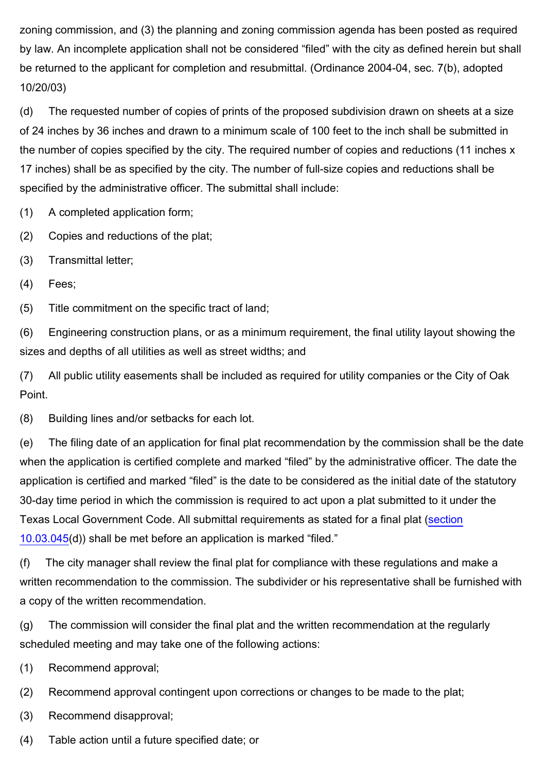zoning commission, and (3) the planning and zoning commission agenda has been posted as required by law. An incomplete application shall not be considered "filed" with the city as defined herein but shall be returned to the applicant for completion and resubmittal. (Ordinance 2004-04, sec. 7(b), adopted 10/20/03)

(d) The requested number of copies of prints of the proposed subdivision drawn on sheets at a size of 24 inches by 36 inches and drawn to a minimum scale of 100 feet to the inch shall be submitted in the number of copies specified by the city. The required number of copies and reductions (11 inches x 17 inches) shall be as specified by the city. The number of full-size copies and reductions shall be specified by the administrative officer. The submittal shall include:

(1) A completed application form;

(2) Copies and reductions of the plat;

- (3) Transmittal letter;
- (4) Fees;

(5) Title commitment on the specific tract of land;

(6) Engineering construction plans, or as a minimum requirement, the final utility layout showing the sizes and depths of all utilities as well as street widths; and

(7) All public utility easements shall be included as required for utility companies or the City of Oak Point.

(8) Building lines and/or setbacks for each lot.

(e) The filing date of an application for final plat recommendation by the commission shall be the date when the application is certified complete and marked "filed" by the administrative officer. The date the application is certified and marked "filed" is the date to be considered as the initial date of the statutory 30-day time period in which the commission is required to act upon a plat submitted to it under the Texas Local Government Code. All submittal requirements as stated for a final plat (section 10.03.045(d)) shall be met before an application is marked "filed."

(f) The city manager shall review the final plat for compliance with these regulations and make a written recommendation to the commission. The subdivider or his representative shall be furnished with a copy of the written recommendation.

(g) The commission will consider the final plat and the written recommendation at the regularly scheduled meeting and may take one of the following actions:

(1) Recommend approval;

(2) Recommend approval contingent upon corrections or changes to be made to the plat;

- (3) Recommend disapproval;
- (4) Table action until a future specified date; or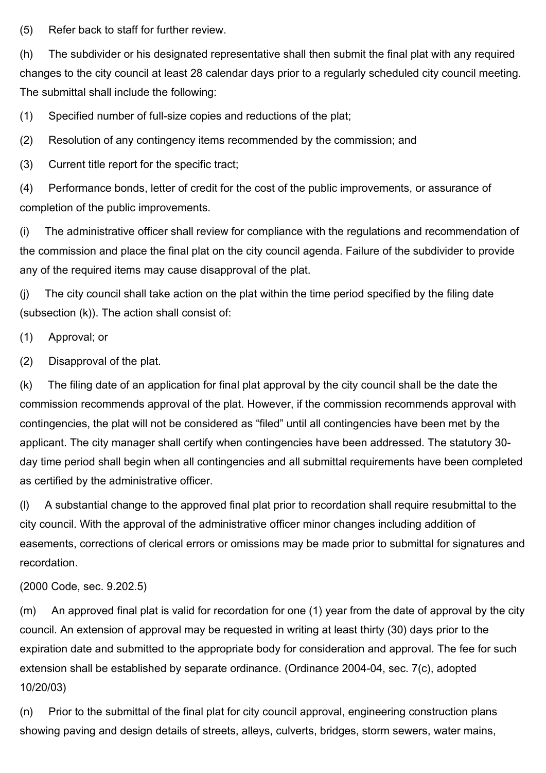(5) Refer back to staff for further review.

(h) The subdivider or his designated representative shall then submit the final plat with any required changes to the city council at least 28 calendar days prior to a regularly scheduled city council meeting. The submittal shall include the following:

(1) Specified number of full-size copies and reductions of the plat;

(2) Resolution of any contingency items recommended by the commission; and

(3) Current title report for the specific tract;

(4) Performance bonds, letter of credit for the cost of the public improvements, or assurance of completion of the public improvements.

(i) The administrative officer shall review for compliance with the regulations and recommendation of the commission and place the final plat on the city council agenda. Failure of the subdivider to provide any of the required items may cause disapproval of the plat.

(j) The city council shall take action on the plat within the time period specified by the filing date (subsection (k)). The action shall consist of:

(1) Approval; or

(2) Disapproval of the plat.

(k) The filing date of an application for final plat approval by the city council shall be the date the commission recommends approval of the plat. However, if the commission recommends approval with contingencies, the plat will not be considered as "filed" until all contingencies have been met by the applicant. The city manager shall certify when contingencies have been addressed. The statutory 30 day time period shall begin when all contingencies and all submittal requirements have been completed as certified by the administrative officer.

(l) A substantial change to the approved final plat prior to recordation shall require resubmittal to the city council. With the approval of the administrative officer minor changes including addition of easements, corrections of clerical errors or omissions may be made prior to submittal for signatures and recordation.

# (2000 Code, sec. 9.202.5)

(m) An approved final plat is valid for recordation for one (1) year from the date of approval by the city council. An extension of approval may be requested in writing at least thirty (30) days prior to the expiration date and submitted to the appropriate body for consideration and approval. The fee for such extension shall be established by separate ordinance. (Ordinance 2004-04, sec. 7(c), adopted 10/20/03)

(n) Prior to the submittal of the final plat for city council approval, engineering construction plans showing paving and design details of streets, alleys, culverts, bridges, storm sewers, water mains,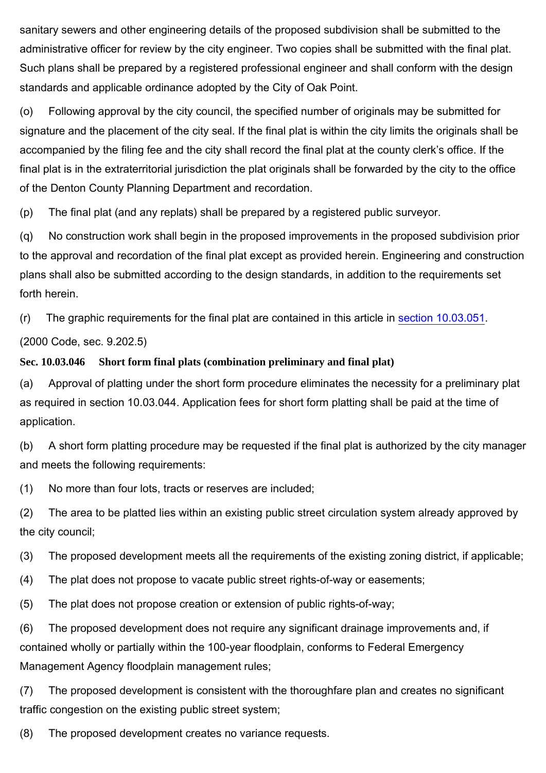sanitary sewers and other engineering details of the proposed subdivision shall be submitted to the administrative officer for review by the city engineer. Two copies shall be submitted with the final plat. Such plans shall be prepared by a registered professional engineer and shall conform with the design standards and applicable ordinance adopted by the City of Oak Point.

(o) Following approval by the city council, the specified number of originals may be submitted for signature and the placement of the city seal. If the final plat is within the city limits the originals shall be accompanied by the filing fee and the city shall record the final plat at the county clerk's office. If the final plat is in the extraterritorial jurisdiction the plat originals shall be forwarded by the city to the office of the Denton County Planning Department and recordation.

(p) The final plat (and any replats) shall be prepared by a registered public surveyor.

(q) No construction work shall begin in the proposed improvements in the proposed subdivision prior to the approval and recordation of the final plat except as provided herein. Engineering and construction plans shall also be submitted according to the design standards, in addition to the requirements set forth herein.

(r) The graphic requirements for the final plat are contained in this article in section 10.03.051.

(2000 Code, sec. 9.202.5)

#### **Sec. 10.03.046 Short form final plats (combination preliminary and final plat)**

(a) Approval of platting under the short form procedure eliminates the necessity for a preliminary plat as required in section 10.03.044. Application fees for short form platting shall be paid at the time of application.

(b) A short form platting procedure may be requested if the final plat is authorized by the city manager and meets the following requirements:

(1) No more than four lots, tracts or reserves are included;

(2) The area to be platted lies within an existing public street circulation system already approved by the city council;

(3) The proposed development meets all the requirements of the existing zoning district, if applicable;

(4) The plat does not propose to vacate public street rights-of-way or easements;

(5) The plat does not propose creation or extension of public rights-of-way;

(6) The proposed development does not require any significant drainage improvements and, if contained wholly or partially within the 100-year floodplain, conforms to Federal Emergency Management Agency floodplain management rules;

(7) The proposed development is consistent with the thoroughfare plan and creates no significant traffic congestion on the existing public street system;

(8) The proposed development creates no variance requests.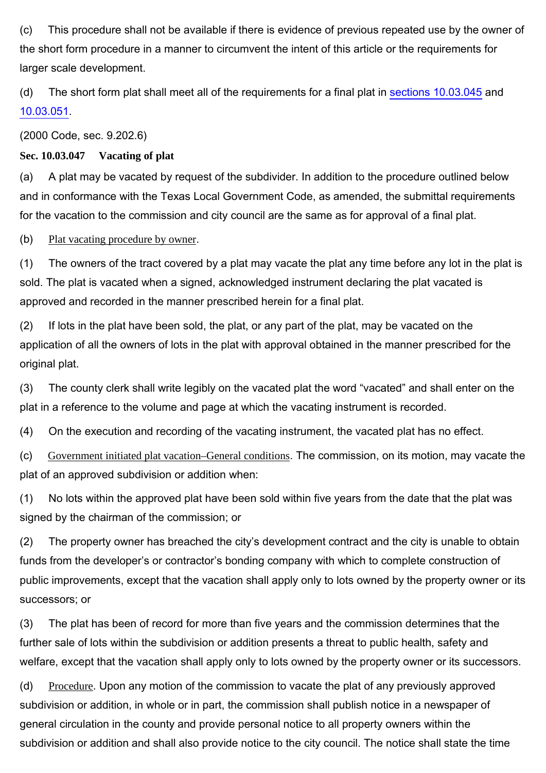(c) This procedure shall not be available if there is evidence of previous repeated use by the owner of the short form procedure in a manner to circumvent the intent of this article or the requirements for larger scale development.

(d) The short form plat shall meet all of the requirements for a final plat in sections 10.03.045 and 10.03.051.

(2000 Code, sec. 9.202.6)

**Sec. 10.03.047 Vacating of plat**

(a) A plat may be vacated by request of the subdivider. In addition to the procedure outlined below and in conformance with the Texas Local Government Code, as amended, the submittal requirements for the vacation to the commission and city council are the same as for approval of a final plat.

(b) Plat vacating procedure by owner.

(1) The owners of the tract covered by a plat may vacate the plat any time before any lot in the plat is sold. The plat is vacated when a signed, acknowledged instrument declaring the plat vacated is approved and recorded in the manner prescribed herein for a final plat.

(2) If lots in the plat have been sold, the plat, or any part of the plat, may be vacated on the application of all the owners of lots in the plat with approval obtained in the manner prescribed for the original plat.

(3) The county clerk shall write legibly on the vacated plat the word "vacated" and shall enter on the plat in a reference to the volume and page at which the vacating instrument is recorded.

(4) On the execution and recording of the vacating instrument, the vacated plat has no effect.

(c) Government initiated plat vacation–General conditions. The commission, on its motion, may vacate the plat of an approved subdivision or addition when:

(1) No lots within the approved plat have been sold within five years from the date that the plat was signed by the chairman of the commission; or

(2) The property owner has breached the city's development contract and the city is unable to obtain funds from the developer's or contractor's bonding company with which to complete construction of public improvements, except that the vacation shall apply only to lots owned by the property owner or its successors; or

(3) The plat has been of record for more than five years and the commission determines that the further sale of lots within the subdivision or addition presents a threat to public health, safety and welfare, except that the vacation shall apply only to lots owned by the property owner or its successors.

(d) Procedure. Upon any motion of the commission to vacate the plat of any previously approved subdivision or addition, in whole or in part, the commission shall publish notice in a newspaper of general circulation in the county and provide personal notice to all property owners within the subdivision or addition and shall also provide notice to the city council. The notice shall state the time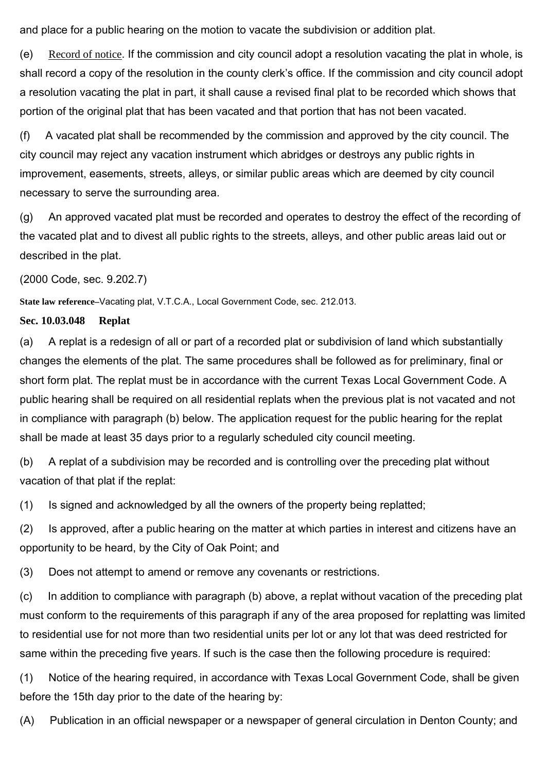and place for a public hearing on the motion to vacate the subdivision or addition plat.

(e) Record of notice. If the commission and city council adopt a resolution vacating the plat in whole, is shall record a copy of the resolution in the county clerk's office. If the commission and city council adopt a resolution vacating the plat in part, it shall cause a revised final plat to be recorded which shows that portion of the original plat that has been vacated and that portion that has not been vacated.

(f) A vacated plat shall be recommended by the commission and approved by the city council. The city council may reject any vacation instrument which abridges or destroys any public rights in improvement, easements, streets, alleys, or similar public areas which are deemed by city council necessary to serve the surrounding area.

(g) An approved vacated plat must be recorded and operates to destroy the effect of the recording of the vacated plat and to divest all public rights to the streets, alleys, and other public areas laid out or described in the plat.

(2000 Code, sec. 9.202.7)

**State law reference–**Vacating plat, V.T.C.A., Local Government Code, sec. 212.013.

#### **Sec. 10.03.048 Replat**

(a) A replat is a redesign of all or part of a recorded plat or subdivision of land which substantially changes the elements of the plat. The same procedures shall be followed as for preliminary, final or short form plat. The replat must be in accordance with the current Texas Local Government Code. A public hearing shall be required on all residential replats when the previous plat is not vacated and not in compliance with paragraph (b) below. The application request for the public hearing for the replat shall be made at least 35 days prior to a regularly scheduled city council meeting.

(b) A replat of a subdivision may be recorded and is controlling over the preceding plat without vacation of that plat if the replat:

(1) Is signed and acknowledged by all the owners of the property being replatted;

(2) Is approved, after a public hearing on the matter at which parties in interest and citizens have an opportunity to be heard, by the City of Oak Point; and

(3) Does not attempt to amend or remove any covenants or restrictions.

(c) In addition to compliance with paragraph (b) above, a replat without vacation of the preceding plat must conform to the requirements of this paragraph if any of the area proposed for replatting was limited to residential use for not more than two residential units per lot or any lot that was deed restricted for same within the preceding five years. If such is the case then the following procedure is required:

(1) Notice of the hearing required, in accordance with Texas Local Government Code, shall be given before the 15th day prior to the date of the hearing by:

(A) Publication in an official newspaper or a newspaper of general circulation in Denton County; and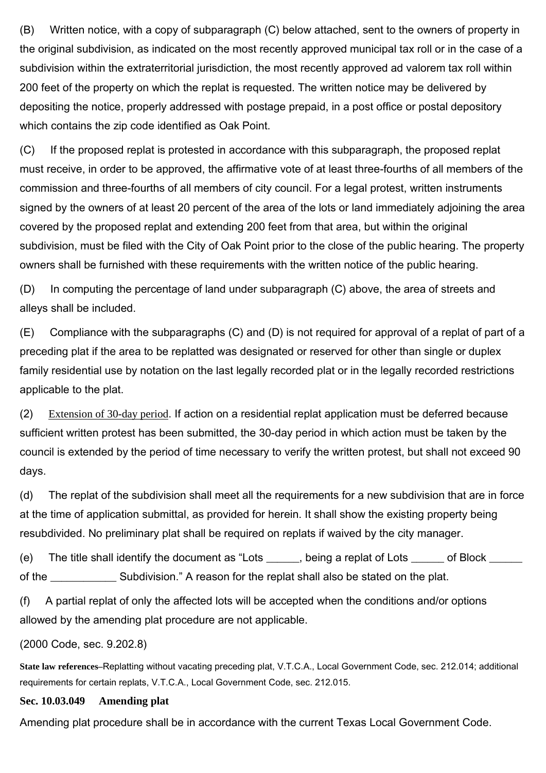(B) Written notice, with a copy of subparagraph (C) below attached, sent to the owners of property in the original subdivision, as indicated on the most recently approved municipal tax roll or in the case of a subdivision within the extraterritorial jurisdiction, the most recently approved ad valorem tax roll within 200 feet of the property on which the replat is requested. The written notice may be delivered by depositing the notice, properly addressed with postage prepaid, in a post office or postal depository which contains the zip code identified as Oak Point.

(C) If the proposed replat is protested in accordance with this subparagraph, the proposed replat must receive, in order to be approved, the affirmative vote of at least three-fourths of all members of the commission and three-fourths of all members of city council. For a legal protest, written instruments signed by the owners of at least 20 percent of the area of the lots or land immediately adjoining the area covered by the proposed replat and extending 200 feet from that area, but within the original subdivision, must be filed with the City of Oak Point prior to the close of the public hearing. The property owners shall be furnished with these requirements with the written notice of the public hearing.

(D) In computing the percentage of land under subparagraph (C) above, the area of streets and alleys shall be included.

(E) Compliance with the subparagraphs (C) and (D) is not required for approval of a replat of part of a preceding plat if the area to be replatted was designated or reserved for other than single or duplex family residential use by notation on the last legally recorded plat or in the legally recorded restrictions applicable to the plat.

(2) Extension of 30-day period. If action on a residential replat application must be deferred because sufficient written protest has been submitted, the 30-day period in which action must be taken by the council is extended by the period of time necessary to verify the written protest, but shall not exceed 90 days.

(d) The replat of the subdivision shall meet all the requirements for a new subdivision that are in force at the time of application submittal, as provided for herein. It shall show the existing property being resubdivided. No preliminary plat shall be required on replats if waived by the city manager.

(e) The title shall identify the document as "Lots \_\_\_\_\_, being a replat of Lots \_\_\_\_\_ of Block \_\_\_\_\_ of the \_\_\_\_\_\_\_\_\_\_\_\_\_ Subdivision." A reason for the replat shall also be stated on the plat.

(f) A partial replat of only the affected lots will be accepted when the conditions and/or options allowed by the amending plat procedure are not applicable.

## (2000 Code, sec. 9.202.8)

**State law references–**Replatting without vacating preceding plat, V.T.C.A., Local Government Code, sec. 212.014; additional requirements for certain replats, V.T.C.A., Local Government Code, sec. 212.015.

#### **Sec. 10.03.049 Amending plat**

Amending plat procedure shall be in accordance with the current Texas Local Government Code.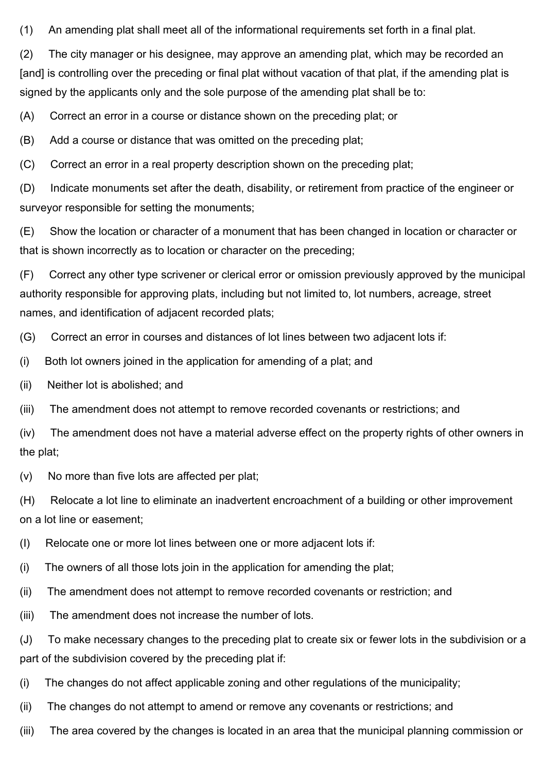(1) An amending plat shall meet all of the informational requirements set forth in a final plat.

(2) The city manager or his designee, may approve an amending plat, which may be recorded an [and] is controlling over the preceding or final plat without vacation of that plat, if the amending plat is signed by the applicants only and the sole purpose of the amending plat shall be to:

(A) Correct an error in a course or distance shown on the preceding plat; or

(B) Add a course or distance that was omitted on the preceding plat;

(C) Correct an error in a real property description shown on the preceding plat;

(D) Indicate monuments set after the death, disability, or retirement from practice of the engineer or surveyor responsible for setting the monuments;

(E) Show the location or character of a monument that has been changed in location or character or that is shown incorrectly as to location or character on the preceding;

(F) Correct any other type scrivener or clerical error or omission previously approved by the municipal authority responsible for approving plats, including but not limited to, lot numbers, acreage, street names, and identification of adjacent recorded plats;

(G) Correct an error in courses and distances of lot lines between two adjacent lots if:

(i) Both lot owners joined in the application for amending of a plat; and

(ii) Neither lot is abolished; and

(iii) The amendment does not attempt to remove recorded covenants or restrictions; and

(iv) The amendment does not have a material adverse effect on the property rights of other owners in the plat;

(v) No more than five lots are affected per plat;

(H) Relocate a lot line to eliminate an inadvertent encroachment of a building or other improvement on a lot line or easement;

(I) Relocate one or more lot lines between one or more adjacent lots if:

(i) The owners of all those lots join in the application for amending the plat;

(ii) The amendment does not attempt to remove recorded covenants or restriction; and

(iii) The amendment does not increase the number of lots.

(J) To make necessary changes to the preceding plat to create six or fewer lots in the subdivision or a part of the subdivision covered by the preceding plat if:

(i) The changes do not affect applicable zoning and other regulations of the municipality;

(ii) The changes do not attempt to amend or remove any covenants or restrictions; and

(iii) The area covered by the changes is located in an area that the municipal planning commission or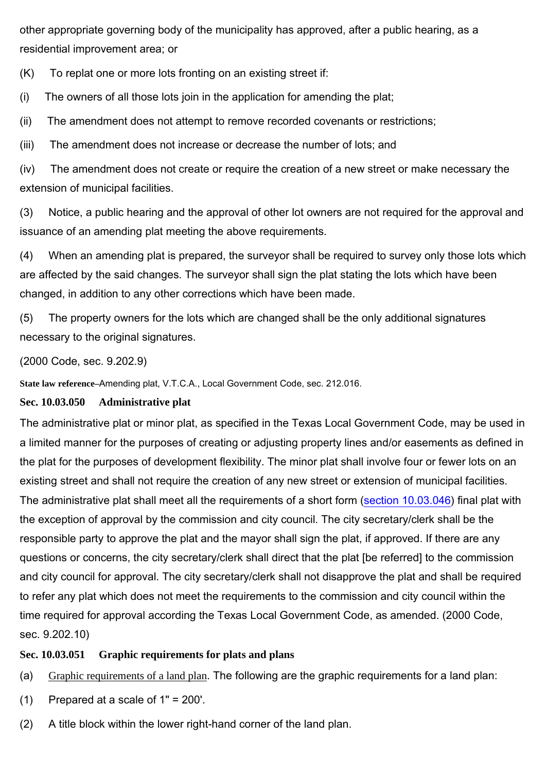other appropriate governing body of the municipality has approved, after a public hearing, as a residential improvement area; or

(K) To replat one or more lots fronting on an existing street if:

(i) The owners of all those lots join in the application for amending the plat;

(ii) The amendment does not attempt to remove recorded covenants or restrictions;

(iii) The amendment does not increase or decrease the number of lots; and

(iv) The amendment does not create or require the creation of a new street or make necessary the extension of municipal facilities.

(3) Notice, a public hearing and the approval of other lot owners are not required for the approval and issuance of an amending plat meeting the above requirements.

(4) When an amending plat is prepared, the surveyor shall be required to survey only those lots which are affected by the said changes. The surveyor shall sign the plat stating the lots which have been changed, in addition to any other corrections which have been made.

(5) The property owners for the lots which are changed shall be the only additional signatures necessary to the original signatures.

#### (2000 Code, sec. 9.202.9)

**State law reference–**Amending plat, V.T.C.A., Local Government Code, sec. 212.016.

#### **Sec. 10.03.050 Administrative plat**

The administrative plat or minor plat, as specified in the Texas Local Government Code, may be used in a limited manner for the purposes of creating or adjusting property lines and/or easements as defined in the plat for the purposes of development flexibility. The minor plat shall involve four or fewer lots on an existing street and shall not require the creation of any new street or extension of municipal facilities. The administrative plat shall meet all the requirements of a short form (section 10.03.046) final plat with the exception of approval by the commission and city council. The city secretary/clerk shall be the responsible party to approve the plat and the mayor shall sign the plat, if approved. If there are any questions or concerns, the city secretary/clerk shall direct that the plat [be referred] to the commission and city council for approval. The city secretary/clerk shall not disapprove the plat and shall be required to refer any plat which does not meet the requirements to the commission and city council within the time required for approval according the Texas Local Government Code, as amended. (2000 Code, sec. 9.202.10)

#### **Sec. 10.03.051 Graphic requirements for plats and plans**

- (a) Graphic requirements of a land plan. The following are the graphic requirements for a land plan:
- (1) Prepared at a scale of 1" = 200'.
- (2) A title block within the lower right-hand corner of the land plan.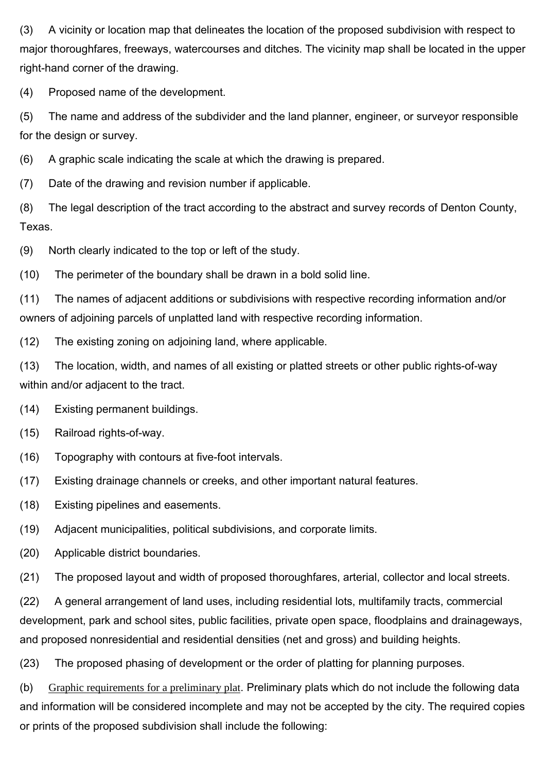(3) A vicinity or location map that delineates the location of the proposed subdivision with respect to major thoroughfares, freeways, watercourses and ditches. The vicinity map shall be located in the upper right-hand corner of the drawing.

(4) Proposed name of the development.

(5) The name and address of the subdivider and the land planner, engineer, or surveyor responsible for the design or survey.

(6) A graphic scale indicating the scale at which the drawing is prepared.

(7) Date of the drawing and revision number if applicable.

(8) The legal description of the tract according to the abstract and survey records of Denton County, Texas.

(9) North clearly indicated to the top or left of the study.

(10) The perimeter of the boundary shall be drawn in a bold solid line.

(11) The names of adjacent additions or subdivisions with respective recording information and/or owners of adjoining parcels of unplatted land with respective recording information.

(12) The existing zoning on adjoining land, where applicable.

(13) The location, width, and names of all existing or platted streets or other public rights-of-way within and/or adjacent to the tract.

(14) Existing permanent buildings.

(15) Railroad rights-of-way.

(16) Topography with contours at five-foot intervals.

(17) Existing drainage channels or creeks, and other important natural features.

(18) Existing pipelines and easements.

(19) Adjacent municipalities, political subdivisions, and corporate limits.

(20) Applicable district boundaries.

(21) The proposed layout and width of proposed thoroughfares, arterial, collector and local streets.

(22) A general arrangement of land uses, including residential lots, multifamily tracts, commercial development, park and school sites, public facilities, private open space, floodplains and drainageways, and proposed nonresidential and residential densities (net and gross) and building heights.

(23) The proposed phasing of development or the order of platting for planning purposes.

(b) Graphic requirements for a preliminary plat. Preliminary plats which do not include the following data and information will be considered incomplete and may not be accepted by the city. The required copies or prints of the proposed subdivision shall include the following: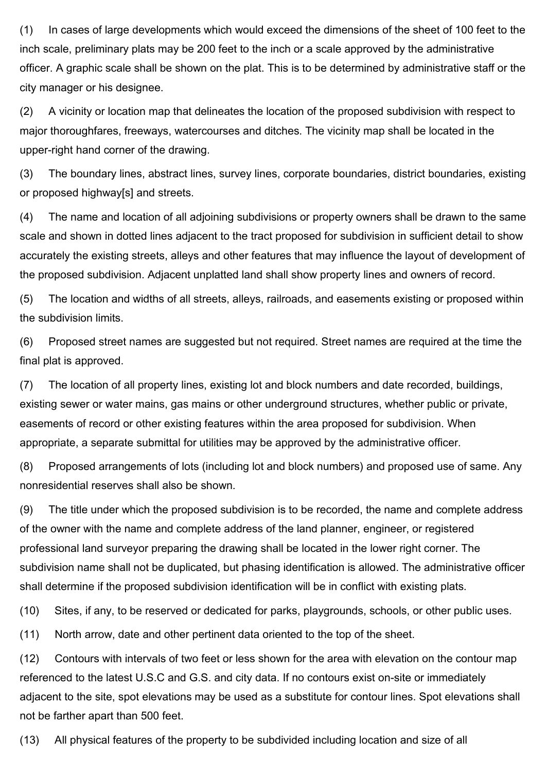(1) In cases of large developments which would exceed the dimensions of the sheet of 100 feet to the inch scale, preliminary plats may be 200 feet to the inch or a scale approved by the administrative officer. A graphic scale shall be shown on the plat. This is to be determined by administrative staff or the city manager or his designee.

(2) A vicinity or location map that delineates the location of the proposed subdivision with respect to major thoroughfares, freeways, watercourses and ditches. The vicinity map shall be located in the upper-right hand corner of the drawing.

(3) The boundary lines, abstract lines, survey lines, corporate boundaries, district boundaries, existing or proposed highway[s] and streets.

(4) The name and location of all adjoining subdivisions or property owners shall be drawn to the same scale and shown in dotted lines adjacent to the tract proposed for subdivision in sufficient detail to show accurately the existing streets, alleys and other features that may influence the layout of development of the proposed subdivision. Adjacent unplatted land shall show property lines and owners of record.

(5) The location and widths of all streets, alleys, railroads, and easements existing or proposed within the subdivision limits.

(6) Proposed street names are suggested but not required. Street names are required at the time the final plat is approved.

(7) The location of all property lines, existing lot and block numbers and date recorded, buildings, existing sewer or water mains, gas mains or other underground structures, whether public or private, easements of record or other existing features within the area proposed for subdivision. When appropriate, a separate submittal for utilities may be approved by the administrative officer.

(8) Proposed arrangements of lots (including lot and block numbers) and proposed use of same. Any nonresidential reserves shall also be shown.

(9) The title under which the proposed subdivision is to be recorded, the name and complete address of the owner with the name and complete address of the land planner, engineer, or registered professional land surveyor preparing the drawing shall be located in the lower right corner. The subdivision name shall not be duplicated, but phasing identification is allowed. The administrative officer shall determine if the proposed subdivision identification will be in conflict with existing plats.

(10) Sites, if any, to be reserved or dedicated for parks, playgrounds, schools, or other public uses.

(11) North arrow, date and other pertinent data oriented to the top of the sheet.

(12) Contours with intervals of two feet or less shown for the area with elevation on the contour map referenced to the latest U.S.C and G.S. and city data. If no contours exist on-site or immediately adjacent to the site, spot elevations may be used as a substitute for contour lines. Spot elevations shall not be farther apart than 500 feet.

(13) All physical features of the property to be subdivided including location and size of all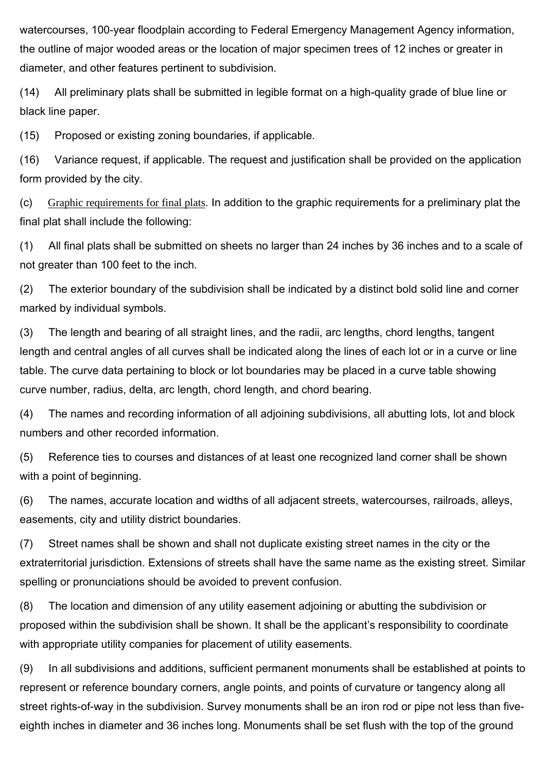watercourses, 100-year floodplain according to Federal Emergency Management Agency information, the outline of major wooded areas or the location of major specimen trees of 12 inches or greater in diameter, and other features pertinent to subdivision.

(14) All preliminary plats shall be submitted in legible format on a high-quality grade of blue line or black line paper.

(15) Proposed or existing zoning boundaries, if applicable.

(16) Variance request, if applicable. The request and justification shall be provided on the application form provided by the city.

(c) Graphic requirements for final plats. In addition to the graphic requirements for a preliminary plat the final plat shall include the following:

(1) All final plats shall be submitted on sheets no larger than 24 inches by 36 inches and to a scale of not greater than 100 feet to the inch.

(2) The exterior boundary of the subdivision shall be indicated by a distinct bold solid line and corner marked by individual symbols.

(3) The length and bearing of all straight lines, and the radii, arc lengths, chord lengths, tangent length and central angles of all curves shall be indicated along the lines of each lot or in a curve or line table. The curve data pertaining to block or lot boundaries may be placed in a curve table showing curve number, radius, delta, arc length, chord length, and chord bearing.

(4) The names and recording information of all adjoining subdivisions, all abutting lots, lot and block numbers and other recorded information.

(5) Reference ties to courses and distances of at least one recognized land corner shall be shown with a point of beginning.

(6) The names, accurate location and widths of all adjacent streets, watercourses, railroads, alleys, easements, city and utility district boundaries.

(7) Street names shall be shown and shall not duplicate existing street names in the city or the extraterritorial jurisdiction. Extensions of streets shall have the same name as the existing street. Similar spelling or pronunciations should be avoided to prevent confusion.

(8) The location and dimension of any utility easement adjoining or abutting the subdivision or proposed within the subdivision shall be shown. It shall be the applicant's responsibility to coordinate with appropriate utility companies for placement of utility easements.

(9) In all subdivisions and additions, sufficient permanent monuments shall be established at points to represent or reference boundary corners, angle points, and points of curvature or tangency along all street rights-of-way in the subdivision. Survey monuments shall be an iron rod or pipe not less than fiveeighth inches in diameter and 36 inches long. Monuments shall be set flush with the top of the ground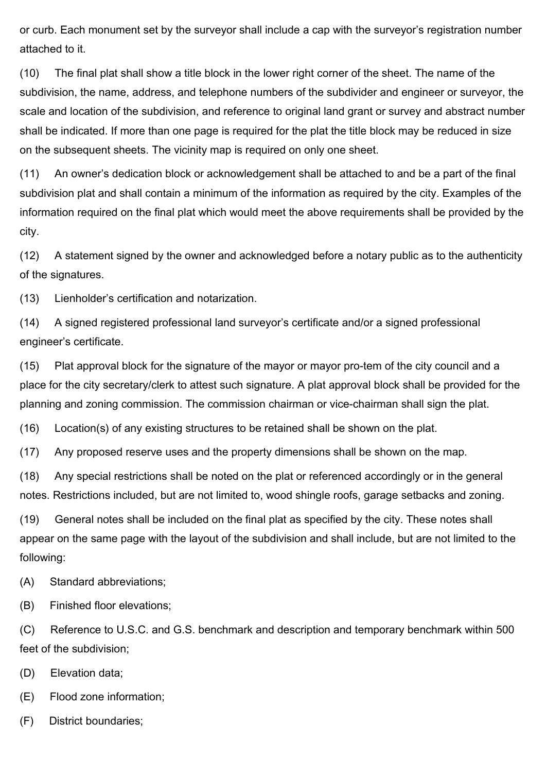or curb. Each monument set by the surveyor shall include a cap with the surveyor's registration number attached to it.

(10) The final plat shall show a title block in the lower right corner of the sheet. The name of the subdivision, the name, address, and telephone numbers of the subdivider and engineer or surveyor, the scale and location of the subdivision, and reference to original land grant or survey and abstract number shall be indicated. If more than one page is required for the plat the title block may be reduced in size on the subsequent sheets. The vicinity map is required on only one sheet.

(11) An owner's dedication block or acknowledgement shall be attached to and be a part of the final subdivision plat and shall contain a minimum of the information as required by the city. Examples of the information required on the final plat which would meet the above requirements shall be provided by the city.

(12) A statement signed by the owner and acknowledged before a notary public as to the authenticity of the signatures.

(13) Lienholder's certification and notarization.

(14) A signed registered professional land surveyor's certificate and/or a signed professional engineer's certificate.

(15) Plat approval block for the signature of the mayor or mayor pro-tem of the city council and a place for the city secretary/clerk to attest such signature. A plat approval block shall be provided for the planning and zoning commission. The commission chairman or vice-chairman shall sign the plat.

(16) Location(s) of any existing structures to be retained shall be shown on the plat.

(17) Any proposed reserve uses and the property dimensions shall be shown on the map.

(18) Any special restrictions shall be noted on the plat or referenced accordingly or in the general notes. Restrictions included, but are not limited to, wood shingle roofs, garage setbacks and zoning.

(19) General notes shall be included on the final plat as specified by the city. These notes shall appear on the same page with the layout of the subdivision and shall include, but are not limited to the following:

(A) Standard abbreviations;

(B) Finished floor elevations;

(C) Reference to U.S.C. and G.S. benchmark and description and temporary benchmark within 500 feet of the subdivision;

- (D) Elevation data;
- (E) Flood zone information;
- (F) District boundaries;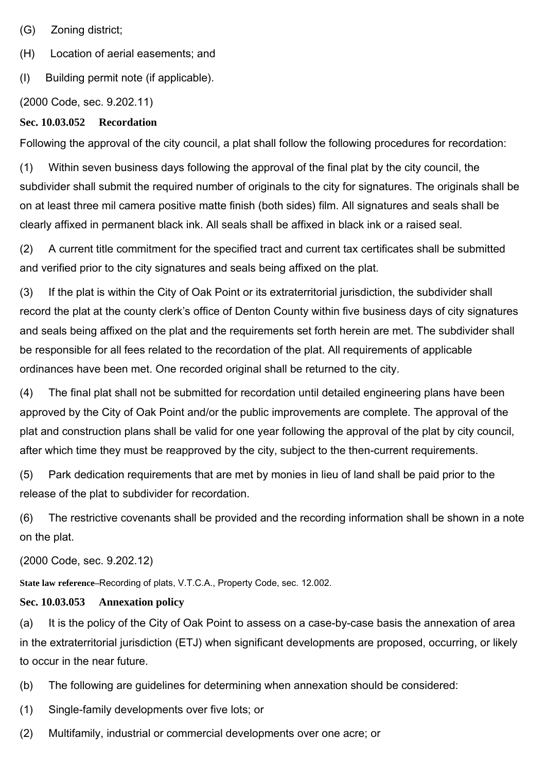(G) Zoning district;

(H) Location of aerial easements; and

(I) Building permit note (if applicable).

(2000 Code, sec. 9.202.11)

#### **Sec. 10.03.052 Recordation**

Following the approval of the city council, a plat shall follow the following procedures for recordation:

(1) Within seven business days following the approval of the final plat by the city council, the subdivider shall submit the required number of originals to the city for signatures. The originals shall be on at least three mil camera positive matte finish (both sides) film. All signatures and seals shall be clearly affixed in permanent black ink. All seals shall be affixed in black ink or a raised seal.

(2) A current title commitment for the specified tract and current tax certificates shall be submitted and verified prior to the city signatures and seals being affixed on the plat.

(3) If the plat is within the City of Oak Point or its extraterritorial jurisdiction, the subdivider shall record the plat at the county clerk's office of Denton County within five business days of city signatures and seals being affixed on the plat and the requirements set forth herein are met. The subdivider shall be responsible for all fees related to the recordation of the plat. All requirements of applicable ordinances have been met. One recorded original shall be returned to the city.

(4) The final plat shall not be submitted for recordation until detailed engineering plans have been approved by the City of Oak Point and/or the public improvements are complete. The approval of the plat and construction plans shall be valid for one year following the approval of the plat by city council, after which time they must be reapproved by the city, subject to the then-current requirements.

(5) Park dedication requirements that are met by monies in lieu of land shall be paid prior to the release of the plat to subdivider for recordation.

(6) The restrictive covenants shall be provided and the recording information shall be shown in a note on the plat.

(2000 Code, sec. 9.202.12)

**State law reference–**Recording of plats, V.T.C.A., Property Code, sec. 12.002.

#### **Sec. 10.03.053 Annexation policy**

(a) It is the policy of the City of Oak Point to assess on a case-by-case basis the annexation of area in the extraterritorial jurisdiction (ETJ) when significant developments are proposed, occurring, or likely to occur in the near future.

(b) The following are guidelines for determining when annexation should be considered:

(1) Single-family developments over five lots; or

(2) Multifamily, industrial or commercial developments over one acre; or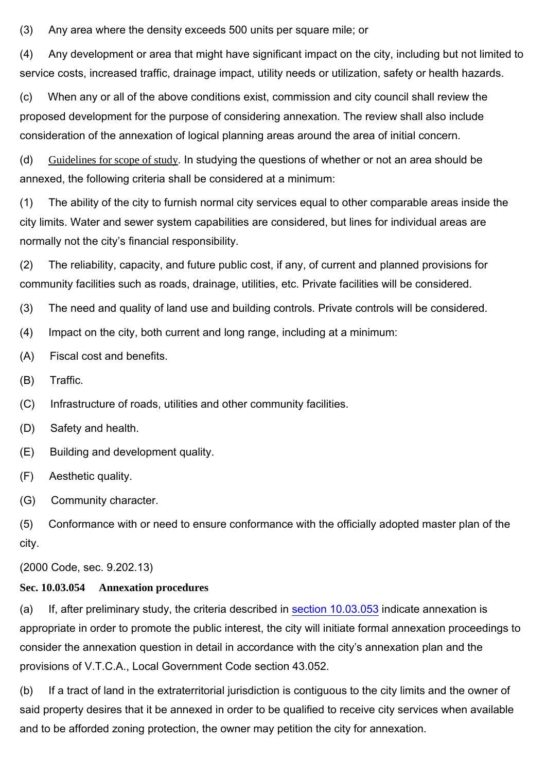(3) Any area where the density exceeds 500 units per square mile; or

(4) Any development or area that might have significant impact on the city, including but not limited to service costs, increased traffic, drainage impact, utility needs or utilization, safety or health hazards.

(c) When any or all of the above conditions exist, commission and city council shall review the proposed development for the purpose of considering annexation. The review shall also include consideration of the annexation of logical planning areas around the area of initial concern.

(d) Guidelines for scope of study. In studying the questions of whether or not an area should be annexed, the following criteria shall be considered at a minimum:

(1) The ability of the city to furnish normal city services equal to other comparable areas inside the city limits. Water and sewer system capabilities are considered, but lines for individual areas are normally not the city's financial responsibility.

(2) The reliability, capacity, and future public cost, if any, of current and planned provisions for community facilities such as roads, drainage, utilities, etc. Private facilities will be considered.

(3) The need and quality of land use and building controls. Private controls will be considered.

- (4) Impact on the city, both current and long range, including at a minimum:
- (A) Fiscal cost and benefits.
- (B) Traffic.
- (C) Infrastructure of roads, utilities and other community facilities.
- (D) Safety and health.
- (E) Building and development quality.
- (F) Aesthetic quality.
- (G) Community character.

(5) Conformance with or need to ensure conformance with the officially adopted master plan of the city.

(2000 Code, sec. 9.202.13)

## **Sec. 10.03.054 Annexation procedures**

(a) If, after preliminary study, the criteria described in section 10.03.053 indicate annexation is appropriate in order to promote the public interest, the city will initiate formal annexation proceedings to consider the annexation question in detail in accordance with the city's annexation plan and the provisions of V.T.C.A., Local Government Code section 43.052.

(b) If a tract of land in the extraterritorial jurisdiction is contiguous to the city limits and the owner of said property desires that it be annexed in order to be qualified to receive city services when available and to be afforded zoning protection, the owner may petition the city for annexation.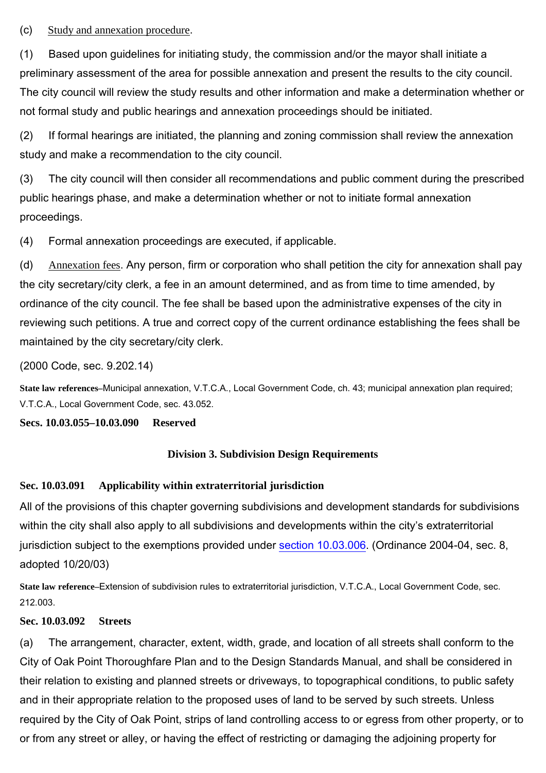# (c) Study and annexation procedure.

(1) Based upon guidelines for initiating study, the commission and/or the mayor shall initiate a preliminary assessment of the area for possible annexation and present the results to the city council. The city council will review the study results and other information and make a determination whether or not formal study and public hearings and annexation proceedings should be initiated.

(2) If formal hearings are initiated, the planning and zoning commission shall review the annexation study and make a recommendation to the city council.

(3) The city council will then consider all recommendations and public comment during the prescribed public hearings phase, and make a determination whether or not to initiate formal annexation proceedings.

(4) Formal annexation proceedings are executed, if applicable.

(d) Annexation fees. Any person, firm or corporation who shall petition the city for annexation shall pay the city secretary/city clerk, a fee in an amount determined, and as from time to time amended, by ordinance of the city council. The fee shall be based upon the administrative expenses of the city in reviewing such petitions. A true and correct copy of the current ordinance establishing the fees shall be maintained by the city secretary/city clerk.

(2000 Code, sec. 9.202.14)

**State law references–**Municipal annexation, V.T.C.A., Local Government Code, ch. 43; municipal annexation plan required; V.T.C.A., Local Government Code, sec. 43.052.

**Secs. 10.03.055–10.03.090 Reserved**

## **Division 3. Subdivision Design Requirements**

## **Sec. 10.03.091 Applicability within extraterritorial jurisdiction**

All of the provisions of this chapter governing subdivisions and development standards for subdivisions within the city shall also apply to all subdivisions and developments within the city's extraterritorial jurisdiction subject to the exemptions provided under section 10.03.006. (Ordinance 2004-04, sec. 8, adopted 10/20/03)

**State law reference–**Extension of subdivision rules to extraterritorial jurisdiction, V.T.C.A., Local Government Code, sec. 212.003.

## **Sec. 10.03.092 Streets**

(a) The arrangement, character, extent, width, grade, and location of all streets shall conform to the City of Oak Point Thoroughfare Plan and to the Design Standards Manual, and shall be considered in their relation to existing and planned streets or driveways, to topographical conditions, to public safety and in their appropriate relation to the proposed uses of land to be served by such streets. Unless required by the City of Oak Point, strips of land controlling access to or egress from other property, or to or from any street or alley, or having the effect of restricting or damaging the adjoining property for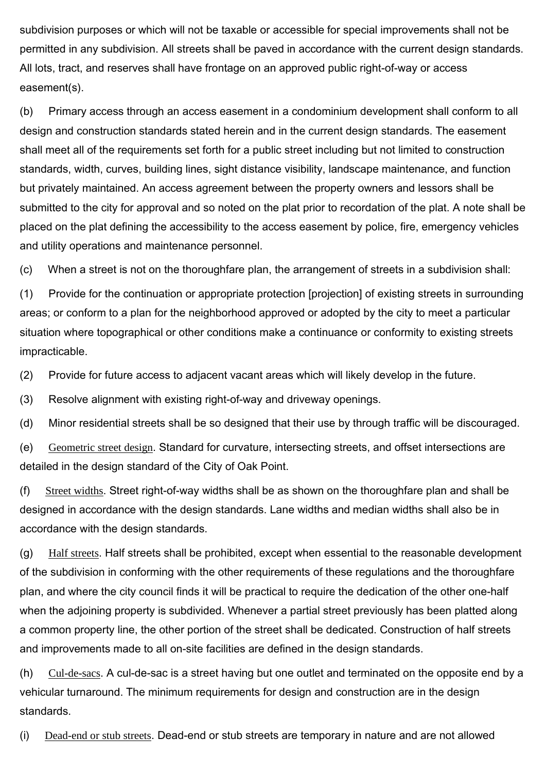subdivision purposes or which will not be taxable or accessible for special improvements shall not be permitted in any subdivision. All streets shall be paved in accordance with the current design standards. All lots, tract, and reserves shall have frontage on an approved public right-of-way or access easement(s).

(b) Primary access through an access easement in a condominium development shall conform to all design and construction standards stated herein and in the current design standards. The easement shall meet all of the requirements set forth for a public street including but not limited to construction standards, width, curves, building lines, sight distance visibility, landscape maintenance, and function but privately maintained. An access agreement between the property owners and lessors shall be submitted to the city for approval and so noted on the plat prior to recordation of the plat. A note shall be placed on the plat defining the accessibility to the access easement by police, fire, emergency vehicles and utility operations and maintenance personnel.

(c) When a street is not on the thoroughfare plan, the arrangement of streets in a subdivision shall:

(1) Provide for the continuation or appropriate protection [projection] of existing streets in surrounding areas; or conform to a plan for the neighborhood approved or adopted by the city to meet a particular situation where topographical or other conditions make a continuance or conformity to existing streets impracticable.

(2) Provide for future access to adjacent vacant areas which will likely develop in the future.

(3) Resolve alignment with existing right-of-way and driveway openings.

(d) Minor residential streets shall be so designed that their use by through traffic will be discouraged.

(e) Geometric street design. Standard for curvature, intersecting streets, and offset intersections are detailed in the design standard of the City of Oak Point.

(f) Street widths. Street right-of-way widths shall be as shown on the thoroughfare plan and shall be designed in accordance with the design standards. Lane widths and median widths shall also be in accordance with the design standards.

 $(g)$  Half streets. Half streets shall be prohibited, except when essential to the reasonable development of the subdivision in conforming with the other requirements of these regulations and the thoroughfare plan, and where the city council finds it will be practical to require the dedication of the other one-half when the adjoining property is subdivided. Whenever a partial street previously has been platted along a common property line, the other portion of the street shall be dedicated. Construction of half streets and improvements made to all on-site facilities are defined in the design standards.

(h) Cul-de-sacs. A cul-de-sac is a street having but one outlet and terminated on the opposite end by a vehicular turnaround. The minimum requirements for design and construction are in the design standards.

(i) Dead-end or stub streets. Dead-end or stub streets are temporary in nature and are not allowed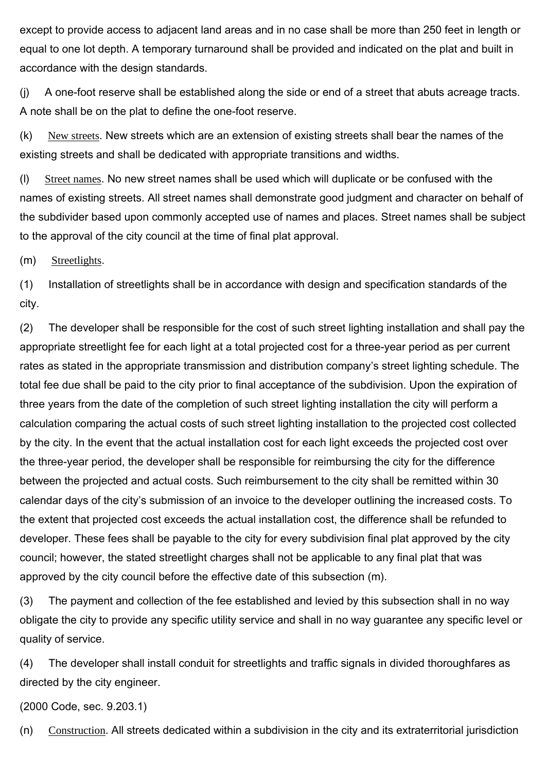except to provide access to adjacent land areas and in no case shall be more than 250 feet in length or equal to one lot depth. A temporary turnaround shall be provided and indicated on the plat and built in accordance with the design standards.

(j) A one-foot reserve shall be established along the side or end of a street that abuts acreage tracts. A note shall be on the plat to define the one-foot reserve.

(k) New streets. New streets which are an extension of existing streets shall bear the names of the existing streets and shall be dedicated with appropriate transitions and widths.

(l) Street names. No new street names shall be used which will duplicate or be confused with the names of existing streets. All street names shall demonstrate good judgment and character on behalf of the subdivider based upon commonly accepted use of names and places. Street names shall be subject to the approval of the city council at the time of final plat approval.

(m) Streetlights.

(1) Installation of streetlights shall be in accordance with design and specification standards of the city.

(2) The developer shall be responsible for the cost of such street lighting installation and shall pay the appropriate streetlight fee for each light at a total projected cost for a three-year period as per current rates as stated in the appropriate transmission and distribution company's street lighting schedule. The total fee due shall be paid to the city prior to final acceptance of the subdivision. Upon the expiration of three years from the date of the completion of such street lighting installation the city will perform a calculation comparing the actual costs of such street lighting installation to the projected cost collected by the city. In the event that the actual installation cost for each light exceeds the projected cost over the three-year period, the developer shall be responsible for reimbursing the city for the difference between the projected and actual costs. Such reimbursement to the city shall be remitted within 30 calendar days of the city's submission of an invoice to the developer outlining the increased costs. To the extent that projected cost exceeds the actual installation cost, the difference shall be refunded to developer. These fees shall be payable to the city for every subdivision final plat approved by the city council; however, the stated streetlight charges shall not be applicable to any final plat that was approved by the city council before the effective date of this subsection (m).

(3) The payment and collection of the fee established and levied by this subsection shall in no way obligate the city to provide any specific utility service and shall in no way guarantee any specific level or quality of service.

(4) The developer shall install conduit for streetlights and traffic signals in divided thoroughfares as directed by the city engineer.

(2000 Code, sec. 9.203.1)

(n) Construction. All streets dedicated within a subdivision in the city and its extraterritorial jurisdiction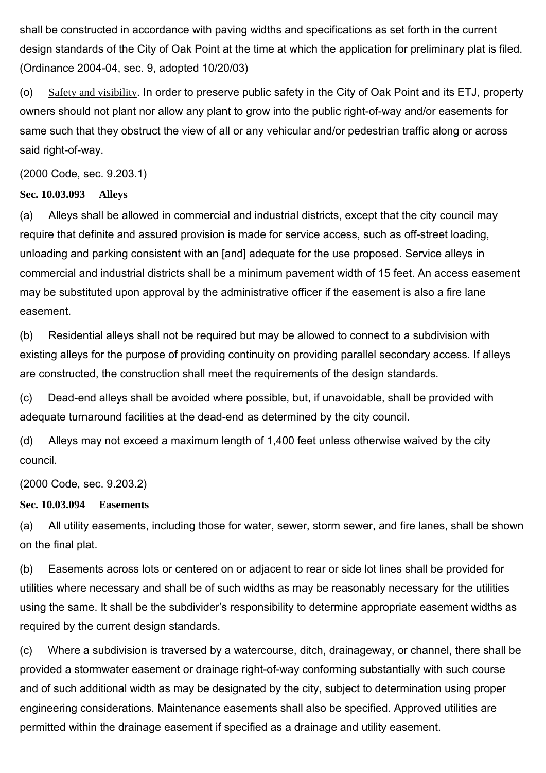shall be constructed in accordance with paving widths and specifications as set forth in the current design standards of the City of Oak Point at the time at which the application for preliminary plat is filed. (Ordinance 2004-04, sec. 9, adopted 10/20/03)

(o) Safety and visibility. In order to preserve public safety in the City of Oak Point and its ETJ, property owners should not plant nor allow any plant to grow into the public right-of-way and/or easements for same such that they obstruct the view of all or any vehicular and/or pedestrian traffic along or across said right-of-way.

(2000 Code, sec. 9.203.1)

#### **Sec. 10.03.093 Alleys**

(a) Alleys shall be allowed in commercial and industrial districts, except that the city council may require that definite and assured provision is made for service access, such as off-street loading, unloading and parking consistent with an [and] adequate for the use proposed. Service alleys in commercial and industrial districts shall be a minimum pavement width of 15 feet. An access easement may be substituted upon approval by the administrative officer if the easement is also a fire lane easement.

(b) Residential alleys shall not be required but may be allowed to connect to a subdivision with existing alleys for the purpose of providing continuity on providing parallel secondary access. If alleys are constructed, the construction shall meet the requirements of the design standards.

(c) Dead-end alleys shall be avoided where possible, but, if unavoidable, shall be provided with adequate turnaround facilities at the dead-end as determined by the city council.

(d) Alleys may not exceed a maximum length of 1,400 feet unless otherwise waived by the city council.

(2000 Code, sec. 9.203.2)

# **Sec. 10.03.094 Easements**

(a) All utility easements, including those for water, sewer, storm sewer, and fire lanes, shall be shown on the final plat.

(b) Easements across lots or centered on or adjacent to rear or side lot lines shall be provided for utilities where necessary and shall be of such widths as may be reasonably necessary for the utilities using the same. It shall be the subdivider's responsibility to determine appropriate easement widths as required by the current design standards.

(c) Where a subdivision is traversed by a watercourse, ditch, drainageway, or channel, there shall be provided a stormwater easement or drainage right-of-way conforming substantially with such course and of such additional width as may be designated by the city, subject to determination using proper engineering considerations. Maintenance easements shall also be specified. Approved utilities are permitted within the drainage easement if specified as a drainage and utility easement.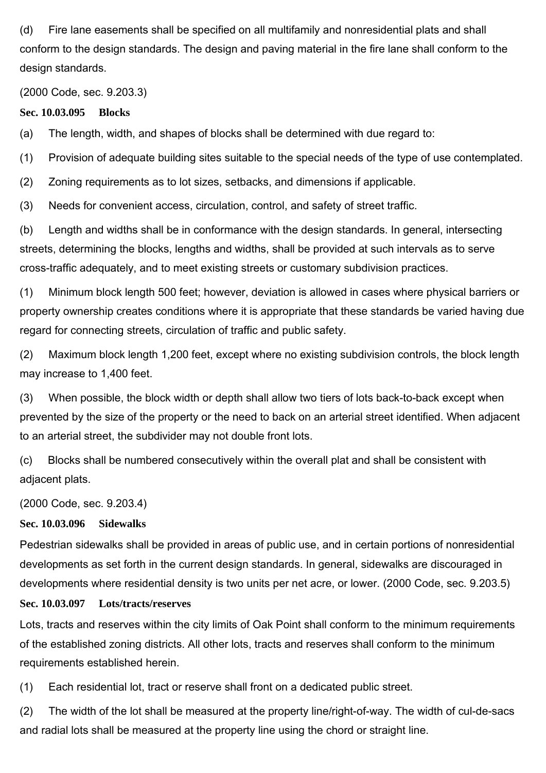(d) Fire lane easements shall be specified on all multifamily and nonresidential plats and shall conform to the design standards. The design and paving material in the fire lane shall conform to the design standards.

(2000 Code, sec. 9.203.3)

**Sec. 10.03.095 Blocks**

(a) The length, width, and shapes of blocks shall be determined with due regard to:

(1) Provision of adequate building sites suitable to the special needs of the type of use contemplated.

(2) Zoning requirements as to lot sizes, setbacks, and dimensions if applicable.

(3) Needs for convenient access, circulation, control, and safety of street traffic.

(b) Length and widths shall be in conformance with the design standards. In general, intersecting streets, determining the blocks, lengths and widths, shall be provided at such intervals as to serve cross-traffic adequately, and to meet existing streets or customary subdivision practices.

(1) Minimum block length 500 feet; however, deviation is allowed in cases where physical barriers or property ownership creates conditions where it is appropriate that these standards be varied having due regard for connecting streets, circulation of traffic and public safety.

(2) Maximum block length 1,200 feet, except where no existing subdivision controls, the block length may increase to 1,400 feet.

(3) When possible, the block width or depth shall allow two tiers of lots back-to-back except when prevented by the size of the property or the need to back on an arterial street identified. When adjacent to an arterial street, the subdivider may not double front lots.

(c) Blocks shall be numbered consecutively within the overall plat and shall be consistent with adjacent plats.

(2000 Code, sec. 9.203.4)

#### **Sec. 10.03.096 Sidewalks**

Pedestrian sidewalks shall be provided in areas of public use, and in certain portions of nonresidential developments as set forth in the current design standards. In general, sidewalks are discouraged in developments where residential density is two units per net acre, or lower. (2000 Code, sec. 9.203.5)

## **Sec. 10.03.097 Lots/tracts/reserves**

Lots, tracts and reserves within the city limits of Oak Point shall conform to the minimum requirements of the established zoning districts. All other lots, tracts and reserves shall conform to the minimum requirements established herein.

(1) Each residential lot, tract or reserve shall front on a dedicated public street.

(2) The width of the lot shall be measured at the property line/right-of-way. The width of cul-de-sacs and radial lots shall be measured at the property line using the chord or straight line.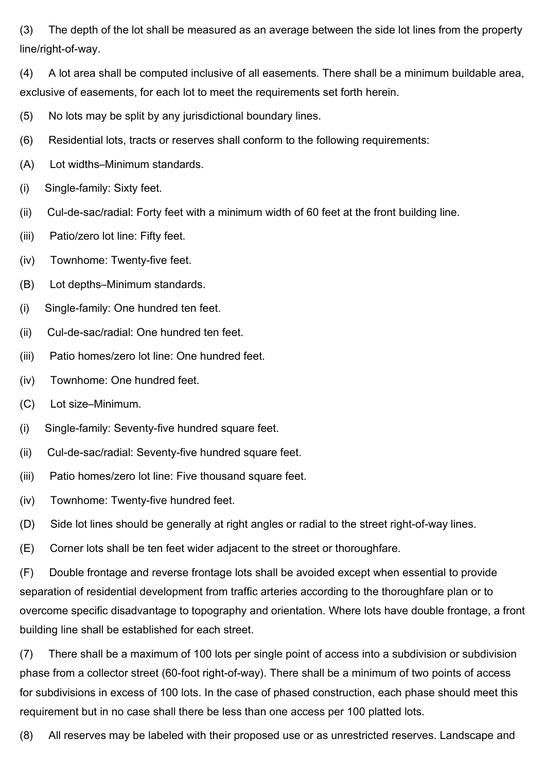(3) The depth of the lot shall be measured as an average between the side lot lines from the property line/right-of-way.

(4) A lot area shall be computed inclusive of all easements. There shall be a minimum buildable area, exclusive of easements, for each lot to meet the requirements set forth herein.

- (5) No lots may be split by any jurisdictional boundary lines.
- (6) Residential lots, tracts or reserves shall conform to the following requirements:
- (A) Lot widths–Minimum standards.
- (i) Single-family: Sixty feet.
- (ii) Cul-de-sac/radial: Forty feet with a minimum width of 60 feet at the front building line.
- (iii) Patio/zero lot line: Fifty feet.
- (iv) Townhome: Twenty-five feet.
- (B) Lot depths–Minimum standards.
- (i) Single-family: One hundred ten feet.
- (ii) Cul-de-sac/radial: One hundred ten feet.
- (iii) Patio homes/zero lot line: One hundred feet.
- (iv) Townhome: One hundred feet.
- (C) Lot size–Minimum.
- (i) Single-family: Seventy-five hundred square feet.
- (ii) Cul-de-sac/radial: Seventy-five hundred square feet.
- (iii) Patio homes/zero lot line: Five thousand square feet.
- (iv) Townhome: Twenty-five hundred feet.
- (D) Side lot lines should be generally at right angles or radial to the street right-of-way lines.
- (E) Corner lots shall be ten feet wider adjacent to the street or thoroughfare.

(F) Double frontage and reverse frontage lots shall be avoided except when essential to provide separation of residential development from traffic arteries according to the thoroughfare plan or to overcome specific disadvantage to topography and orientation. Where lots have double frontage, a front building line shall be established for each street.

(7) There shall be a maximum of 100 lots per single point of access into a subdivision or subdivision phase from a collector street (60-foot right-of-way). There shall be a minimum of two points of access for subdivisions in excess of 100 lots. In the case of phased construction, each phase should meet this requirement but in no case shall there be less than one access per 100 platted lots.

(8) All reserves may be labeled with their proposed use or as unrestricted reserves. Landscape and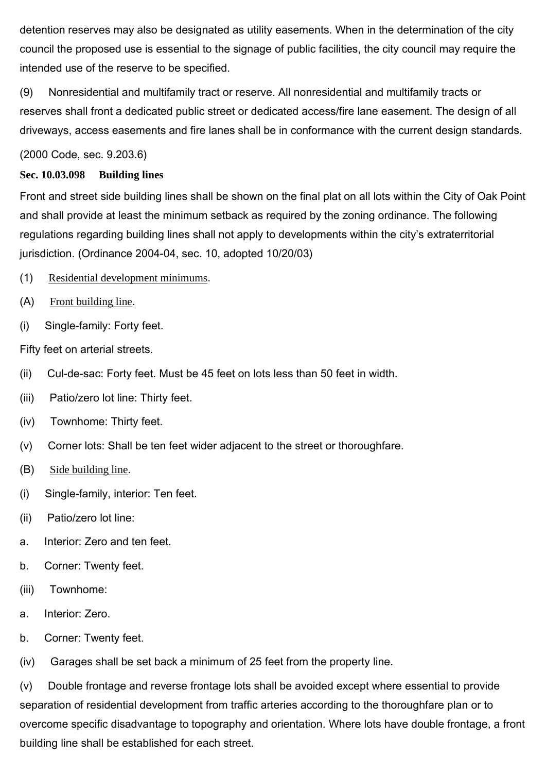detention reserves may also be designated as utility easements. When in the determination of the city council the proposed use is essential to the signage of public facilities, the city council may require the intended use of the reserve to be specified.

(9) Nonresidential and multifamily tract or reserve. All nonresidential and multifamily tracts or reserves shall front a dedicated public street or dedicated access/fire lane easement. The design of all driveways, access easements and fire lanes shall be in conformance with the current design standards.

(2000 Code, sec. 9.203.6)

# **Sec. 10.03.098 Building lines**

Front and street side building lines shall be shown on the final plat on all lots within the City of Oak Point and shall provide at least the minimum setback as required by the zoning ordinance. The following regulations regarding building lines shall not apply to developments within the city's extraterritorial jurisdiction. (Ordinance 2004-04, sec. 10, adopted 10/20/03)

- (1) Residential development minimums.
- (A) Front building line.
- (i) Single-family: Forty feet.

Fifty feet on arterial streets.

- (ii) Cul-de-sac: Forty feet. Must be 45 feet on lots less than 50 feet in width.
- (iii) Patio/zero lot line: Thirty feet.
- (iv) Townhome: Thirty feet.
- (v) Corner lots: Shall be ten feet wider adjacent to the street or thoroughfare.
- (B) Side building line.
- (i) Single-family, interior: Ten feet.
- (ii) Patio/zero lot line:
- a. Interior: Zero and ten feet.
- b. Corner: Twenty feet.
- (iii) Townhome:
- a. Interior: Zero.
- b. Corner: Twenty feet.

(iv) Garages shall be set back a minimum of 25 feet from the property line.

(v) Double frontage and reverse frontage lots shall be avoided except where essential to provide separation of residential development from traffic arteries according to the thoroughfare plan or to overcome specific disadvantage to topography and orientation. Where lots have double frontage, a front building line shall be established for each street.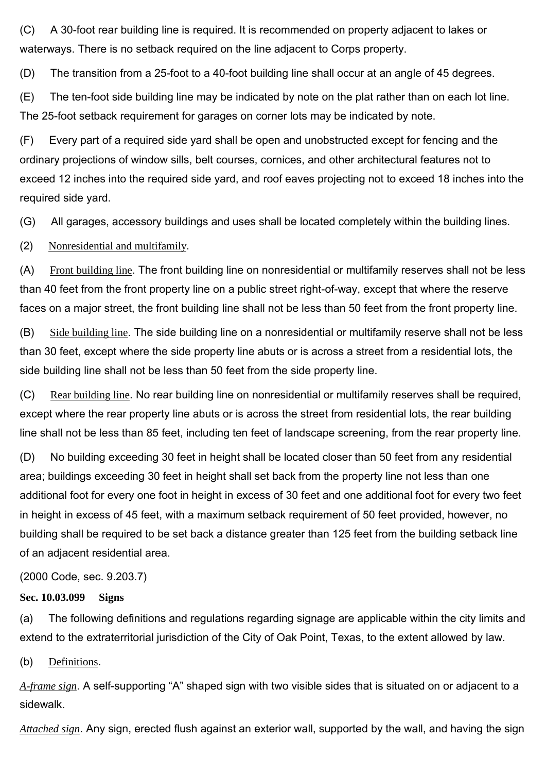(C) A 30-foot rear building line is required. It is recommended on property adjacent to lakes or waterways. There is no setback required on the line adjacent to Corps property.

(D) The transition from a 25-foot to a 40-foot building line shall occur at an angle of 45 degrees.

(E) The ten-foot side building line may be indicated by note on the plat rather than on each lot line. The 25-foot setback requirement for garages on corner lots may be indicated by note.

(F) Every part of a required side yard shall be open and unobstructed except for fencing and the ordinary projections of window sills, belt courses, cornices, and other architectural features not to exceed 12 inches into the required side yard, and roof eaves projecting not to exceed 18 inches into the required side yard.

(G) All garages, accessory buildings and uses shall be located completely within the building lines.

(2) Nonresidential and multifamily.

(A) Front building line. The front building line on nonresidential or multifamily reserves shall not be less than 40 feet from the front property line on a public street right-of-way, except that where the reserve faces on a major street, the front building line shall not be less than 50 feet from the front property line.

(B) Side building line. The side building line on a nonresidential or multifamily reserve shall not be less than 30 feet, except where the side property line abuts or is across a street from a residential lots, the side building line shall not be less than 50 feet from the side property line.

(C) Rear building line. No rear building line on nonresidential or multifamily reserves shall be required, except where the rear property line abuts or is across the street from residential lots, the rear building line shall not be less than 85 feet, including ten feet of landscape screening, from the rear property line.

(D) No building exceeding 30 feet in height shall be located closer than 50 feet from any residential area; buildings exceeding 30 feet in height shall set back from the property line not less than one additional foot for every one foot in height in excess of 30 feet and one additional foot for every two feet in height in excess of 45 feet, with a maximum setback requirement of 50 feet provided, however, no building shall be required to be set back a distance greater than 125 feet from the building setback line of an adjacent residential area.

## (2000 Code, sec. 9.203.7)

## **Sec. 10.03.099 Signs**

(a) The following definitions and regulations regarding signage are applicable within the city limits and extend to the extraterritorial jurisdiction of the City of Oak Point, Texas, to the extent allowed by law.

(b) Definitions.

*A-frame sign*. A self-supporting "A" shaped sign with two visible sides that is situated on or adjacent to a sidewalk.

*Attached sign*. Any sign, erected flush against an exterior wall, supported by the wall, and having the sign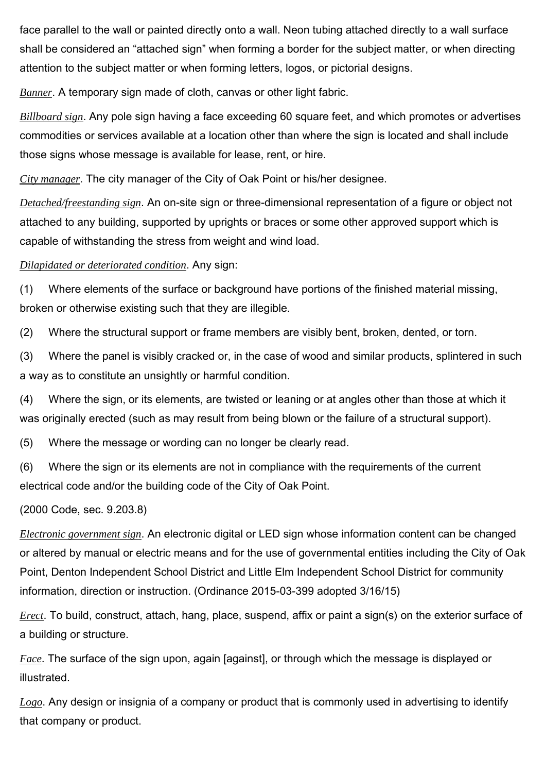face parallel to the wall or painted directly onto a wall. Neon tubing attached directly to a wall surface shall be considered an "attached sign" when forming a border for the subject matter, or when directing attention to the subject matter or when forming letters, logos, or pictorial designs.

*Banner*. A temporary sign made of cloth, canvas or other light fabric.

*Billboard sign*. Any pole sign having a face exceeding 60 square feet, and which promotes or advertises commodities or services available at a location other than where the sign is located and shall include those signs whose message is available for lease, rent, or hire.

*City manager*. The city manager of the City of Oak Point or his/her designee.

*Detached/freestanding sign*. An on-site sign or three-dimensional representation of a figure or object not attached to any building, supported by uprights or braces or some other approved support which is capable of withstanding the stress from weight and wind load.

# *Dilapidated or deteriorated condition*. Any sign:

(1) Where elements of the surface or background have portions of the finished material missing, broken or otherwise existing such that they are illegible.

(2) Where the structural support or frame members are visibly bent, broken, dented, or torn.

(3) Where the panel is visibly cracked or, in the case of wood and similar products, splintered in such a way as to constitute an unsightly or harmful condition.

(4) Where the sign, or its elements, are twisted or leaning or at angles other than those at which it was originally erected (such as may result from being blown or the failure of a structural support).

(5) Where the message or wording can no longer be clearly read.

(6) Where the sign or its elements are not in compliance with the requirements of the current electrical code and/or the building code of the City of Oak Point.

(2000 Code, sec. 9.203.8)

*Electronic government sign*. An electronic digital or LED sign whose information content can be changed or altered by manual or electric means and for the use of governmental entities including the City of Oak Point, Denton Independent School District and Little Elm Independent School District for community information, direction or instruction. (Ordinance 2015-03-399 adopted 3/16/15)

*Erect*. To build, construct, attach, hang, place, suspend, affix or paint a sign(s) on the exterior surface of a building or structure.

*Face*. The surface of the sign upon, again [against], or through which the message is displayed or illustrated.

*Logo*. Any design or insignia of a company or product that is commonly used in advertising to identify that company or product.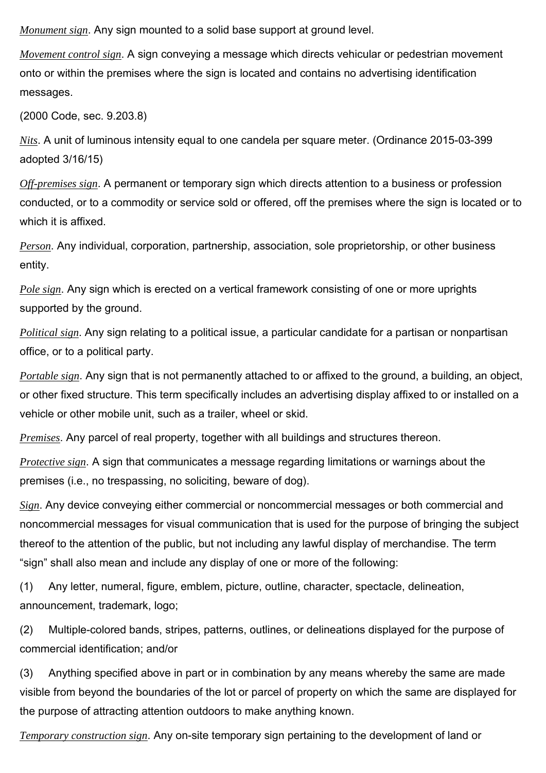*Monument sign*. Any sign mounted to a solid base support at ground level.

*Movement control sign*. A sign conveying a message which directs vehicular or pedestrian movement onto or within the premises where the sign is located and contains no advertising identification messages.

(2000 Code, sec. 9.203.8)

*Nits*. A unit of luminous intensity equal to one candela per square meter. (Ordinance 2015-03-399 adopted 3/16/15)

*Off-premises sign*. A permanent or temporary sign which directs attention to a business or profession conducted, or to a commodity or service sold or offered, off the premises where the sign is located or to which it is affixed.

*Person*. Any individual, corporation, partnership, association, sole proprietorship, or other business entity.

*Pole sign*. Any sign which is erected on a vertical framework consisting of one or more uprights supported by the ground.

*Political sign*. Any sign relating to a political issue, a particular candidate for a partisan or nonpartisan office, or to a political party.

*Portable sign*. Any sign that is not permanently attached to or affixed to the ground, a building, an object, or other fixed structure. This term specifically includes an advertising display affixed to or installed on a vehicle or other mobile unit, such as a trailer, wheel or skid.

*Premises*. Any parcel of real property, together with all buildings and structures thereon.

*Protective sign*. A sign that communicates a message regarding limitations or warnings about the premises (i.e., no trespassing, no soliciting, beware of dog).

*Sign*. Any device conveying either commercial or noncommercial messages or both commercial and noncommercial messages for visual communication that is used for the purpose of bringing the subject thereof to the attention of the public, but not including any lawful display of merchandise. The term "sign" shall also mean and include any display of one or more of the following:

(1) Any letter, numeral, figure, emblem, picture, outline, character, spectacle, delineation, announcement, trademark, logo;

(2) Multiple-colored bands, stripes, patterns, outlines, or delineations displayed for the purpose of commercial identification; and/or

(3) Anything specified above in part or in combination by any means whereby the same are made visible from beyond the boundaries of the lot or parcel of property on which the same are displayed for the purpose of attracting attention outdoors to make anything known.

*Temporary construction sign*. Any on-site temporary sign pertaining to the development of land or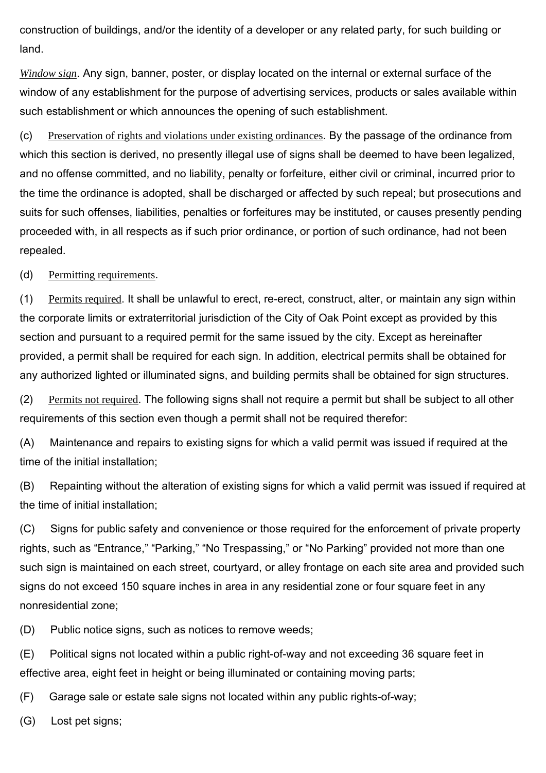construction of buildings, and/or the identity of a developer or any related party, for such building or land.

*Window sign*. Any sign, banner, poster, or display located on the internal or external surface of the window of any establishment for the purpose of advertising services, products or sales available within such establishment or which announces the opening of such establishment.

(c) Preservation of rights and violations under existing ordinances. By the passage of the ordinance from which this section is derived, no presently illegal use of signs shall be deemed to have been legalized, and no offense committed, and no liability, penalty or forfeiture, either civil or criminal, incurred prior to the time the ordinance is adopted, shall be discharged or affected by such repeal; but prosecutions and suits for such offenses, liabilities, penalties or forfeitures may be instituted, or causes presently pending proceeded with, in all respects as if such prior ordinance, or portion of such ordinance, had not been repealed.

(d) Permitting requirements.

(1) Permits required. It shall be unlawful to erect, re-erect, construct, alter, or maintain any sign within the corporate limits or extraterritorial jurisdiction of the City of Oak Point except as provided by this section and pursuant to a required permit for the same issued by the city. Except as hereinafter provided, a permit shall be required for each sign. In addition, electrical permits shall be obtained for any authorized lighted or illuminated signs, and building permits shall be obtained for sign structures.

(2) Permits not required. The following signs shall not require a permit but shall be subject to all other requirements of this section even though a permit shall not be required therefor:

(A) Maintenance and repairs to existing signs for which a valid permit was issued if required at the time of the initial installation;

(B) Repainting without the alteration of existing signs for which a valid permit was issued if required at the time of initial installation;

(C) Signs for public safety and convenience or those required for the enforcement of private property rights, such as "Entrance," "Parking," "No Trespassing," or "No Parking" provided not more than one such sign is maintained on each street, courtyard, or alley frontage on each site area and provided such signs do not exceed 150 square inches in area in any residential zone or four square feet in any nonresidential zone;

(D) Public notice signs, such as notices to remove weeds;

(E) Political signs not located within a public right-of-way and not exceeding 36 square feet in effective area, eight feet in height or being illuminated or containing moving parts;

(F) Garage sale or estate sale signs not located within any public rights-of-way;

(G) Lost pet signs;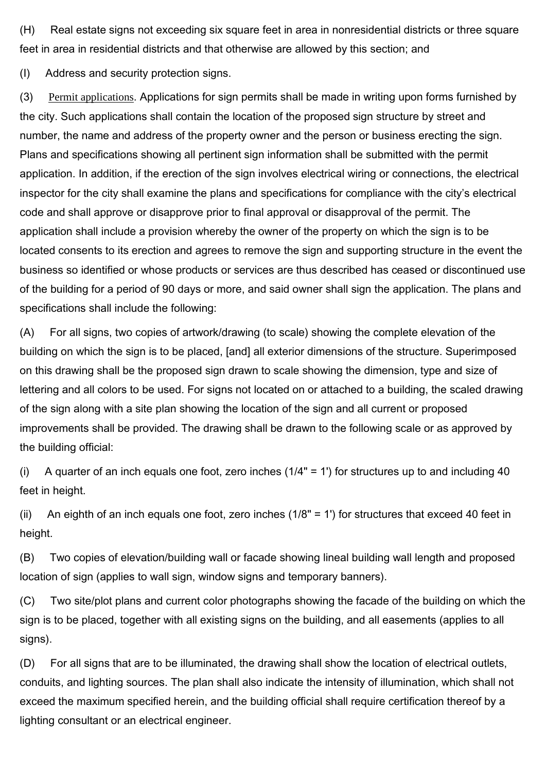(H) Real estate signs not exceeding six square feet in area in nonresidential districts or three square feet in area in residential districts and that otherwise are allowed by this section; and

(I) Address and security protection signs.

(3) Permit applications. Applications for sign permits shall be made in writing upon forms furnished by the city. Such applications shall contain the location of the proposed sign structure by street and number, the name and address of the property owner and the person or business erecting the sign. Plans and specifications showing all pertinent sign information shall be submitted with the permit application. In addition, if the erection of the sign involves electrical wiring or connections, the electrical inspector for the city shall examine the plans and specifications for compliance with the city's electrical code and shall approve or disapprove prior to final approval or disapproval of the permit. The application shall include a provision whereby the owner of the property on which the sign is to be located consents to its erection and agrees to remove the sign and supporting structure in the event the business so identified or whose products or services are thus described has ceased or discontinued use of the building for a period of 90 days or more, and said owner shall sign the application. The plans and specifications shall include the following:

(A) For all signs, two copies of artwork/drawing (to scale) showing the complete elevation of the building on which the sign is to be placed, [and] all exterior dimensions of the structure. Superimposed on this drawing shall be the proposed sign drawn to scale showing the dimension, type and size of lettering and all colors to be used. For signs not located on or attached to a building, the scaled drawing of the sign along with a site plan showing the location of the sign and all current or proposed improvements shall be provided. The drawing shall be drawn to the following scale or as approved by the building official:

(i) A quarter of an inch equals one foot, zero inches  $(1/4" = 1')$  for structures up to and including 40 feet in height.

(ii) An eighth of an inch equals one foot, zero inches (1/8" = 1') for structures that exceed 40 feet in height.

(B) Two copies of elevation/building wall or facade showing lineal building wall length and proposed location of sign (applies to wall sign, window signs and temporary banners).

(C) Two site/plot plans and current color photographs showing the facade of the building on which the sign is to be placed, together with all existing signs on the building, and all easements (applies to all signs).

(D) For all signs that are to be illuminated, the drawing shall show the location of electrical outlets, conduits, and lighting sources. The plan shall also indicate the intensity of illumination, which shall not exceed the maximum specified herein, and the building official shall require certification thereof by a lighting consultant or an electrical engineer.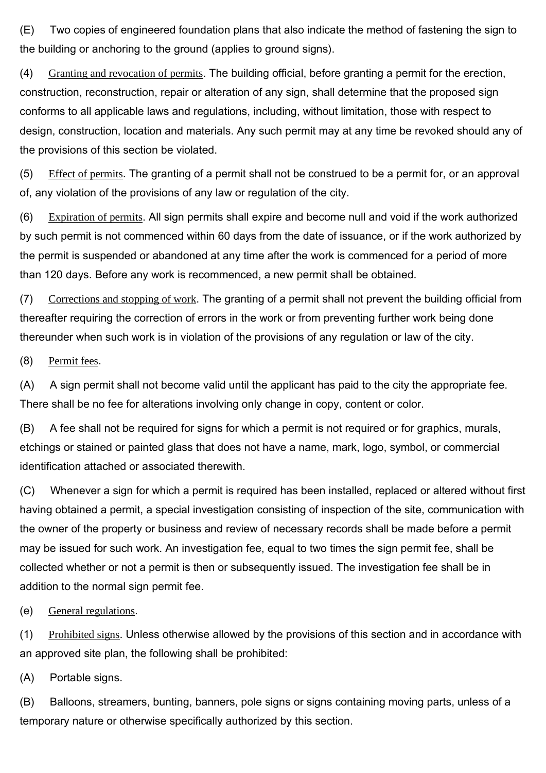(E) Two copies of engineered foundation plans that also indicate the method of fastening the sign to the building or anchoring to the ground (applies to ground signs).

(4) Granting and revocation of permits. The building official, before granting a permit for the erection, construction, reconstruction, repair or alteration of any sign, shall determine that the proposed sign conforms to all applicable laws and regulations, including, without limitation, those with respect to design, construction, location and materials. Any such permit may at any time be revoked should any of the provisions of this section be violated.

(5) Effect of permits. The granting of a permit shall not be construed to be a permit for, or an approval of, any violation of the provisions of any law or regulation of the city.

(6) Expiration of permits. All sign permits shall expire and become null and void if the work authorized by such permit is not commenced within 60 days from the date of issuance, or if the work authorized by the permit is suspended or abandoned at any time after the work is commenced for a period of more than 120 days. Before any work is recommenced, a new permit shall be obtained.

(7) Corrections and stopping of work. The granting of a permit shall not prevent the building official from thereafter requiring the correction of errors in the work or from preventing further work being done thereunder when such work is in violation of the provisions of any regulation or law of the city.

(8) Permit fees.

(A) A sign permit shall not become valid until the applicant has paid to the city the appropriate fee. There shall be no fee for alterations involving only change in copy, content or color.

(B) A fee shall not be required for signs for which a permit is not required or for graphics, murals, etchings or stained or painted glass that does not have a name, mark, logo, symbol, or commercial identification attached or associated therewith.

(C) Whenever a sign for which a permit is required has been installed, replaced or altered without first having obtained a permit, a special investigation consisting of inspection of the site, communication with the owner of the property or business and review of necessary records shall be made before a permit may be issued for such work. An investigation fee, equal to two times the sign permit fee, shall be collected whether or not a permit is then or subsequently issued. The investigation fee shall be in addition to the normal sign permit fee.

(e) General regulations.

(1) Prohibited signs. Unless otherwise allowed by the provisions of this section and in accordance with an approved site plan, the following shall be prohibited:

(A) Portable signs.

(B) Balloons, streamers, bunting, banners, pole signs or signs containing moving parts, unless of a temporary nature or otherwise specifically authorized by this section.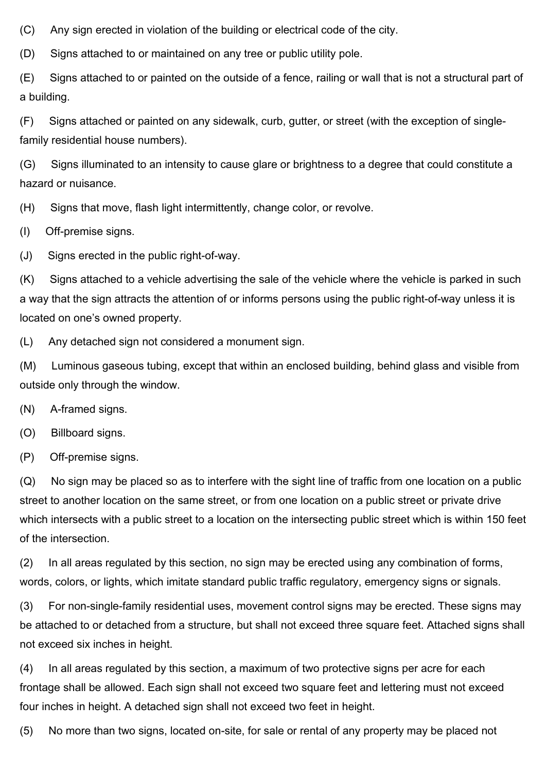(C) Any sign erected in violation of the building or electrical code of the city.

(D) Signs attached to or maintained on any tree or public utility pole.

(E) Signs attached to or painted on the outside of a fence, railing or wall that is not a structural part of a building.

(F) Signs attached or painted on any sidewalk, curb, gutter, or street (with the exception of singlefamily residential house numbers).

(G) Signs illuminated to an intensity to cause glare or brightness to a degree that could constitute a hazard or nuisance.

(H) Signs that move, flash light intermittently, change color, or revolve.

(I) Off-premise signs.

(J) Signs erected in the public right-of-way.

(K) Signs attached to a vehicle advertising the sale of the vehicle where the vehicle is parked in such a way that the sign attracts the attention of or informs persons using the public right-of-way unless it is located on one's owned property.

(L) Any detached sign not considered a monument sign.

(M) Luminous gaseous tubing, except that within an enclosed building, behind glass and visible from outside only through the window.

(N) A-framed signs.

(O) Billboard signs.

(P) Off-premise signs.

(Q) No sign may be placed so as to interfere with the sight line of traffic from one location on a public street to another location on the same street, or from one location on a public street or private drive which intersects with a public street to a location on the intersecting public street which is within 150 feet of the intersection.

(2) In all areas regulated by this section, no sign may be erected using any combination of forms, words, colors, or lights, which imitate standard public traffic regulatory, emergency signs or signals.

(3) For non-single-family residential uses, movement control signs may be erected. These signs may be attached to or detached from a structure, but shall not exceed three square feet. Attached signs shall not exceed six inches in height.

(4) In all areas regulated by this section, a maximum of two protective signs per acre for each frontage shall be allowed. Each sign shall not exceed two square feet and lettering must not exceed four inches in height. A detached sign shall not exceed two feet in height.

(5) No more than two signs, located on-site, for sale or rental of any property may be placed not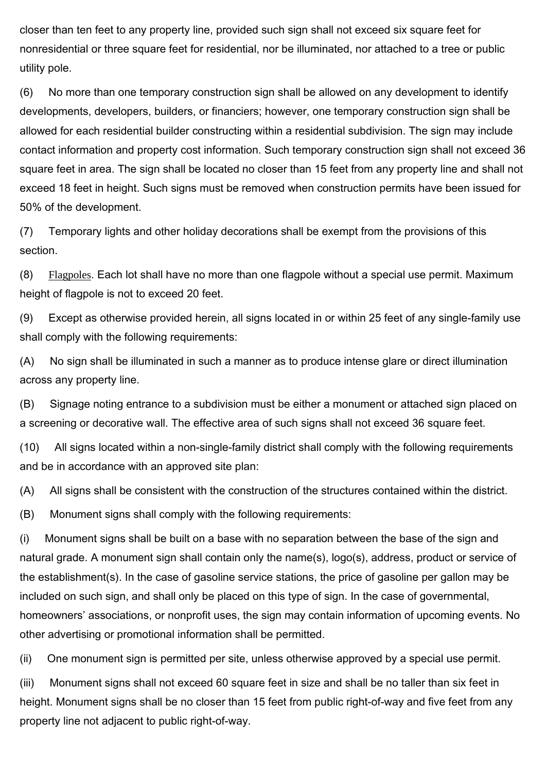closer than ten feet to any property line, provided such sign shall not exceed six square feet for nonresidential or three square feet for residential, nor be illuminated, nor attached to a tree or public utility pole.

(6) No more than one temporary construction sign shall be allowed on any development to identify developments, developers, builders, or financiers; however, one temporary construction sign shall be allowed for each residential builder constructing within a residential subdivision. The sign may include contact information and property cost information. Such temporary construction sign shall not exceed 36 square feet in area. The sign shall be located no closer than 15 feet from any property line and shall not exceed 18 feet in height. Such signs must be removed when construction permits have been issued for 50% of the development.

(7) Temporary lights and other holiday decorations shall be exempt from the provisions of this section.

(8) Flagpoles. Each lot shall have no more than one flagpole without a special use permit. Maximum height of flagpole is not to exceed 20 feet.

(9) Except as otherwise provided herein, all signs located in or within 25 feet of any single-family use shall comply with the following requirements:

(A) No sign shall be illuminated in such a manner as to produce intense glare or direct illumination across any property line.

(B) Signage noting entrance to a subdivision must be either a monument or attached sign placed on a screening or decorative wall. The effective area of such signs shall not exceed 36 square feet.

(10) All signs located within a non-single-family district shall comply with the following requirements and be in accordance with an approved site plan:

(A) All signs shall be consistent with the construction of the structures contained within the district.

(B) Monument signs shall comply with the following requirements:

(i) Monument signs shall be built on a base with no separation between the base of the sign and natural grade. A monument sign shall contain only the name(s), logo(s), address, product or service of the establishment(s). In the case of gasoline service stations, the price of gasoline per gallon may be included on such sign, and shall only be placed on this type of sign. In the case of governmental, homeowners' associations, or nonprofit uses, the sign may contain information of upcoming events. No other advertising or promotional information shall be permitted.

(ii) One monument sign is permitted per site, unless otherwise approved by a special use permit.

(iii) Monument signs shall not exceed 60 square feet in size and shall be no taller than six feet in height. Monument signs shall be no closer than 15 feet from public right-of-way and five feet from any property line not adjacent to public right-of-way.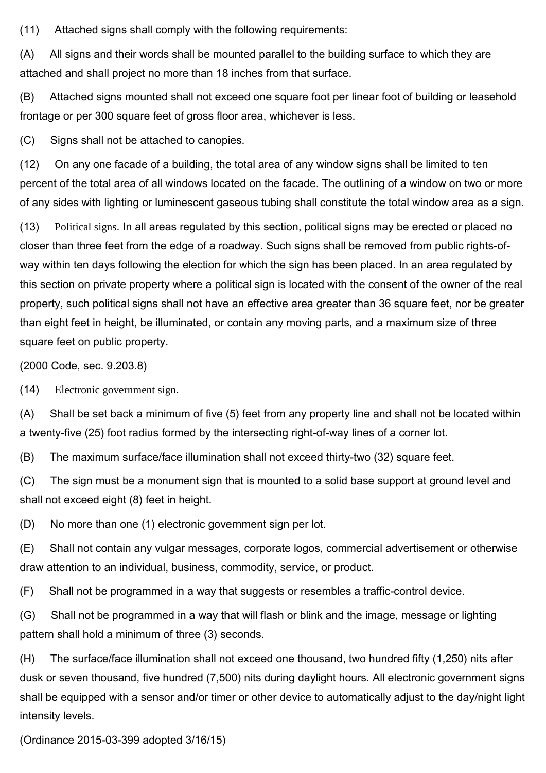(11) Attached signs shall comply with the following requirements:

(A) All signs and their words shall be mounted parallel to the building surface to which they are attached and shall project no more than 18 inches from that surface.

(B) Attached signs mounted shall not exceed one square foot per linear foot of building or leasehold frontage or per 300 square feet of gross floor area, whichever is less.

(C) Signs shall not be attached to canopies.

(12) On any one facade of a building, the total area of any window signs shall be limited to ten percent of the total area of all windows located on the facade. The outlining of a window on two or more of any sides with lighting or luminescent gaseous tubing shall constitute the total window area as a sign.

(13) Political signs. In all areas regulated by this section, political signs may be erected or placed no closer than three feet from the edge of a roadway. Such signs shall be removed from public rights-ofway within ten days following the election for which the sign has been placed. In an area regulated by this section on private property where a political sign is located with the consent of the owner of the real property, such political signs shall not have an effective area greater than 36 square feet, nor be greater than eight feet in height, be illuminated, or contain any moving parts, and a maximum size of three square feet on public property.

(2000 Code, sec. 9.203.8)

(14) Electronic government sign.

(A) Shall be set back a minimum of five (5) feet from any property line and shall not be located within a twenty-five (25) foot radius formed by the intersecting right-of-way lines of a corner lot.

(B) The maximum surface/face illumination shall not exceed thirty-two (32) square feet.

(C) The sign must be a monument sign that is mounted to a solid base support at ground level and shall not exceed eight (8) feet in height.

(D) No more than one (1) electronic government sign per lot.

(E) Shall not contain any vulgar messages, corporate logos, commercial advertisement or otherwise draw attention to an individual, business, commodity, service, or product.

(F) Shall not be programmed in a way that suggests or resembles a traffic-control device.

(G) Shall not be programmed in a way that will flash or blink and the image, message or lighting pattern shall hold a minimum of three (3) seconds.

(H) The surface/face illumination shall not exceed one thousand, two hundred fifty (1,250) nits after dusk or seven thousand, five hundred (7,500) nits during daylight hours. All electronic government signs shall be equipped with a sensor and/or timer or other device to automatically adjust to the day/night light intensity levels.

(Ordinance 2015-03-399 adopted 3/16/15)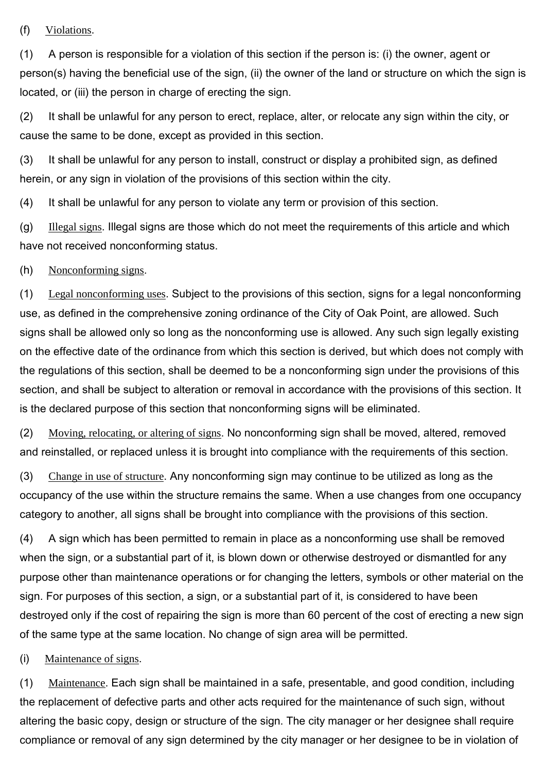## (f) Violations.

(1) A person is responsible for a violation of this section if the person is: (i) the owner, agent or person(s) having the beneficial use of the sign, (ii) the owner of the land or structure on which the sign is located, or (iii) the person in charge of erecting the sign.

(2) It shall be unlawful for any person to erect, replace, alter, or relocate any sign within the city, or cause the same to be done, except as provided in this section.

(3) It shall be unlawful for any person to install, construct or display a prohibited sign, as defined herein, or any sign in violation of the provisions of this section within the city.

(4) It shall be unlawful for any person to violate any term or provision of this section.

(g) Illegal signs. Illegal signs are those which do not meet the requirements of this article and which have not received nonconforming status.

#### (h) Nonconforming signs.

(1) Legal nonconforming uses. Subject to the provisions of this section, signs for a legal nonconforming use, as defined in the comprehensive zoning ordinance of the City of Oak Point, are allowed. Such signs shall be allowed only so long as the nonconforming use is allowed. Any such sign legally existing on the effective date of the ordinance from which this section is derived, but which does not comply with the regulations of this section, shall be deemed to be a nonconforming sign under the provisions of this section, and shall be subject to alteration or removal in accordance with the provisions of this section. It is the declared purpose of this section that nonconforming signs will be eliminated.

(2) Moving, relocating, or altering of signs. No nonconforming sign shall be moved, altered, removed and reinstalled, or replaced unless it is brought into compliance with the requirements of this section.

(3) Change in use of structure. Any nonconforming sign may continue to be utilized as long as the occupancy of the use within the structure remains the same. When a use changes from one occupancy category to another, all signs shall be brought into compliance with the provisions of this section.

(4) A sign which has been permitted to remain in place as a nonconforming use shall be removed when the sign, or a substantial part of it, is blown down or otherwise destroyed or dismantled for any purpose other than maintenance operations or for changing the letters, symbols or other material on the sign. For purposes of this section, a sign, or a substantial part of it, is considered to have been destroyed only if the cost of repairing the sign is more than 60 percent of the cost of erecting a new sign of the same type at the same location. No change of sign area will be permitted.

#### (i) Maintenance of signs.

(1) Maintenance. Each sign shall be maintained in a safe, presentable, and good condition, including the replacement of defective parts and other acts required for the maintenance of such sign, without altering the basic copy, design or structure of the sign. The city manager or her designee shall require compliance or removal of any sign determined by the city manager or her designee to be in violation of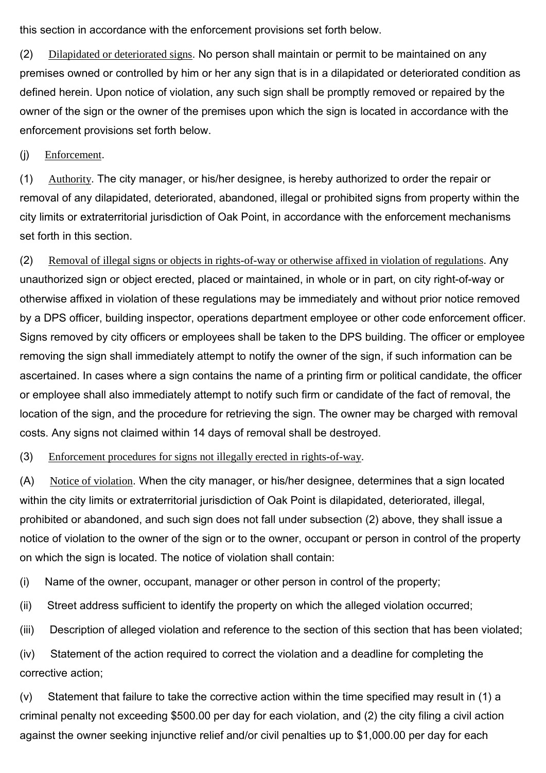this section in accordance with the enforcement provisions set forth below.

(2) Dilapidated or deteriorated signs. No person shall maintain or permit to be maintained on any premises owned or controlled by him or her any sign that is in a dilapidated or deteriorated condition as defined herein. Upon notice of violation, any such sign shall be promptly removed or repaired by the owner of the sign or the owner of the premises upon which the sign is located in accordance with the enforcement provisions set forth below.

(j) Enforcement.

(1) Authority. The city manager, or his/her designee, is hereby authorized to order the repair or removal of any dilapidated, deteriorated, abandoned, illegal or prohibited signs from property within the city limits or extraterritorial jurisdiction of Oak Point, in accordance with the enforcement mechanisms set forth in this section.

(2) Removal of illegal signs or objects in rights-of-way or otherwise affixed in violation of regulations. Any unauthorized sign or object erected, placed or maintained, in whole or in part, on city right-of-way or otherwise affixed in violation of these regulations may be immediately and without prior notice removed by a DPS officer, building inspector, operations department employee or other code enforcement officer. Signs removed by city officers or employees shall be taken to the DPS building. The officer or employee removing the sign shall immediately attempt to notify the owner of the sign, if such information can be ascertained. In cases where a sign contains the name of a printing firm or political candidate, the officer or employee shall also immediately attempt to notify such firm or candidate of the fact of removal, the location of the sign, and the procedure for retrieving the sign. The owner may be charged with removal costs. Any signs not claimed within 14 days of removal shall be destroyed.

(3) Enforcement procedures for signs not illegally erected in rights-of-way.

(A) Notice of violation. When the city manager, or his/her designee, determines that a sign located within the city limits or extraterritorial jurisdiction of Oak Point is dilapidated, deteriorated, illegal, prohibited or abandoned, and such sign does not fall under subsection (2) above, they shall issue a notice of violation to the owner of the sign or to the owner, occupant or person in control of the property on which the sign is located. The notice of violation shall contain:

(i) Name of the owner, occupant, manager or other person in control of the property;

(ii) Street address sufficient to identify the property on which the alleged violation occurred;

(iii) Description of alleged violation and reference to the section of this section that has been violated;

(iv) Statement of the action required to correct the violation and a deadline for completing the corrective action;

(v) Statement that failure to take the corrective action within the time specified may result in (1) a criminal penalty not exceeding \$500.00 per day for each violation, and (2) the city filing a civil action against the owner seeking injunctive relief and/or civil penalties up to \$1,000.00 per day for each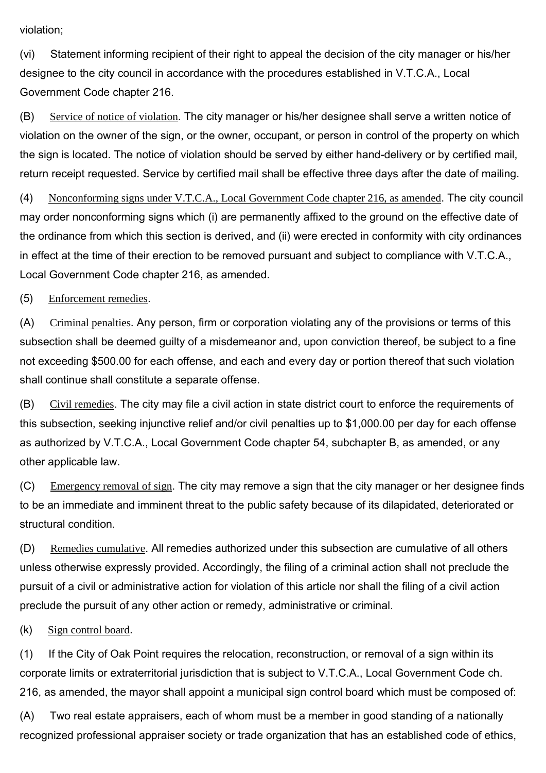violation;

(vi) Statement informing recipient of their right to appeal the decision of the city manager or his/her designee to the city council in accordance with the procedures established in V.T.C.A., Local Government Code chapter 216.

(B) Service of notice of violation. The city manager or his/her designee shall serve a written notice of violation on the owner of the sign, or the owner, occupant, or person in control of the property on which the sign is located. The notice of violation should be served by either hand-delivery or by certified mail, return receipt requested. Service by certified mail shall be effective three days after the date of mailing.

(4) Nonconforming signs under V.T.C.A., Local Government Code chapter 216, as amended. The city council may order nonconforming signs which (i) are permanently affixed to the ground on the effective date of the ordinance from which this section is derived, and (ii) were erected in conformity with city ordinances in effect at the time of their erection to be removed pursuant and subject to compliance with V.T.C.A., Local Government Code chapter 216, as amended.

(5) Enforcement remedies.

(A) Criminal penalties. Any person, firm or corporation violating any of the provisions or terms of this subsection shall be deemed guilty of a misdemeanor and, upon conviction thereof, be subject to a fine not exceeding \$500.00 for each offense, and each and every day or portion thereof that such violation shall continue shall constitute a separate offense.

(B) Civil remedies. The city may file a civil action in state district court to enforce the requirements of this subsection, seeking injunctive relief and/or civil penalties up to \$1,000.00 per day for each offense as authorized by V.T.C.A., Local Government Code chapter 54, subchapter B, as amended, or any other applicable law.

(C) Emergency removal of sign. The city may remove a sign that the city manager or her designee finds to be an immediate and imminent threat to the public safety because of its dilapidated, deteriorated or structural condition.

(D) Remedies cumulative. All remedies authorized under this subsection are cumulative of all others unless otherwise expressly provided. Accordingly, the filing of a criminal action shall not preclude the pursuit of a civil or administrative action for violation of this article nor shall the filing of a civil action preclude the pursuit of any other action or remedy, administrative or criminal.

(k) Sign control board.

(1) If the City of Oak Point requires the relocation, reconstruction, or removal of a sign within its corporate limits or extraterritorial jurisdiction that is subject to V.T.C.A., Local Government Code ch. 216, as amended, the mayor shall appoint a municipal sign control board which must be composed of:

(A) Two real estate appraisers, each of whom must be a member in good standing of a nationally recognized professional appraiser society or trade organization that has an established code of ethics,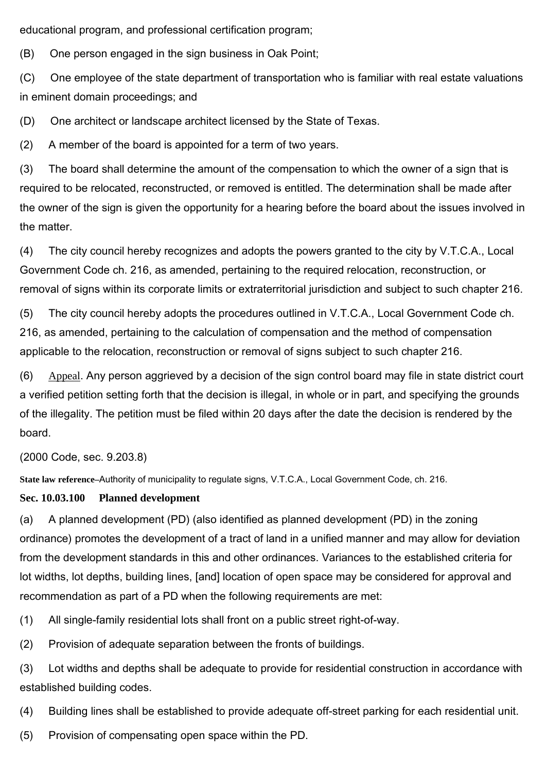educational program, and professional certification program;

(B) One person engaged in the sign business in Oak Point;

(C) One employee of the state department of transportation who is familiar with real estate valuations in eminent domain proceedings; and

(D) One architect or landscape architect licensed by the State of Texas.

(2) A member of the board is appointed for a term of two years.

(3) The board shall determine the amount of the compensation to which the owner of a sign that is required to be relocated, reconstructed, or removed is entitled. The determination shall be made after the owner of the sign is given the opportunity for a hearing before the board about the issues involved in the matter.

(4) The city council hereby recognizes and adopts the powers granted to the city by V.T.C.A., Local Government Code ch. 216, as amended, pertaining to the required relocation, reconstruction, or removal of signs within its corporate limits or extraterritorial jurisdiction and subject to such chapter 216.

(5) The city council hereby adopts the procedures outlined in V.T.C.A., Local Government Code ch. 216, as amended, pertaining to the calculation of compensation and the method of compensation applicable to the relocation, reconstruction or removal of signs subject to such chapter 216.

 $(6)$  Appeal. Any person aggrieved by a decision of the sign control board may file in state district court a verified petition setting forth that the decision is illegal, in whole or in part, and specifying the grounds of the illegality. The petition must be filed within 20 days after the date the decision is rendered by the board.

(2000 Code, sec. 9.203.8)

**State law reference–**Authority of municipality to regulate signs, V.T.C.A., Local Government Code, ch. 216.

# **Sec. 10.03.100 Planned development**

(a) A planned development (PD) (also identified as planned development (PD) in the zoning ordinance) promotes the development of a tract of land in a unified manner and may allow for deviation from the development standards in this and other ordinances. Variances to the established criteria for lot widths, lot depths, building lines, [and] location of open space may be considered for approval and recommendation as part of a PD when the following requirements are met:

(1) All single-family residential lots shall front on a public street right-of-way.

(2) Provision of adequate separation between the fronts of buildings.

(3) Lot widths and depths shall be adequate to provide for residential construction in accordance with established building codes.

(4) Building lines shall be established to provide adequate off-street parking for each residential unit.

(5) Provision of compensating open space within the PD.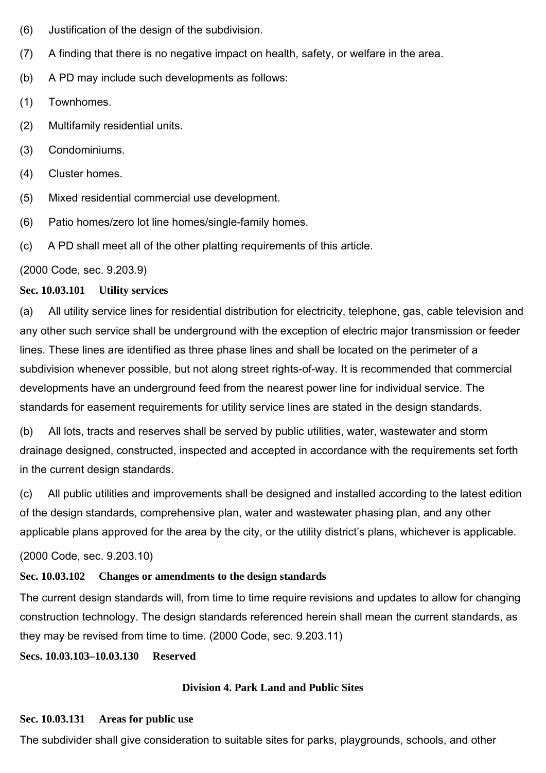- (6) Justification of the design of the subdivision.
- (7) A finding that there is no negative impact on health, safety, or welfare in the area.
- (b) A PD may include such developments as follows:
- (1) Townhomes.
- (2) Multifamily residential units.
- (3) Condominiums.
- (4) Cluster homes.
- (5) Mixed residential commercial use development.
- (6) Patio homes/zero lot line homes/single-family homes.
- (c) A PD shall meet all of the other platting requirements of this article.

(2000 Code, sec. 9.203.9)

## **Sec. 10.03.101 Utility services**

(a) All utility service lines for residential distribution for electricity, telephone, gas, cable television and any other such service shall be underground with the exception of electric major transmission or feeder lines. These lines are identified as three phase lines and shall be located on the perimeter of a subdivision whenever possible, but not along street rights-of-way. It is recommended that commercial developments have an underground feed from the nearest power line for individual service. The standards for easement requirements for utility service lines are stated in the design standards.

(b) All lots, tracts and reserves shall be served by public utilities, water, wastewater and storm drainage designed, constructed, inspected and accepted in accordance with the requirements set forth in the current design standards.

(c) All public utilities and improvements shall be designed and installed according to the latest edition of the design standards, comprehensive plan, water and wastewater phasing plan, and any other applicable plans approved for the area by the city, or the utility district's plans, whichever is applicable.

(2000 Code, sec. 9.203.10)

## **Sec. 10.03.102 Changes or amendments to the design standards**

The current design standards will, from time to time require revisions and updates to allow for changing construction technology. The design standards referenced herein shall mean the current standards, as they may be revised from time to time. (2000 Code, sec. 9.203.11)

**Secs. 10.03.103–10.03.130 Reserved**

## **Division 4. Park Land and Public Sites**

#### **Sec. 10.03.131 Areas for public use**

The subdivider shall give consideration to suitable sites for parks, playgrounds, schools, and other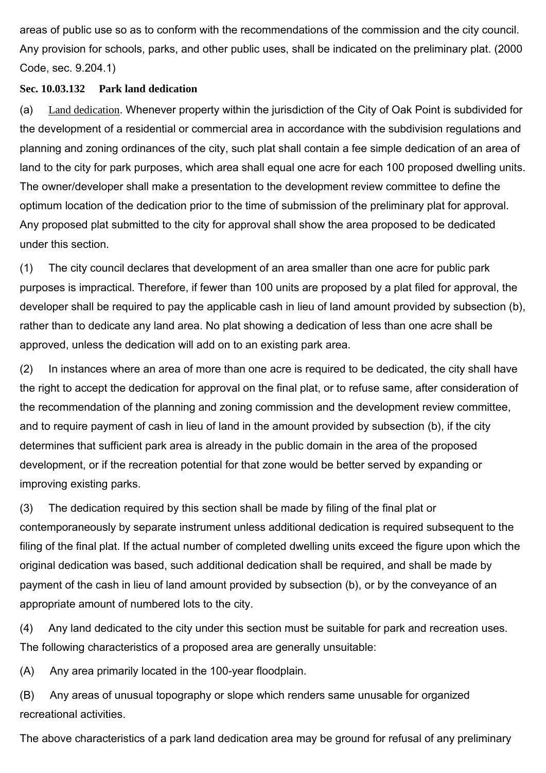areas of public use so as to conform with the recommendations of the commission and the city council. Any provision for schools, parks, and other public uses, shall be indicated on the preliminary plat. (2000 Code, sec. 9.204.1)

## **Sec. 10.03.132 Park land dedication**

(a) Land dedication. Whenever property within the jurisdiction of the City of Oak Point is subdivided for the development of a residential or commercial area in accordance with the subdivision regulations and planning and zoning ordinances of the city, such plat shall contain a fee simple dedication of an area of land to the city for park purposes, which area shall equal one acre for each 100 proposed dwelling units. The owner/developer shall make a presentation to the development review committee to define the optimum location of the dedication prior to the time of submission of the preliminary plat for approval. Any proposed plat submitted to the city for approval shall show the area proposed to be dedicated under this section.

(1) The city council declares that development of an area smaller than one acre for public park purposes is impractical. Therefore, if fewer than 100 units are proposed by a plat filed for approval, the developer shall be required to pay the applicable cash in lieu of land amount provided by subsection (b), rather than to dedicate any land area. No plat showing a dedication of less than one acre shall be approved, unless the dedication will add on to an existing park area.

(2) In instances where an area of more than one acre is required to be dedicated, the city shall have the right to accept the dedication for approval on the final plat, or to refuse same, after consideration of the recommendation of the planning and zoning commission and the development review committee, and to require payment of cash in lieu of land in the amount provided by subsection (b), if the city determines that sufficient park area is already in the public domain in the area of the proposed development, or if the recreation potential for that zone would be better served by expanding or improving existing parks.

(3) The dedication required by this section shall be made by filing of the final plat or contemporaneously by separate instrument unless additional dedication is required subsequent to the filing of the final plat. If the actual number of completed dwelling units exceed the figure upon which the original dedication was based, such additional dedication shall be required, and shall be made by payment of the cash in lieu of land amount provided by subsection (b), or by the conveyance of an appropriate amount of numbered lots to the city.

(4) Any land dedicated to the city under this section must be suitable for park and recreation uses. The following characteristics of a proposed area are generally unsuitable:

(A) Any area primarily located in the 100-year floodplain.

(B) Any areas of unusual topography or slope which renders same unusable for organized recreational activities.

The above characteristics of a park land dedication area may be ground for refusal of any preliminary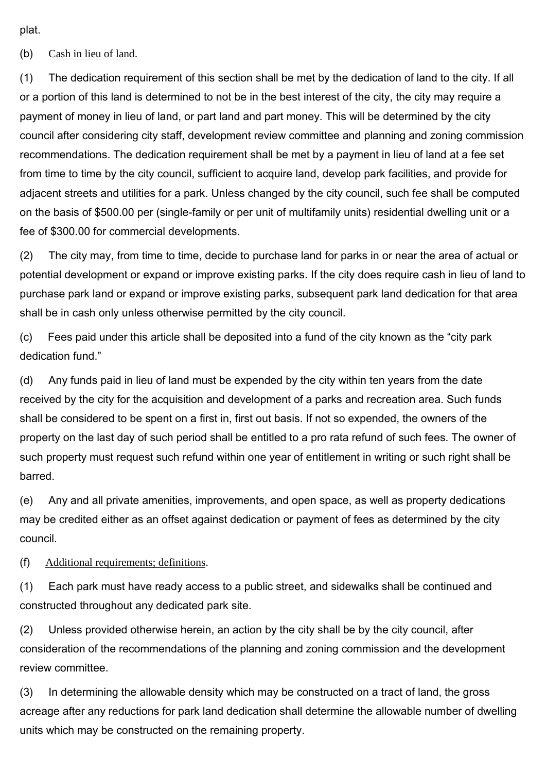plat.

(b) Cash in lieu of land.

(1) The dedication requirement of this section shall be met by the dedication of land to the city. If all or a portion of this land is determined to not be in the best interest of the city, the city may require a payment of money in lieu of land, or part land and part money. This will be determined by the city council after considering city staff, development review committee and planning and zoning commission recommendations. The dedication requirement shall be met by a payment in lieu of land at a fee set from time to time by the city council, sufficient to acquire land, develop park facilities, and provide for adjacent streets and utilities for a park. Unless changed by the city council, such fee shall be computed on the basis of \$500.00 per (single-family or per unit of multifamily units) residential dwelling unit or a fee of \$300.00 for commercial developments.

(2) The city may, from time to time, decide to purchase land for parks in or near the area of actual or potential development or expand or improve existing parks. If the city does require cash in lieu of land to purchase park land or expand or improve existing parks, subsequent park land dedication for that area shall be in cash only unless otherwise permitted by the city council.

(c) Fees paid under this article shall be deposited into a fund of the city known as the "city park dedication fund."

(d) Any funds paid in lieu of land must be expended by the city within ten years from the date received by the city for the acquisition and development of a parks and recreation area. Such funds shall be considered to be spent on a first in, first out basis. If not so expended, the owners of the property on the last day of such period shall be entitled to a pro rata refund of such fees. The owner of such property must request such refund within one year of entitlement in writing or such right shall be barred.

(e) Any and all private amenities, improvements, and open space, as well as property dedications may be credited either as an offset against dedication or payment of fees as determined by the city council.

(f) Additional requirements; definitions.

(1) Each park must have ready access to a public street, and sidewalks shall be continued and constructed throughout any dedicated park site.

(2) Unless provided otherwise herein, an action by the city shall be by the city council, after consideration of the recommendations of the planning and zoning commission and the development review committee.

(3) In determining the allowable density which may be constructed on a tract of land, the gross acreage after any reductions for park land dedication shall determine the allowable number of dwelling units which may be constructed on the remaining property.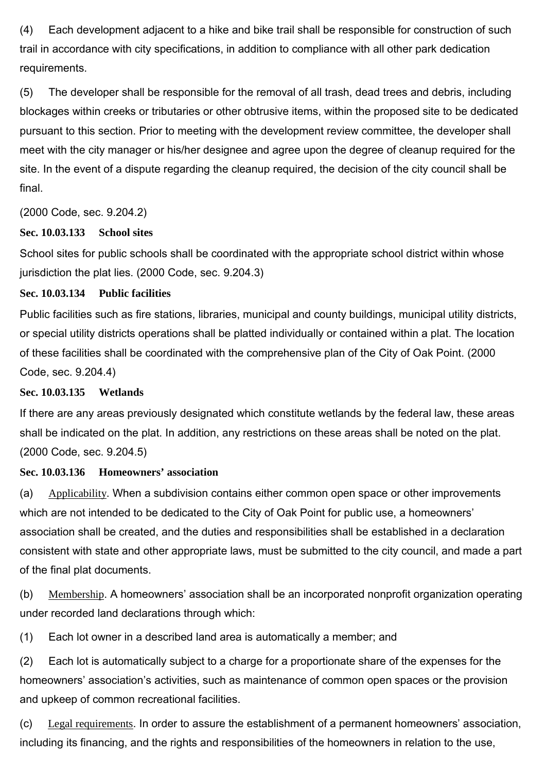(4) Each development adjacent to a hike and bike trail shall be responsible for construction of such trail in accordance with city specifications, in addition to compliance with all other park dedication requirements.

(5) The developer shall be responsible for the removal of all trash, dead trees and debris, including blockages within creeks or tributaries or other obtrusive items, within the proposed site to be dedicated pursuant to this section. Prior to meeting with the development review committee, the developer shall meet with the city manager or his/her designee and agree upon the degree of cleanup required for the site. In the event of a dispute regarding the cleanup required, the decision of the city council shall be final.

(2000 Code, sec. 9.204.2)

#### **Sec. 10.03.133 School sites**

School sites for public schools shall be coordinated with the appropriate school district within whose jurisdiction the plat lies. (2000 Code, sec. 9.204.3)

#### **Sec. 10.03.134 Public facilities**

Public facilities such as fire stations, libraries, municipal and county buildings, municipal utility districts, or special utility districts operations shall be platted individually or contained within a plat. The location of these facilities shall be coordinated with the comprehensive plan of the City of Oak Point. (2000 Code, sec. 9.204.4)

## **Sec. 10.03.135 Wetlands**

If there are any areas previously designated which constitute wetlands by the federal law, these areas shall be indicated on the plat. In addition, any restrictions on these areas shall be noted on the plat. (2000 Code, sec. 9.204.5)

## **Sec. 10.03.136 Homeowners' association**

(a) Applicability. When a subdivision contains either common open space or other improvements which are not intended to be dedicated to the City of Oak Point for public use, a homeowners' association shall be created, and the duties and responsibilities shall be established in a declaration consistent with state and other appropriate laws, must be submitted to the city council, and made a part of the final plat documents.

(b) Membership. A homeowners' association shall be an incorporated nonprofit organization operating under recorded land declarations through which:

(1) Each lot owner in a described land area is automatically a member; and

(2) Each lot is automatically subject to a charge for a proportionate share of the expenses for the homeowners' association's activities, such as maintenance of common open spaces or the provision and upkeep of common recreational facilities.

(c) Legal requirements. In order to assure the establishment of a permanent homeowners' association, including its financing, and the rights and responsibilities of the homeowners in relation to the use,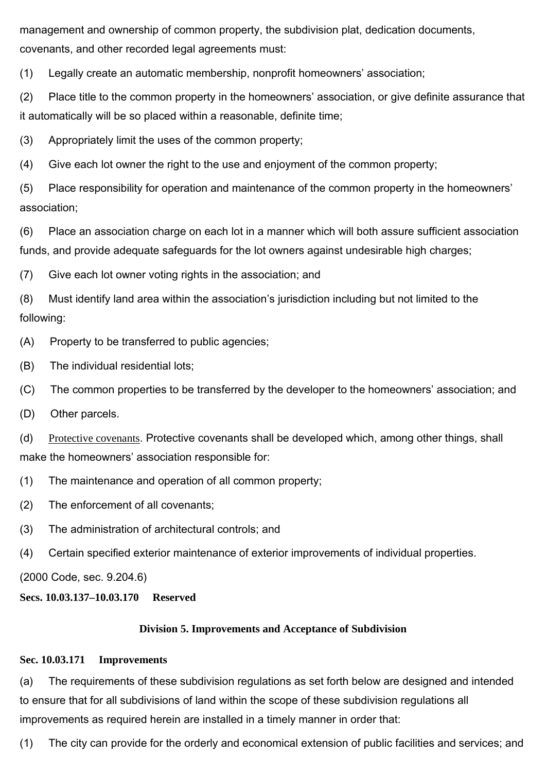management and ownership of common property, the subdivision plat, dedication documents, covenants, and other recorded legal agreements must:

(1) Legally create an automatic membership, nonprofit homeowners' association;

(2) Place title to the common property in the homeowners' association, or give definite assurance that it automatically will be so placed within a reasonable, definite time;

(3) Appropriately limit the uses of the common property;

(4) Give each lot owner the right to the use and enjoyment of the common property;

(5) Place responsibility for operation and maintenance of the common property in the homeowners' association;

(6) Place an association charge on each lot in a manner which will both assure sufficient association funds, and provide adequate safeguards for the lot owners against undesirable high charges;

(7) Give each lot owner voting rights in the association; and

(8) Must identify land area within the association's jurisdiction including but not limited to the following:

- (A) Property to be transferred to public agencies;
- (B) The individual residential lots;
- (C) The common properties to be transferred by the developer to the homeowners' association; and
- (D) Other parcels.

(d) Protective covenants. Protective covenants shall be developed which, among other things, shall make the homeowners' association responsible for:

- (1) The maintenance and operation of all common property;
- (2) The enforcement of all covenants;
- (3) The administration of architectural controls; and
- (4) Certain specified exterior maintenance of exterior improvements of individual properties.

(2000 Code, sec. 9.204.6)

## **Secs. 10.03.137–10.03.170 Reserved**

## **Division 5. Improvements and Acceptance of Subdivision**

#### **Sec. 10.03.171 Improvements**

(a) The requirements of these subdivision regulations as set forth below are designed and intended to ensure that for all subdivisions of land within the scope of these subdivision regulations all improvements as required herein are installed in a timely manner in order that:

(1) The city can provide for the orderly and economical extension of public facilities and services; and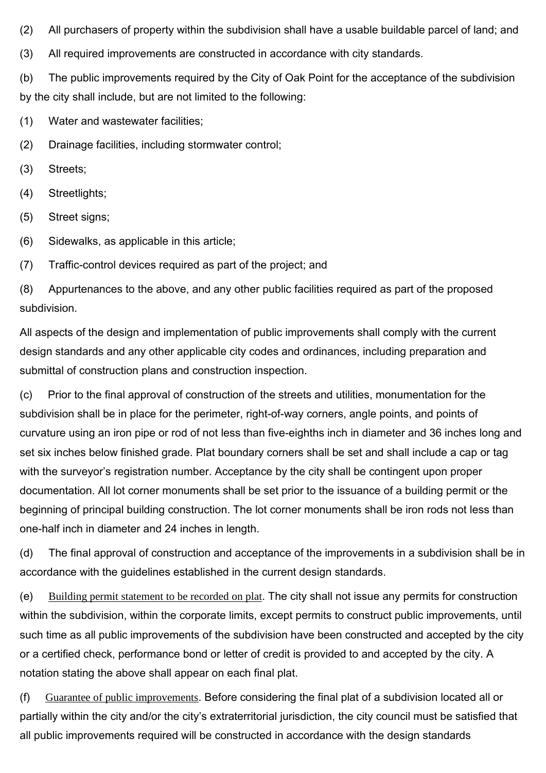(2) All purchasers of property within the subdivision shall have a usable buildable parcel of land; and

(3) All required improvements are constructed in accordance with city standards.

(b) The public improvements required by the City of Oak Point for the acceptance of the subdivision by the city shall include, but are not limited to the following:

(1) Water and wastewater facilities;

(2) Drainage facilities, including stormwater control;

- (3) Streets;
- (4) Streetlights;
- (5) Street signs;
- (6) Sidewalks, as applicable in this article;

(7) Traffic-control devices required as part of the project; and

(8) Appurtenances to the above, and any other public facilities required as part of the proposed subdivision.

All aspects of the design and implementation of public improvements shall comply with the current design standards and any other applicable city codes and ordinances, including preparation and submittal of construction plans and construction inspection.

(c) Prior to the final approval of construction of the streets and utilities, monumentation for the subdivision shall be in place for the perimeter, right-of-way corners, angle points, and points of curvature using an iron pipe or rod of not less than five-eighths inch in diameter and 36 inches long and set six inches below finished grade. Plat boundary corners shall be set and shall include a cap or tag with the surveyor's registration number. Acceptance by the city shall be contingent upon proper documentation. All lot corner monuments shall be set prior to the issuance of a building permit or the beginning of principal building construction. The lot corner monuments shall be iron rods not less than one-half inch in diameter and 24 inches in length.

(d) The final approval of construction and acceptance of the improvements in a subdivision shall be in accordance with the guidelines established in the current design standards.

(e) Building permit statement to be recorded on plat. The city shall not issue any permits for construction within the subdivision, within the corporate limits, except permits to construct public improvements, until such time as all public improvements of the subdivision have been constructed and accepted by the city or a certified check, performance bond or letter of credit is provided to and accepted by the city. A notation stating the above shall appear on each final plat.

(f) Guarantee of public improvements. Before considering the final plat of a subdivision located all or partially within the city and/or the city's extraterritorial jurisdiction, the city council must be satisfied that all public improvements required will be constructed in accordance with the design standards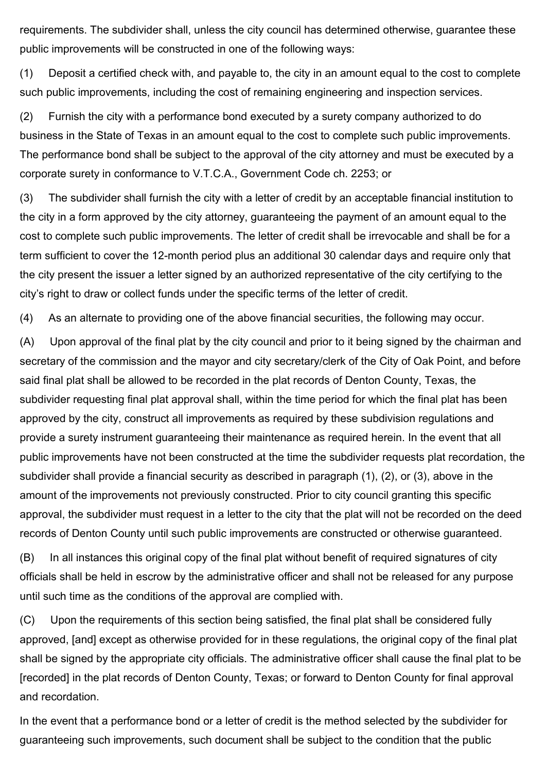requirements. The subdivider shall, unless the city council has determined otherwise, guarantee these public improvements will be constructed in one of the following ways:

(1) Deposit a certified check with, and payable to, the city in an amount equal to the cost to complete such public improvements, including the cost of remaining engineering and inspection services.

(2) Furnish the city with a performance bond executed by a surety company authorized to do business in the State of Texas in an amount equal to the cost to complete such public improvements. The performance bond shall be subject to the approval of the city attorney and must be executed by a corporate surety in conformance to V.T.C.A., Government Code ch. 2253; or

(3) The subdivider shall furnish the city with a letter of credit by an acceptable financial institution to the city in a form approved by the city attorney, guaranteeing the payment of an amount equal to the cost to complete such public improvements. The letter of credit shall be irrevocable and shall be for a term sufficient to cover the 12-month period plus an additional 30 calendar days and require only that the city present the issuer a letter signed by an authorized representative of the city certifying to the city's right to draw or collect funds under the specific terms of the letter of credit.

(4) As an alternate to providing one of the above financial securities, the following may occur.

(A) Upon approval of the final plat by the city council and prior to it being signed by the chairman and secretary of the commission and the mayor and city secretary/clerk of the City of Oak Point, and before said final plat shall be allowed to be recorded in the plat records of Denton County, Texas, the subdivider requesting final plat approval shall, within the time period for which the final plat has been approved by the city, construct all improvements as required by these subdivision regulations and provide a surety instrument guaranteeing their maintenance as required herein. In the event that all public improvements have not been constructed at the time the subdivider requests plat recordation, the subdivider shall provide a financial security as described in paragraph (1), (2), or (3), above in the amount of the improvements not previously constructed. Prior to city council granting this specific approval, the subdivider must request in a letter to the city that the plat will not be recorded on the deed records of Denton County until such public improvements are constructed or otherwise guaranteed.

(B) In all instances this original copy of the final plat without benefit of required signatures of city officials shall be held in escrow by the administrative officer and shall not be released for any purpose until such time as the conditions of the approval are complied with.

(C) Upon the requirements of this section being satisfied, the final plat shall be considered fully approved, [and] except as otherwise provided for in these regulations, the original copy of the final plat shall be signed by the appropriate city officials. The administrative officer shall cause the final plat to be [recorded] in the plat records of Denton County, Texas; or forward to Denton County for final approval and recordation.

In the event that a performance bond or a letter of credit is the method selected by the subdivider for guaranteeing such improvements, such document shall be subject to the condition that the public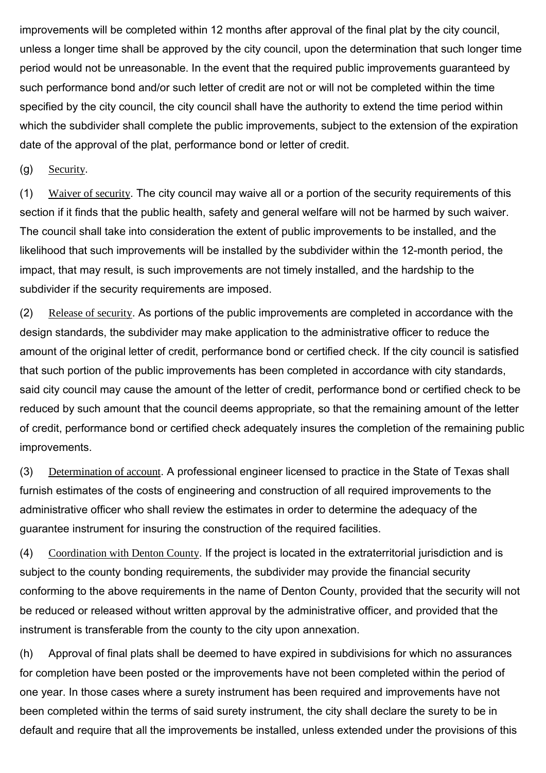improvements will be completed within 12 months after approval of the final plat by the city council, unless a longer time shall be approved by the city council, upon the determination that such longer time period would not be unreasonable. In the event that the required public improvements guaranteed by such performance bond and/or such letter of credit are not or will not be completed within the time specified by the city council, the city council shall have the authority to extend the time period within which the subdivider shall complete the public improvements, subject to the extension of the expiration date of the approval of the plat, performance bond or letter of credit.

(g) Security.

(1) Waiver of security. The city council may waive all or a portion of the security requirements of this section if it finds that the public health, safety and general welfare will not be harmed by such waiver. The council shall take into consideration the extent of public improvements to be installed, and the likelihood that such improvements will be installed by the subdivider within the 12-month period, the impact, that may result, is such improvements are not timely installed, and the hardship to the subdivider if the security requirements are imposed.

(2) Release of security. As portions of the public improvements are completed in accordance with the design standards, the subdivider may make application to the administrative officer to reduce the amount of the original letter of credit, performance bond or certified check. If the city council is satisfied that such portion of the public improvements has been completed in accordance with city standards, said city council may cause the amount of the letter of credit, performance bond or certified check to be reduced by such amount that the council deems appropriate, so that the remaining amount of the letter of credit, performance bond or certified check adequately insures the completion of the remaining public improvements.

(3) Determination of account. A professional engineer licensed to practice in the State of Texas shall furnish estimates of the costs of engineering and construction of all required improvements to the administrative officer who shall review the estimates in order to determine the adequacy of the guarantee instrument for insuring the construction of the required facilities.

(4) Coordination with Denton County. If the project is located in the extraterritorial jurisdiction and is subject to the county bonding requirements, the subdivider may provide the financial security conforming to the above requirements in the name of Denton County, provided that the security will not be reduced or released without written approval by the administrative officer, and provided that the instrument is transferable from the county to the city upon annexation.

(h) Approval of final plats shall be deemed to have expired in subdivisions for which no assurances for completion have been posted or the improvements have not been completed within the period of one year. In those cases where a surety instrument has been required and improvements have not been completed within the terms of said surety instrument, the city shall declare the surety to be in default and require that all the improvements be installed, unless extended under the provisions of this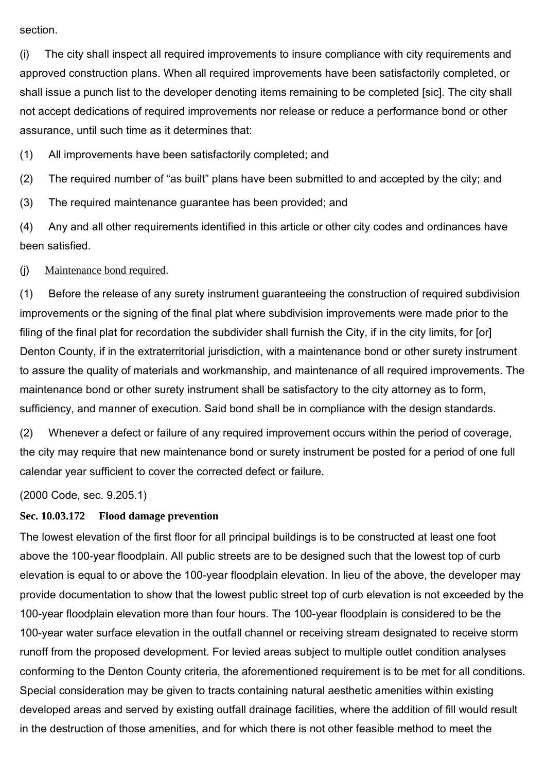#### section.

(i) The city shall inspect all required improvements to insure compliance with city requirements and approved construction plans. When all required improvements have been satisfactorily completed, or shall issue a punch list to the developer denoting items remaining to be completed [sic]. The city shall not accept dedications of required improvements nor release or reduce a performance bond or other assurance, until such time as it determines that:

(1) All improvements have been satisfactorily completed; and

(2) The required number of "as built" plans have been submitted to and accepted by the city; and

(3) The required maintenance guarantee has been provided; and

(4) Any and all other requirements identified in this article or other city codes and ordinances have been satisfied.

## (j) Maintenance bond required.

(1) Before the release of any surety instrument guaranteeing the construction of required subdivision improvements or the signing of the final plat where subdivision improvements were made prior to the filing of the final plat for recordation the subdivider shall furnish the City, if in the city limits, for [or] Denton County, if in the extraterritorial jurisdiction, with a maintenance bond or other surety instrument to assure the quality of materials and workmanship, and maintenance of all required improvements. The maintenance bond or other surety instrument shall be satisfactory to the city attorney as to form, sufficiency, and manner of execution. Said bond shall be in compliance with the design standards.

(2) Whenever a defect or failure of any required improvement occurs within the period of coverage, the city may require that new maintenance bond or surety instrument be posted for a period of one full calendar year sufficient to cover the corrected defect or failure.

(2000 Code, sec. 9.205.1)

# **Sec. 10.03.172 Flood damage prevention**

The lowest elevation of the first floor for all principal buildings is to be constructed at least one foot above the 100-year floodplain. All public streets are to be designed such that the lowest top of curb elevation is equal to or above the 100-year floodplain elevation. In lieu of the above, the developer may provide documentation to show that the lowest public street top of curb elevation is not exceeded by the 100-year floodplain elevation more than four hours. The 100-year floodplain is considered to be the 100-year water surface elevation in the outfall channel or receiving stream designated to receive storm runoff from the proposed development. For levied areas subject to multiple outlet condition analyses conforming to the Denton County criteria, the aforementioned requirement is to be met for all conditions. Special consideration may be given to tracts containing natural aesthetic amenities within existing developed areas and served by existing outfall drainage facilities, where the addition of fill would result in the destruction of those amenities, and for which there is not other feasible method to meet the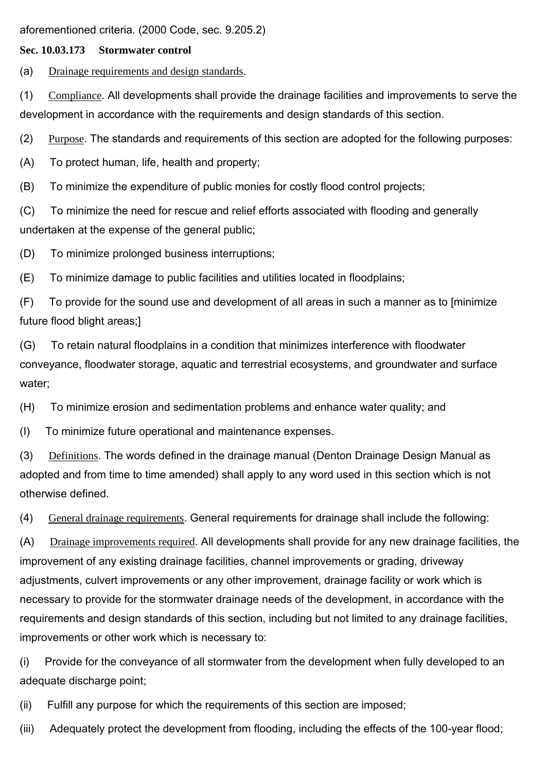aforementioned criteria. (2000 Code, sec. 9.205.2)

## **Sec. 10.03.173 Stormwater control**

(a) Drainage requirements and design standards.

(1) Compliance. All developments shall provide the drainage facilities and improvements to serve the development in accordance with the requirements and design standards of this section.

(2) Purpose. The standards and requirements of this section are adopted for the following purposes:

(A) To protect human, life, health and property;

(B) To minimize the expenditure of public monies for costly flood control projects;

(C) To minimize the need for rescue and relief efforts associated with flooding and generally undertaken at the expense of the general public;

(D) To minimize prolonged business interruptions;

(E) To minimize damage to public facilities and utilities located in floodplains;

(F) To provide for the sound use and development of all areas in such a manner as to [minimize future flood blight areas;]

(G) To retain natural floodplains in a condition that minimizes interference with floodwater conveyance, floodwater storage, aquatic and terrestrial ecosystems, and groundwater and surface water;

(H) To minimize erosion and sedimentation problems and enhance water quality; and

(I) To minimize future operational and maintenance expenses.

(3) Definitions. The words defined in the drainage manual (Denton Drainage Design Manual as adopted and from time to time amended) shall apply to any word used in this section which is not otherwise defined.

(4) General drainage requirements. General requirements for drainage shall include the following:

(A) Drainage improvements required. All developments shall provide for any new drainage facilities, the improvement of any existing drainage facilities, channel improvements or grading, driveway adjustments, culvert improvements or any other improvement, drainage facility or work which is necessary to provide for the stormwater drainage needs of the development, in accordance with the requirements and design standards of this section, including but not limited to any drainage facilities, improvements or other work which is necessary to:

(i) Provide for the conveyance of all stormwater from the development when fully developed to an adequate discharge point;

(ii) Fulfill any purpose for which the requirements of this section are imposed;

(iii) Adequately protect the development from flooding, including the effects of the 100-year flood;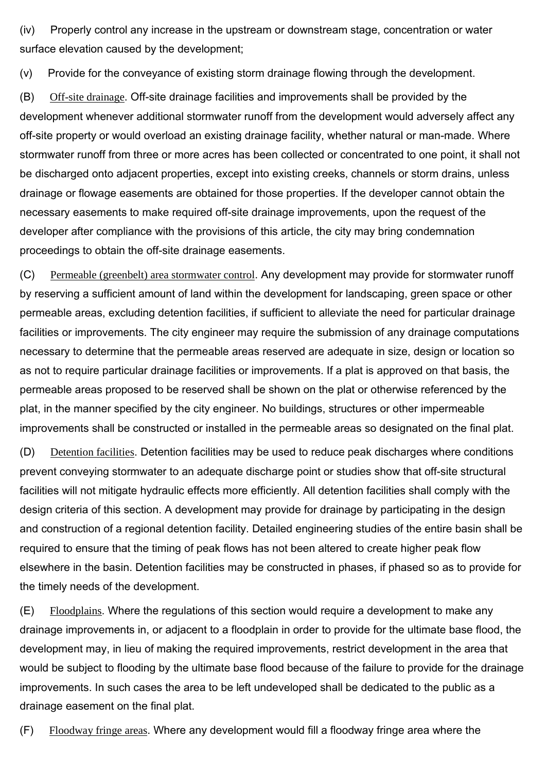(iv) Properly control any increase in the upstream or downstream stage, concentration or water surface elevation caused by the development;

(v) Provide for the conveyance of existing storm drainage flowing through the development.

(B) Off-site drainage. Off-site drainage facilities and improvements shall be provided by the development whenever additional stormwater runoff from the development would adversely affect any off-site property or would overload an existing drainage facility, whether natural or man-made. Where stormwater runoff from three or more acres has been collected or concentrated to one point, it shall not be discharged onto adjacent properties, except into existing creeks, channels or storm drains, unless drainage or flowage easements are obtained for those properties. If the developer cannot obtain the necessary easements to make required off-site drainage improvements, upon the request of the developer after compliance with the provisions of this article, the city may bring condemnation proceedings to obtain the off-site drainage easements.

(C) Permeable (greenbelt) area stormwater control. Any development may provide for stormwater runoff by reserving a sufficient amount of land within the development for landscaping, green space or other permeable areas, excluding detention facilities, if sufficient to alleviate the need for particular drainage facilities or improvements. The city engineer may require the submission of any drainage computations necessary to determine that the permeable areas reserved are adequate in size, design or location so as not to require particular drainage facilities or improvements. If a plat is approved on that basis, the permeable areas proposed to be reserved shall be shown on the plat or otherwise referenced by the plat, in the manner specified by the city engineer. No buildings, structures or other impermeable improvements shall be constructed or installed in the permeable areas so designated on the final plat.

(D) Detention facilities. Detention facilities may be used to reduce peak discharges where conditions prevent conveying stormwater to an adequate discharge point or studies show that off-site structural facilities will not mitigate hydraulic effects more efficiently. All detention facilities shall comply with the design criteria of this section. A development may provide for drainage by participating in the design and construction of a regional detention facility. Detailed engineering studies of the entire basin shall be required to ensure that the timing of peak flows has not been altered to create higher peak flow elsewhere in the basin. Detention facilities may be constructed in phases, if phased so as to provide for the timely needs of the development.

(E) Floodplains. Where the regulations of this section would require a development to make any drainage improvements in, or adjacent to a floodplain in order to provide for the ultimate base flood, the development may, in lieu of making the required improvements, restrict development in the area that would be subject to flooding by the ultimate base flood because of the failure to provide for the drainage improvements. In such cases the area to be left undeveloped shall be dedicated to the public as a drainage easement on the final plat.

(F) Floodway fringe areas. Where any development would fill a floodway fringe area where the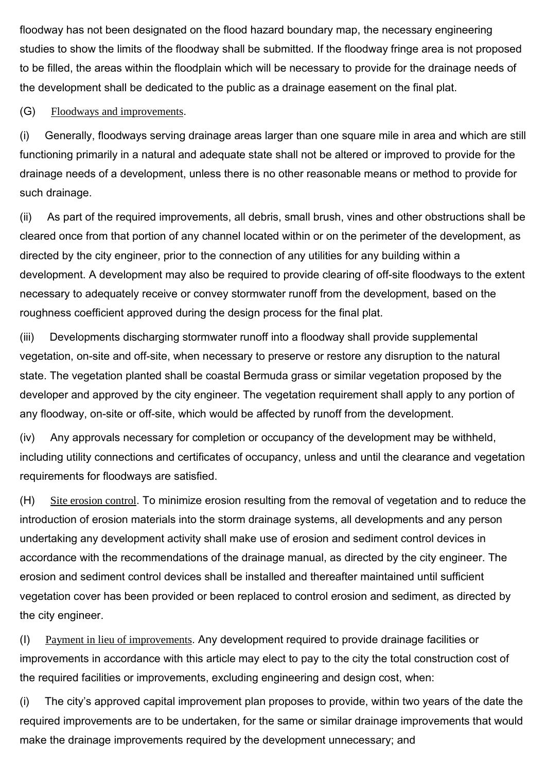floodway has not been designated on the flood hazard boundary map, the necessary engineering studies to show the limits of the floodway shall be submitted. If the floodway fringe area is not proposed to be filled, the areas within the floodplain which will be necessary to provide for the drainage needs of the development shall be dedicated to the public as a drainage easement on the final plat.

(G) Floodways and improvements.

(i) Generally, floodways serving drainage areas larger than one square mile in area and which are still functioning primarily in a natural and adequate state shall not be altered or improved to provide for the drainage needs of a development, unless there is no other reasonable means or method to provide for such drainage.

(ii) As part of the required improvements, all debris, small brush, vines and other obstructions shall be cleared once from that portion of any channel located within or on the perimeter of the development, as directed by the city engineer, prior to the connection of any utilities for any building within a development. A development may also be required to provide clearing of off-site floodways to the extent necessary to adequately receive or convey stormwater runoff from the development, based on the roughness coefficient approved during the design process for the final plat.

(iii) Developments discharging stormwater runoff into a floodway shall provide supplemental vegetation, on-site and off-site, when necessary to preserve or restore any disruption to the natural state. The vegetation planted shall be coastal Bermuda grass or similar vegetation proposed by the developer and approved by the city engineer. The vegetation requirement shall apply to any portion of any floodway, on-site or off-site, which would be affected by runoff from the development.

(iv) Any approvals necessary for completion or occupancy of the development may be withheld, including utility connections and certificates of occupancy, unless and until the clearance and vegetation requirements for floodways are satisfied.

(H) Site erosion control. To minimize erosion resulting from the removal of vegetation and to reduce the introduction of erosion materials into the storm drainage systems, all developments and any person undertaking any development activity shall make use of erosion and sediment control devices in accordance with the recommendations of the drainage manual, as directed by the city engineer. The erosion and sediment control devices shall be installed and thereafter maintained until sufficient vegetation cover has been provided or been replaced to control erosion and sediment, as directed by the city engineer.

(I) Payment in lieu of improvements. Any development required to provide drainage facilities or improvements in accordance with this article may elect to pay to the city the total construction cost of the required facilities or improvements, excluding engineering and design cost, when:

(i) The city's approved capital improvement plan proposes to provide, within two years of the date the required improvements are to be undertaken, for the same or similar drainage improvements that would make the drainage improvements required by the development unnecessary; and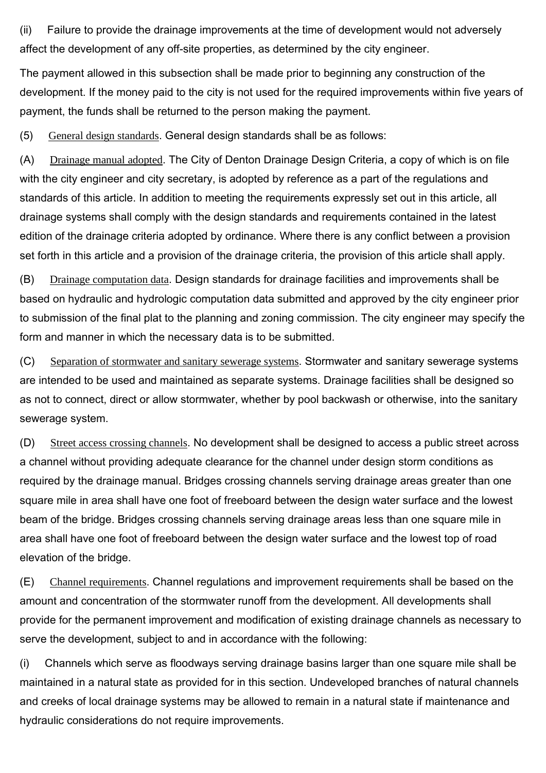(ii) Failure to provide the drainage improvements at the time of development would not adversely affect the development of any off-site properties, as determined by the city engineer.

The payment allowed in this subsection shall be made prior to beginning any construction of the development. If the money paid to the city is not used for the required improvements within five years of payment, the funds shall be returned to the person making the payment.

(5) General design standards. General design standards shall be as follows:

(A) Drainage manual adopted. The City of Denton Drainage Design Criteria, a copy of which is on file with the city engineer and city secretary, is adopted by reference as a part of the regulations and standards of this article. In addition to meeting the requirements expressly set out in this article, all drainage systems shall comply with the design standards and requirements contained in the latest edition of the drainage criteria adopted by ordinance. Where there is any conflict between a provision set forth in this article and a provision of the drainage criteria, the provision of this article shall apply.

(B) Drainage computation data. Design standards for drainage facilities and improvements shall be based on hydraulic and hydrologic computation data submitted and approved by the city engineer prior to submission of the final plat to the planning and zoning commission. The city engineer may specify the form and manner in which the necessary data is to be submitted.

(C) Separation of stormwater and sanitary sewerage systems. Stormwater and sanitary sewerage systems are intended to be used and maintained as separate systems. Drainage facilities shall be designed so as not to connect, direct or allow stormwater, whether by pool backwash or otherwise, into the sanitary sewerage system.

(D) Street access crossing channels. No development shall be designed to access a public street across a channel without providing adequate clearance for the channel under design storm conditions as required by the drainage manual. Bridges crossing channels serving drainage areas greater than one square mile in area shall have one foot of freeboard between the design water surface and the lowest beam of the bridge. Bridges crossing channels serving drainage areas less than one square mile in area shall have one foot of freeboard between the design water surface and the lowest top of road elevation of the bridge.

(E) Channel requirements. Channel regulations and improvement requirements shall be based on the amount and concentration of the stormwater runoff from the development. All developments shall provide for the permanent improvement and modification of existing drainage channels as necessary to serve the development, subject to and in accordance with the following:

(i) Channels which serve as floodways serving drainage basins larger than one square mile shall be maintained in a natural state as provided for in this section. Undeveloped branches of natural channels and creeks of local drainage systems may be allowed to remain in a natural state if maintenance and hydraulic considerations do not require improvements.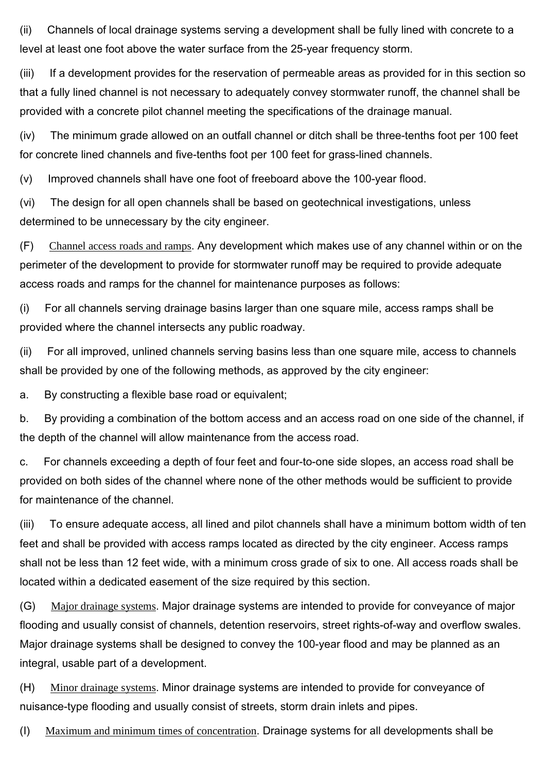(ii) Channels of local drainage systems serving a development shall be fully lined with concrete to a level at least one foot above the water surface from the 25-year frequency storm.

(iii) If a development provides for the reservation of permeable areas as provided for in this section so that a fully lined channel is not necessary to adequately convey stormwater runoff, the channel shall be provided with a concrete pilot channel meeting the specifications of the drainage manual.

(iv) The minimum grade allowed on an outfall channel or ditch shall be three-tenths foot per 100 feet for concrete lined channels and five-tenths foot per 100 feet for grass-lined channels.

(v) Improved channels shall have one foot of freeboard above the 100-year flood.

(vi) The design for all open channels shall be based on geotechnical investigations, unless determined to be unnecessary by the city engineer.

(F) Channel access roads and ramps. Any development which makes use of any channel within or on the perimeter of the development to provide for stormwater runoff may be required to provide adequate access roads and ramps for the channel for maintenance purposes as follows:

(i) For all channels serving drainage basins larger than one square mile, access ramps shall be provided where the channel intersects any public roadway.

(ii) For all improved, unlined channels serving basins less than one square mile, access to channels shall be provided by one of the following methods, as approved by the city engineer:

a. By constructing a flexible base road or equivalent;

b. By providing a combination of the bottom access and an access road on one side of the channel, if the depth of the channel will allow maintenance from the access road.

c. For channels exceeding a depth of four feet and four-to-one side slopes, an access road shall be provided on both sides of the channel where none of the other methods would be sufficient to provide for maintenance of the channel.

(iii) To ensure adequate access, all lined and pilot channels shall have a minimum bottom width of ten feet and shall be provided with access ramps located as directed by the city engineer. Access ramps shall not be less than 12 feet wide, with a minimum cross grade of six to one. All access roads shall be located within a dedicated easement of the size required by this section.

(G) Major drainage systems. Major drainage systems are intended to provide for conveyance of major flooding and usually consist of channels, detention reservoirs, street rights-of-way and overflow swales. Major drainage systems shall be designed to convey the 100-year flood and may be planned as an integral, usable part of a development.

(H) Minor drainage systems. Minor drainage systems are intended to provide for conveyance of nuisance-type flooding and usually consist of streets, storm drain inlets and pipes.

(I) Maximum and minimum times of concentration. Drainage systems for all developments shall be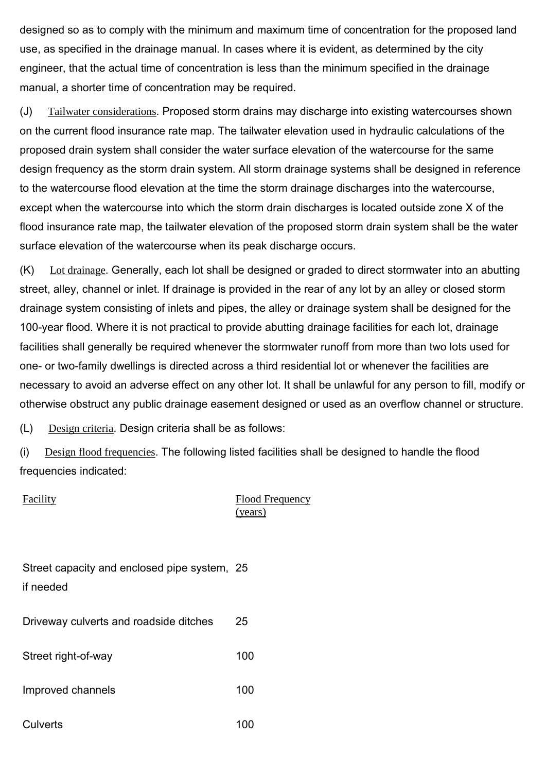designed so as to comply with the minimum and maximum time of concentration for the proposed land use, as specified in the drainage manual. In cases where it is evident, as determined by the city engineer, that the actual time of concentration is less than the minimum specified in the drainage manual, a shorter time of concentration may be required.

(J) Tailwater considerations. Proposed storm drains may discharge into existing watercourses shown on the current flood insurance rate map. The tailwater elevation used in hydraulic calculations of the proposed drain system shall consider the water surface elevation of the watercourse for the same design frequency as the storm drain system. All storm drainage systems shall be designed in reference to the watercourse flood elevation at the time the storm drainage discharges into the watercourse, except when the watercourse into which the storm drain discharges is located outside zone X of the flood insurance rate map, the tailwater elevation of the proposed storm drain system shall be the water surface elevation of the watercourse when its peak discharge occurs.

(K) Lot drainage. Generally, each lot shall be designed or graded to direct stormwater into an abutting street, alley, channel or inlet. If drainage is provided in the rear of any lot by an alley or closed storm drainage system consisting of inlets and pipes, the alley or drainage system shall be designed for the 100-year flood. Where it is not practical to provide abutting drainage facilities for each lot, drainage facilities shall generally be required whenever the stormwater runoff from more than two lots used for one- or two-family dwellings is directed across a third residential lot or whenever the facilities are necessary to avoid an adverse effect on any other lot. It shall be unlawful for any person to fill, modify or otherwise obstruct any public drainage easement designed or used as an overflow channel or structure.

(L) Design criteria. Design criteria shall be as follows:

(i) Design flood frequencies. The following listed facilities shall be designed to handle the flood frequencies indicated:

Facility Flood Frequency (years)

| Street capacity and enclosed pipe system, 25 |  |
|----------------------------------------------|--|
| if needed                                    |  |

Driveway culverts and roadside ditches 25

Street right-of-way 100

Improved channels 100

Culverts 100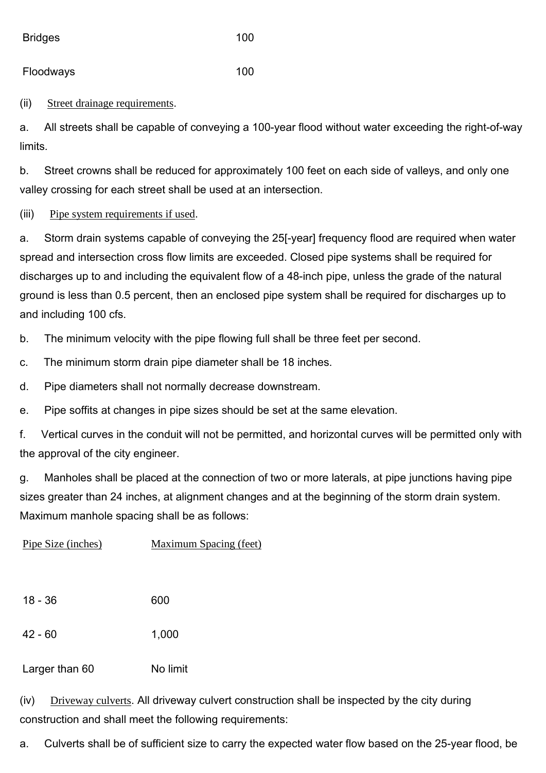Bridges 100

Floodways 100

(ii) Street drainage requirements.

a. All streets shall be capable of conveying a 100-year flood without water exceeding the right-of-way limits.

b. Street crowns shall be reduced for approximately 100 feet on each side of valleys, and only one valley crossing for each street shall be used at an intersection.

(iii) Pipe system requirements if used.

a. Storm drain systems capable of conveying the 25[-year] frequency flood are required when water spread and intersection cross flow limits are exceeded. Closed pipe systems shall be required for discharges up to and including the equivalent flow of a 48-inch pipe, unless the grade of the natural ground is less than 0.5 percent, then an enclosed pipe system shall be required for discharges up to and including 100 cfs.

b. The minimum velocity with the pipe flowing full shall be three feet per second.

c. The minimum storm drain pipe diameter shall be 18 inches.

d. Pipe diameters shall not normally decrease downstream.

e. Pipe soffits at changes in pipe sizes should be set at the same elevation.

f. Vertical curves in the conduit will not be permitted, and horizontal curves will be permitted only with the approval of the city engineer.

g. Manholes shall be placed at the connection of two or more laterals, at pipe junctions having pipe sizes greater than 24 inches, at alignment changes and at the beginning of the storm drain system. Maximum manhole spacing shall be as follows:

| Pipe Size (inches) | <b>Maximum Spacing (feet)</b> |
|--------------------|-------------------------------|
|                    |                               |
| $18 - 36$          | 600                           |
| $42 - 60$          | 1,000                         |
| Larger than 60     | No limit                      |

(iv) Driveway culverts. All driveway culvert construction shall be inspected by the city during construction and shall meet the following requirements:

a. Culverts shall be of sufficient size to carry the expected water flow based on the 25-year flood, be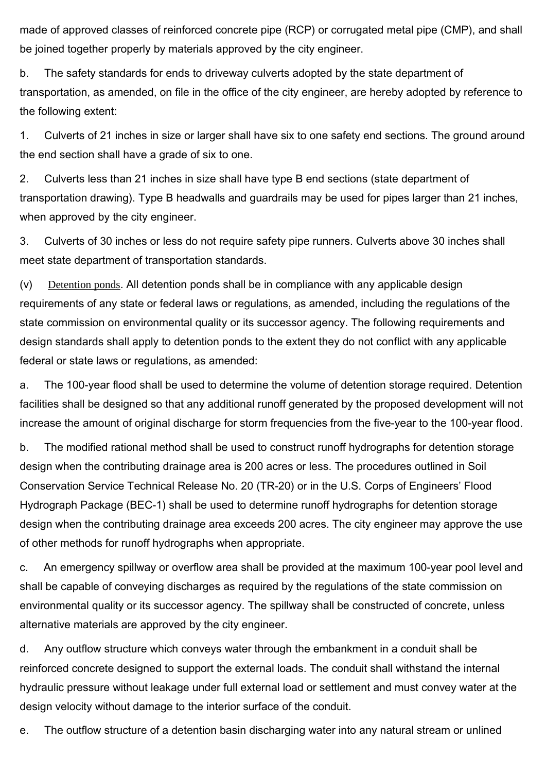made of approved classes of reinforced concrete pipe (RCP) or corrugated metal pipe (CMP), and shall be joined together properly by materials approved by the city engineer.

b. The safety standards for ends to driveway culverts adopted by the state department of transportation, as amended, on file in the office of the city engineer, are hereby adopted by reference to the following extent:

1. Culverts of 21 inches in size or larger shall have six to one safety end sections. The ground around the end section shall have a grade of six to one.

2. Culverts less than 21 inches in size shall have type B end sections (state department of transportation drawing). Type B headwalls and guardrails may be used for pipes larger than 21 inches, when approved by the city engineer.

3. Culverts of 30 inches or less do not require safety pipe runners. Culverts above 30 inches shall meet state department of transportation standards.

(v) Detention ponds. All detention ponds shall be in compliance with any applicable design requirements of any state or federal laws or regulations, as amended, including the regulations of the state commission on environmental quality or its successor agency. The following requirements and design standards shall apply to detention ponds to the extent they do not conflict with any applicable federal or state laws or regulations, as amended:

a. The 100-year flood shall be used to determine the volume of detention storage required. Detention facilities shall be designed so that any additional runoff generated by the proposed development will not increase the amount of original discharge for storm frequencies from the five-year to the 100-year flood.

b. The modified rational method shall be used to construct runoff hydrographs for detention storage design when the contributing drainage area is 200 acres or less. The procedures outlined in Soil Conservation Service Technical Release No. 20 (TR-20) or in the U.S. Corps of Engineers' Flood Hydrograph Package (BEC-1) shall be used to determine runoff hydrographs for detention storage design when the contributing drainage area exceeds 200 acres. The city engineer may approve the use of other methods for runoff hydrographs when appropriate.

c. An emergency spillway or overflow area shall be provided at the maximum 100-year pool level and shall be capable of conveying discharges as required by the regulations of the state commission on environmental quality or its successor agency. The spillway shall be constructed of concrete, unless alternative materials are approved by the city engineer.

d. Any outflow structure which conveys water through the embankment in a conduit shall be reinforced concrete designed to support the external loads. The conduit shall withstand the internal hydraulic pressure without leakage under full external load or settlement and must convey water at the design velocity without damage to the interior surface of the conduit.

e. The outflow structure of a detention basin discharging water into any natural stream or unlined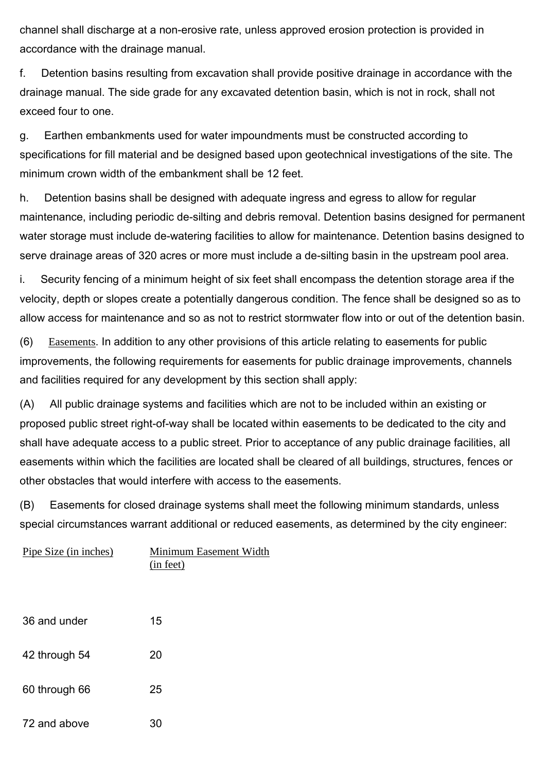channel shall discharge at a non-erosive rate, unless approved erosion protection is provided in accordance with the drainage manual.

f. Detention basins resulting from excavation shall provide positive drainage in accordance with the drainage manual. The side grade for any excavated detention basin, which is not in rock, shall not exceed four to one.

g. Earthen embankments used for water impoundments must be constructed according to specifications for fill material and be designed based upon geotechnical investigations of the site. The minimum crown width of the embankment shall be 12 feet.

h. Detention basins shall be designed with adequate ingress and egress to allow for regular maintenance, including periodic de-silting and debris removal. Detention basins designed for permanent water storage must include de-watering facilities to allow for maintenance. Detention basins designed to serve drainage areas of 320 acres or more must include a de-silting basin in the upstream pool area.

i. Security fencing of a minimum height of six feet shall encompass the detention storage area if the velocity, depth or slopes create a potentially dangerous condition. The fence shall be designed so as to allow access for maintenance and so as not to restrict stormwater flow into or out of the detention basin.

(6) Easements. In addition to any other provisions of this article relating to easements for public improvements, the following requirements for easements for public drainage improvements, channels and facilities required for any development by this section shall apply:

(A) All public drainage systems and facilities which are not to be included within an existing or proposed public street right-of-way shall be located within easements to be dedicated to the city and shall have adequate access to a public street. Prior to acceptance of any public drainage facilities, all easements within which the facilities are located shall be cleared of all buildings, structures, fences or other obstacles that would interfere with access to the easements.

(B) Easements for closed drainage systems shall meet the following minimum standards, unless special circumstances warrant additional or reduced easements, as determined by the city engineer:

| Pipe Size (in inches) | Minimum Easement Width<br>(in feet) |
|-----------------------|-------------------------------------|
| 36 and under          | 15                                  |
| 42 through 54         | 20                                  |
| 60 through 66         | 25                                  |
| 72 and above          | 30                                  |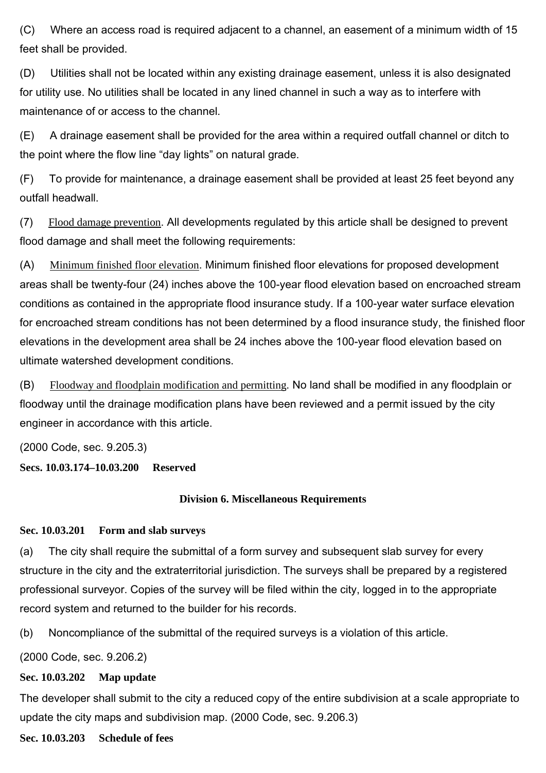(C) Where an access road is required adjacent to a channel, an easement of a minimum width of 15 feet shall be provided.

(D) Utilities shall not be located within any existing drainage easement, unless it is also designated for utility use. No utilities shall be located in any lined channel in such a way as to interfere with maintenance of or access to the channel.

(E) A drainage easement shall be provided for the area within a required outfall channel or ditch to the point where the flow line "day lights" on natural grade.

(F) To provide for maintenance, a drainage easement shall be provided at least 25 feet beyond any outfall headwall.

(7) Flood damage prevention. All developments regulated by this article shall be designed to prevent flood damage and shall meet the following requirements:

(A) Minimum finished floor elevation. Minimum finished floor elevations for proposed development areas shall be twenty-four (24) inches above the 100-year flood elevation based on encroached stream conditions as contained in the appropriate flood insurance study. If a 100-year water surface elevation for encroached stream conditions has not been determined by a flood insurance study, the finished floor elevations in the development area shall be 24 inches above the 100-year flood elevation based on ultimate watershed development conditions.

(B) Floodway and floodplain modification and permitting. No land shall be modified in any floodplain or floodway until the drainage modification plans have been reviewed and a permit issued by the city engineer in accordance with this article.

(2000 Code, sec. 9.205.3)

**Secs. 10.03.174–10.03.200 Reserved**

# **Division 6. Miscellaneous Requirements**

## **Sec. 10.03.201 Form and slab surveys**

(a) The city shall require the submittal of a form survey and subsequent slab survey for every structure in the city and the extraterritorial jurisdiction. The surveys shall be prepared by a registered professional surveyor. Copies of the survey will be filed within the city, logged in to the appropriate record system and returned to the builder for his records.

(b) Noncompliance of the submittal of the required surveys is a violation of this article.

(2000 Code, sec. 9.206.2)

## **Sec. 10.03.202 Map update**

The developer shall submit to the city a reduced copy of the entire subdivision at a scale appropriate to update the city maps and subdivision map. (2000 Code, sec. 9.206.3)

**Sec. 10.03.203 Schedule of fees**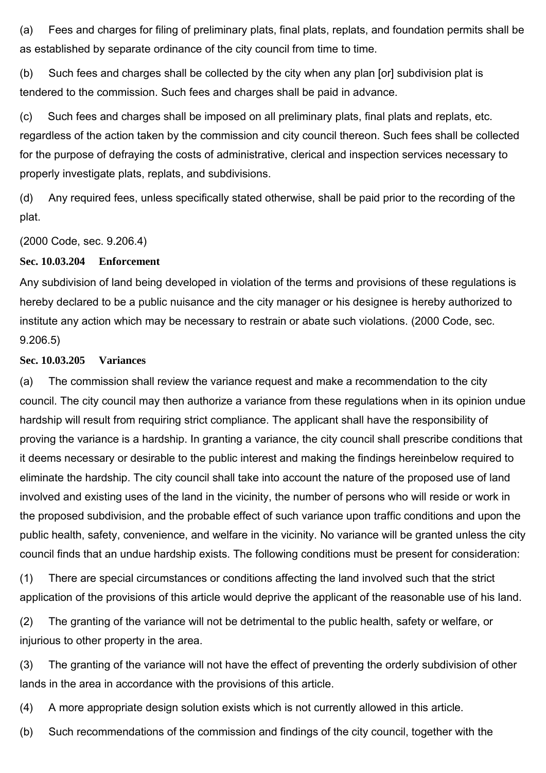(a) Fees and charges for filing of preliminary plats, final plats, replats, and foundation permits shall be as established by separate ordinance of the city council from time to time.

(b) Such fees and charges shall be collected by the city when any plan [or] subdivision plat is tendered to the commission. Such fees and charges shall be paid in advance.

(c) Such fees and charges shall be imposed on all preliminary plats, final plats and replats, etc. regardless of the action taken by the commission and city council thereon. Such fees shall be collected for the purpose of defraying the costs of administrative, clerical and inspection services necessary to properly investigate plats, replats, and subdivisions.

(d) Any required fees, unless specifically stated otherwise, shall be paid prior to the recording of the plat.

(2000 Code, sec. 9.206.4)

#### **Sec. 10.03.204 Enforcement**

Any subdivision of land being developed in violation of the terms and provisions of these regulations is hereby declared to be a public nuisance and the city manager or his designee is hereby authorized to institute any action which may be necessary to restrain or abate such violations. (2000 Code, sec. 9.206.5)

#### **Sec. 10.03.205 Variances**

(a) The commission shall review the variance request and make a recommendation to the city council. The city council may then authorize a variance from these regulations when in its opinion undue hardship will result from requiring strict compliance. The applicant shall have the responsibility of proving the variance is a hardship. In granting a variance, the city council shall prescribe conditions that it deems necessary or desirable to the public interest and making the findings hereinbelow required to eliminate the hardship. The city council shall take into account the nature of the proposed use of land involved and existing uses of the land in the vicinity, the number of persons who will reside or work in the proposed subdivision, and the probable effect of such variance upon traffic conditions and upon the public health, safety, convenience, and welfare in the vicinity. No variance will be granted unless the city council finds that an undue hardship exists. The following conditions must be present for consideration:

(1) There are special circumstances or conditions affecting the land involved such that the strict application of the provisions of this article would deprive the applicant of the reasonable use of his land.

(2) The granting of the variance will not be detrimental to the public health, safety or welfare, or injurious to other property in the area.

(3) The granting of the variance will not have the effect of preventing the orderly subdivision of other lands in the area in accordance with the provisions of this article.

(4) A more appropriate design solution exists which is not currently allowed in this article.

(b) Such recommendations of the commission and findings of the city council, together with the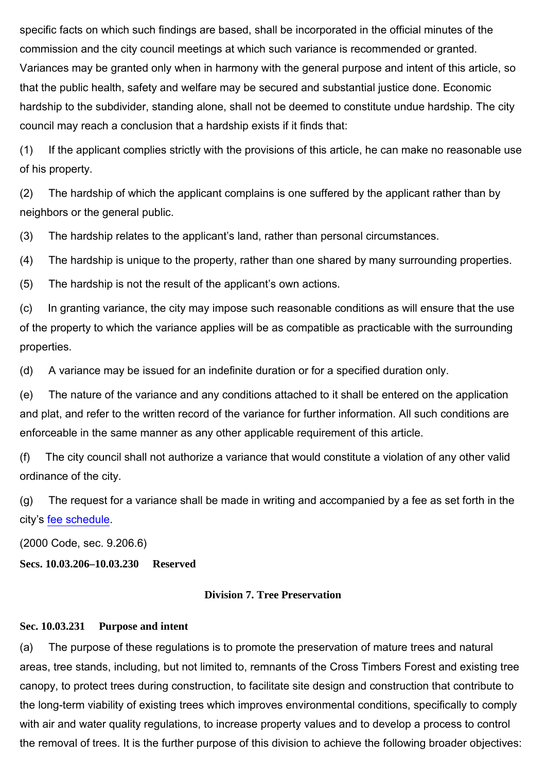specific facts on which such findings are based, shall be incorporated in the official minutes of the commission and the city council meetings at which such variance is recommended or granted. Variances may be granted only when in harmony with the general purpose and intent of this article, so that the public health, safety and welfare may be secured and substantial justice done. Economic hardship to the subdivider, standing alone, shall not be deemed to constitute undue hardship. The city council may reach a conclusion that a hardship exists if it finds that:

(1) If the applicant complies strictly with the provisions of this article, he can make no reasonable use of his property.

(2) The hardship of which the applicant complains is one suffered by the applicant rather than by neighbors or the general public.

(3) The hardship relates to the applicant's land, rather than personal circumstances.

(4) The hardship is unique to the property, rather than one shared by many surrounding properties.

(5) The hardship is not the result of the applicant's own actions.

(c) In granting variance, the city may impose such reasonable conditions as will ensure that the use of the property to which the variance applies will be as compatible as practicable with the surrounding properties.

(d) A variance may be issued for an indefinite duration or for a specified duration only.

(e) The nature of the variance and any conditions attached to it shall be entered on the application and plat, and refer to the written record of the variance for further information. All such conditions are enforceable in the same manner as any other applicable requirement of this article.

(f) The city council shall not authorize a variance that would constitute a violation of any other valid ordinance of the city.

(g) The request for a variance shall be made in writing and accompanied by a fee as set forth in the city's fee schedule.

(2000 Code, sec. 9.206.6)

**Secs. 10.03.206–10.03.230 Reserved**

#### **Division 7. Tree Preservation**

#### **Sec. 10.03.231 Purpose and intent**

(a) The purpose of these regulations is to promote the preservation of mature trees and natural areas, tree stands, including, but not limited to, remnants of the Cross Timbers Forest and existing tree canopy, to protect trees during construction, to facilitate site design and construction that contribute to the long-term viability of existing trees which improves environmental conditions, specifically to comply with air and water quality regulations, to increase property values and to develop a process to control the removal of trees. It is the further purpose of this division to achieve the following broader objectives: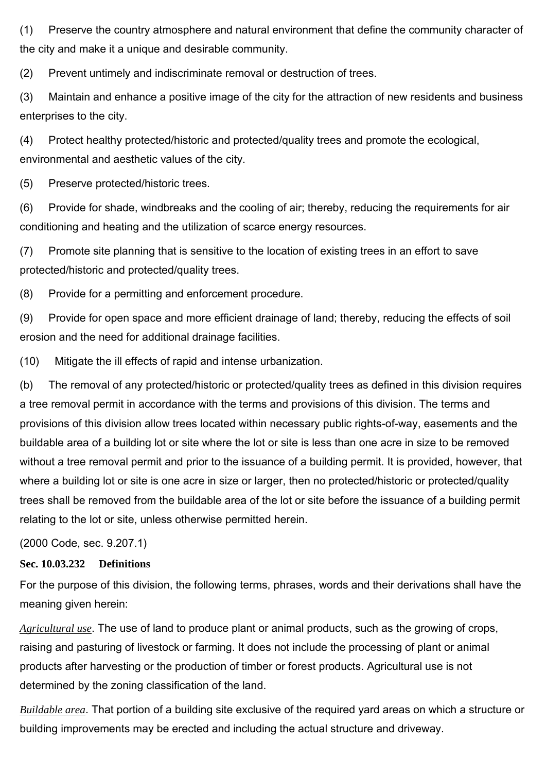(1) Preserve the country atmosphere and natural environment that define the community character of the city and make it a unique and desirable community.

(2) Prevent untimely and indiscriminate removal or destruction of trees.

(3) Maintain and enhance a positive image of the city for the attraction of new residents and business enterprises to the city.

(4) Protect healthy protected/historic and protected/quality trees and promote the ecological, environmental and aesthetic values of the city.

(5) Preserve protected/historic trees.

(6) Provide for shade, windbreaks and the cooling of air; thereby, reducing the requirements for air conditioning and heating and the utilization of scarce energy resources.

(7) Promote site planning that is sensitive to the location of existing trees in an effort to save protected/historic and protected/quality trees.

(8) Provide for a permitting and enforcement procedure.

(9) Provide for open space and more efficient drainage of land; thereby, reducing the effects of soil erosion and the need for additional drainage facilities.

(10) Mitigate the ill effects of rapid and intense urbanization.

(b) The removal of any protected/historic or protected/quality trees as defined in this division requires a tree removal permit in accordance with the terms and provisions of this division. The terms and provisions of this division allow trees located within necessary public rights-of-way, easements and the buildable area of a building lot or site where the lot or site is less than one acre in size to be removed without a tree removal permit and prior to the issuance of a building permit. It is provided, however, that where a building lot or site is one acre in size or larger, then no protected/historic or protected/quality trees shall be removed from the buildable area of the lot or site before the issuance of a building permit relating to the lot or site, unless otherwise permitted herein.

(2000 Code, sec. 9.207.1)

# **Sec. 10.03.232 Definitions**

For the purpose of this division, the following terms, phrases, words and their derivations shall have the meaning given herein:

*Agricultural use*. The use of land to produce plant or animal products, such as the growing of crops, raising and pasturing of livestock or farming. It does not include the processing of plant or animal products after harvesting or the production of timber or forest products. Agricultural use is not determined by the zoning classification of the land.

*Buildable area*. That portion of a building site exclusive of the required yard areas on which a structure or building improvements may be erected and including the actual structure and driveway.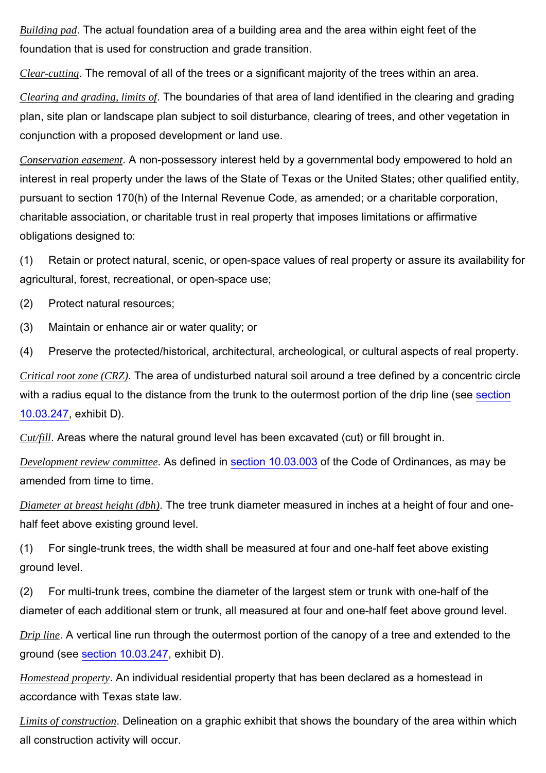*Building pad*. The actual foundation area of a building area and the area within eight feet of the foundation that is used for construction and grade transition.

*Clear-cutting*. The removal of all of the trees or a significant majority of the trees within an area.

*Clearing and grading, limits of*. The boundaries of that area of land identified in the clearing and grading plan, site plan or landscape plan subject to soil disturbance, clearing of trees, and other vegetation in conjunction with a proposed development or land use.

*Conservation easement*. A non-possessory interest held by a governmental body empowered to hold an interest in real property under the laws of the State of Texas or the United States; other qualified entity, pursuant to section 170(h) of the Internal Revenue Code, as amended; or a charitable corporation, charitable association, or charitable trust in real property that imposes limitations or affirmative obligations designed to:

(1) Retain or protect natural, scenic, or open-space values of real property or assure its availability for agricultural, forest, recreational, or open-space use;

(2) Protect natural resources;

(3) Maintain or enhance air or water quality; or

(4) Preserve the protected/historical, architectural, archeological, or cultural aspects of real property.

*Critical root zone (CRZ)*. The area of undisturbed natural soil around a tree defined by a concentric circle with a radius equal to the distance from the trunk to the outermost portion of the drip line (see section 10.03.247, exhibit D).

*Cut/fill*. Areas where the natural ground level has been excavated (cut) or fill brought in.

*Development review committee*. As defined in section 10.03.003 of the Code of Ordinances, as may be amended from time to time.

*Diameter at breast height (dbh)*. The tree trunk diameter measured in inches at a height of four and onehalf feet above existing ground level.

(1) For single-trunk trees, the width shall be measured at four and one-half feet above existing ground level.

(2) For multi-trunk trees, combine the diameter of the largest stem or trunk with one-half of the diameter of each additional stem or trunk, all measured at four and one-half feet above ground level.

*Drip line*. A vertical line run through the outermost portion of the canopy of a tree and extended to the ground (see section 10.03.247, exhibit D).

*Homestead property*. An individual residential property that has been declared as a homestead in accordance with Texas state law.

*Limits of construction*. Delineation on a graphic exhibit that shows the boundary of the area within which all construction activity will occur.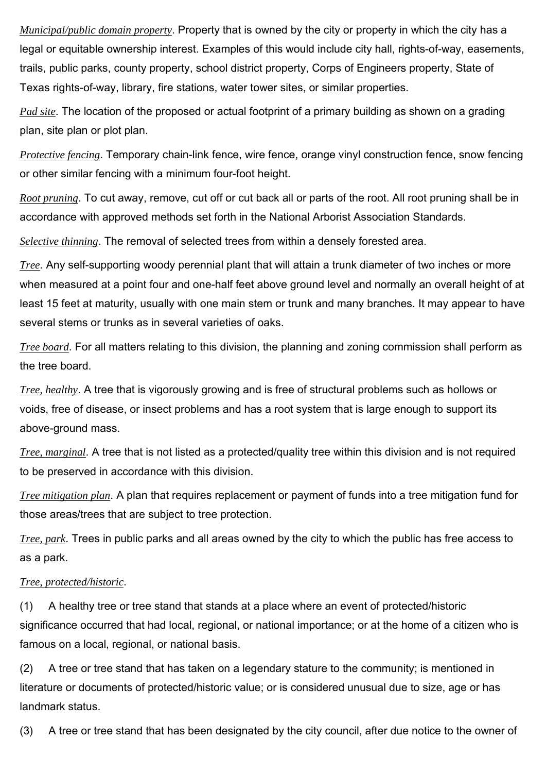*Municipal/public domain property*. Property that is owned by the city or property in which the city has a legal or equitable ownership interest. Examples of this would include city hall, rights-of-way, easements, trails, public parks, county property, school district property, Corps of Engineers property, State of Texas rights-of-way, library, fire stations, water tower sites, or similar properties.

*Pad site*. The location of the proposed or actual footprint of a primary building as shown on a grading plan, site plan or plot plan.

*Protective fencing*. Temporary chain-link fence, wire fence, orange vinyl construction fence, snow fencing or other similar fencing with a minimum four-foot height.

*Root pruning*. To cut away, remove, cut off or cut back all or parts of the root. All root pruning shall be in accordance with approved methods set forth in the National Arborist Association Standards.

*Selective thinning*. The removal of selected trees from within a densely forested area.

*Tree*. Any self-supporting woody perennial plant that will attain a trunk diameter of two inches or more when measured at a point four and one-half feet above ground level and normally an overall height of at least 15 feet at maturity, usually with one main stem or trunk and many branches. It may appear to have several stems or trunks as in several varieties of oaks.

*Tree board*. For all matters relating to this division, the planning and zoning commission shall perform as the tree board.

*Tree, healthy*. A tree that is vigorously growing and is free of structural problems such as hollows or voids, free of disease, or insect problems and has a root system that is large enough to support its above-ground mass.

*Tree, marginal*. A tree that is not listed as a protected/quality tree within this division and is not required to be preserved in accordance with this division.

*Tree mitigation plan*. A plan that requires replacement or payment of funds into a tree mitigation fund for those areas/trees that are subject to tree protection.

*Tree, park*. Trees in public parks and all areas owned by the city to which the public has free access to as a park.

#### *Tree, protected/historic*.

(1) A healthy tree or tree stand that stands at a place where an event of protected/historic significance occurred that had local, regional, or national importance; or at the home of a citizen who is famous on a local, regional, or national basis.

(2) A tree or tree stand that has taken on a legendary stature to the community; is mentioned in literature or documents of protected/historic value; or is considered unusual due to size, age or has landmark status.

(3) A tree or tree stand that has been designated by the city council, after due notice to the owner of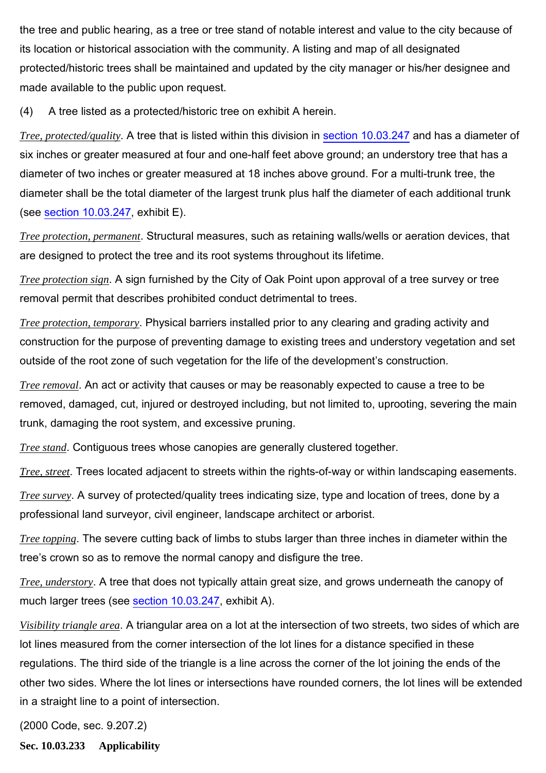the tree and public hearing, as a tree or tree stand of notable interest and value to the city because of its location or historical association with the community. A listing and map of all designated protected/historic trees shall be maintained and updated by the city manager or his/her designee and made available to the public upon request.

(4) A tree listed as a protected/historic tree on exhibit A herein.

*Tree, protected/quality*. A tree that is listed within this division in section 10.03.247 and has a diameter of six inches or greater measured at four and one-half feet above ground; an understory tree that has a diameter of two inches or greater measured at 18 inches above ground. For a multi-trunk tree, the diameter shall be the total diameter of the largest trunk plus half the diameter of each additional trunk (see section 10.03.247, exhibit E).

*Tree protection, permanent*. Structural measures, such as retaining walls/wells or aeration devices, that are designed to protect the tree and its root systems throughout its lifetime.

*Tree protection sign*. A sign furnished by the City of Oak Point upon approval of a tree survey or tree removal permit that describes prohibited conduct detrimental to trees.

*Tree protection, temporary*. Physical barriers installed prior to any clearing and grading activity and construction for the purpose of preventing damage to existing trees and understory vegetation and set outside of the root zone of such vegetation for the life of the development's construction.

*Tree removal*. An act or activity that causes or may be reasonably expected to cause a tree to be removed, damaged, cut, injured or destroyed including, but not limited to, uprooting, severing the main trunk, damaging the root system, and excessive pruning.

*Tree stand*. Contiguous trees whose canopies are generally clustered together.

*Tree, street*. Trees located adjacent to streets within the rights-of-way or within landscaping easements.

*Tree survey*. A survey of protected/quality trees indicating size, type and location of trees, done by a professional land surveyor, civil engineer, landscape architect or arborist.

*Tree topping*. The severe cutting back of limbs to stubs larger than three inches in diameter within the tree's crown so as to remove the normal canopy and disfigure the tree.

*Tree, understory*. A tree that does not typically attain great size, and grows underneath the canopy of much larger trees (see section 10.03.247, exhibit A).

*Visibility triangle area*. A triangular area on a lot at the intersection of two streets, two sides of which are lot lines measured from the corner intersection of the lot lines for a distance specified in these regulations. The third side of the triangle is a line across the corner of the lot joining the ends of the other two sides. Where the lot lines or intersections have rounded corners, the lot lines will be extended in a straight line to a point of intersection.

(2000 Code, sec. 9.207.2)

**Sec. 10.03.233 Applicability**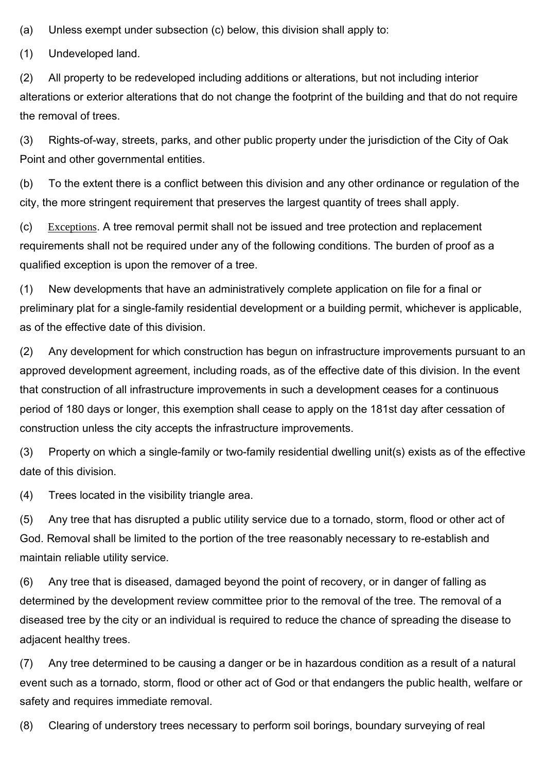(a) Unless exempt under subsection (c) below, this division shall apply to:

(1) Undeveloped land.

(2) All property to be redeveloped including additions or alterations, but not including interior alterations or exterior alterations that do not change the footprint of the building and that do not require the removal of trees.

(3) Rights-of-way, streets, parks, and other public property under the jurisdiction of the City of Oak Point and other governmental entities.

(b) To the extent there is a conflict between this division and any other ordinance or regulation of the city, the more stringent requirement that preserves the largest quantity of trees shall apply.

(c) Exceptions. A tree removal permit shall not be issued and tree protection and replacement requirements shall not be required under any of the following conditions. The burden of proof as a qualified exception is upon the remover of a tree.

(1) New developments that have an administratively complete application on file for a final or preliminary plat for a single-family residential development or a building permit, whichever is applicable, as of the effective date of this division.

(2) Any development for which construction has begun on infrastructure improvements pursuant to an approved development agreement, including roads, as of the effective date of this division. In the event that construction of all infrastructure improvements in such a development ceases for a continuous period of 180 days or longer, this exemption shall cease to apply on the 181st day after cessation of construction unless the city accepts the infrastructure improvements.

(3) Property on which a single-family or two-family residential dwelling unit(s) exists as of the effective date of this division.

(4) Trees located in the visibility triangle area.

(5) Any tree that has disrupted a public utility service due to a tornado, storm, flood or other act of God. Removal shall be limited to the portion of the tree reasonably necessary to re-establish and maintain reliable utility service.

(6) Any tree that is diseased, damaged beyond the point of recovery, or in danger of falling as determined by the development review committee prior to the removal of the tree. The removal of a diseased tree by the city or an individual is required to reduce the chance of spreading the disease to adjacent healthy trees.

(7) Any tree determined to be causing a danger or be in hazardous condition as a result of a natural event such as a tornado, storm, flood or other act of God or that endangers the public health, welfare or safety and requires immediate removal.

(8) Clearing of understory trees necessary to perform soil borings, boundary surveying of real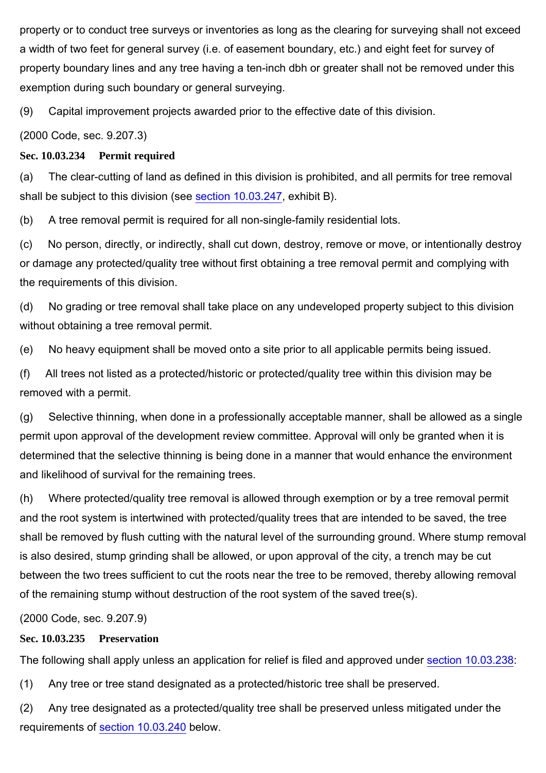property or to conduct tree surveys or inventories as long as the clearing for surveying shall not exceed a width of two feet for general survey (i.e. of easement boundary, etc.) and eight feet for survey of property boundary lines and any tree having a ten-inch dbh or greater shall not be removed under this exemption during such boundary or general surveying.

(9) Capital improvement projects awarded prior to the effective date of this division.

(2000 Code, sec. 9.207.3)

## **Sec. 10.03.234 Permit required**

(a) The clear-cutting of land as defined in this division is prohibited, and all permits for tree removal shall be subject to this division (see section 10.03.247, exhibit B).

(b) A tree removal permit is required for all non-single-family residential lots.

(c) No person, directly, or indirectly, shall cut down, destroy, remove or move, or intentionally destroy or damage any protected/quality tree without first obtaining a tree removal permit and complying with the requirements of this division.

(d) No grading or tree removal shall take place on any undeveloped property subject to this division without obtaining a tree removal permit.

(e) No heavy equipment shall be moved onto a site prior to all applicable permits being issued.

(f) All trees not listed as a protected/historic or protected/quality tree within this division may be removed with a permit.

(g) Selective thinning, when done in a professionally acceptable manner, shall be allowed as a single permit upon approval of the development review committee. Approval will only be granted when it is determined that the selective thinning is being done in a manner that would enhance the environment and likelihood of survival for the remaining trees.

(h) Where protected/quality tree removal is allowed through exemption or by a tree removal permit and the root system is intertwined with protected/quality trees that are intended to be saved, the tree shall be removed by flush cutting with the natural level of the surrounding ground. Where stump removal is also desired, stump grinding shall be allowed, or upon approval of the city, a trench may be cut between the two trees sufficient to cut the roots near the tree to be removed, thereby allowing removal of the remaining stump without destruction of the root system of the saved tree(s).

(2000 Code, sec. 9.207.9)

## **Sec. 10.03.235 Preservation**

The following shall apply unless an application for relief is filed and approved under section 10.03.238:

(1) Any tree or tree stand designated as a protected/historic tree shall be preserved.

(2) Any tree designated as a protected/quality tree shall be preserved unless mitigated under the requirements of section 10.03.240 below.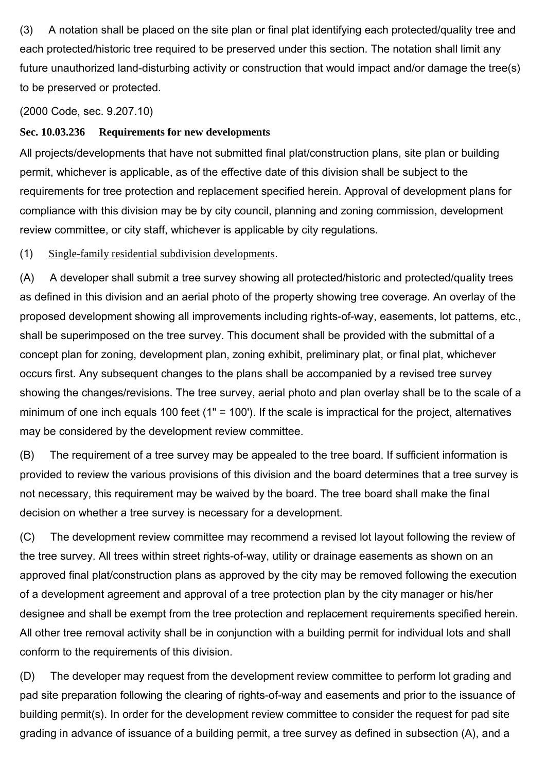(3) A notation shall be placed on the site plan or final plat identifying each protected/quality tree and each protected/historic tree required to be preserved under this section. The notation shall limit any future unauthorized land-disturbing activity or construction that would impact and/or damage the tree(s) to be preserved or protected.

(2000 Code, sec. 9.207.10)

## **Sec. 10.03.236 Requirements for new developments**

All projects/developments that have not submitted final plat/construction plans, site plan or building permit, whichever is applicable, as of the effective date of this division shall be subject to the requirements for tree protection and replacement specified herein. Approval of development plans for compliance with this division may be by city council, planning and zoning commission, development review committee, or city staff, whichever is applicable by city regulations.

(1) Single-family residential subdivision developments.

(A) A developer shall submit a tree survey showing all protected/historic and protected/quality trees as defined in this division and an aerial photo of the property showing tree coverage. An overlay of the proposed development showing all improvements including rights-of-way, easements, lot patterns, etc., shall be superimposed on the tree survey. This document shall be provided with the submittal of a concept plan for zoning, development plan, zoning exhibit, preliminary plat, or final plat, whichever occurs first. Any subsequent changes to the plans shall be accompanied by a revised tree survey showing the changes/revisions. The tree survey, aerial photo and plan overlay shall be to the scale of a minimum of one inch equals 100 feet (1" = 100'). If the scale is impractical for the project, alternatives may be considered by the development review committee.

(B) The requirement of a tree survey may be appealed to the tree board. If sufficient information is provided to review the various provisions of this division and the board determines that a tree survey is not necessary, this requirement may be waived by the board. The tree board shall make the final decision on whether a tree survey is necessary for a development.

(C) The development review committee may recommend a revised lot layout following the review of the tree survey. All trees within street rights-of-way, utility or drainage easements as shown on an approved final plat/construction plans as approved by the city may be removed following the execution of a development agreement and approval of a tree protection plan by the city manager or his/her designee and shall be exempt from the tree protection and replacement requirements specified herein. All other tree removal activity shall be in conjunction with a building permit for individual lots and shall conform to the requirements of this division.

(D) The developer may request from the development review committee to perform lot grading and pad site preparation following the clearing of rights-of-way and easements and prior to the issuance of building permit(s). In order for the development review committee to consider the request for pad site grading in advance of issuance of a building permit, a tree survey as defined in subsection (A), and a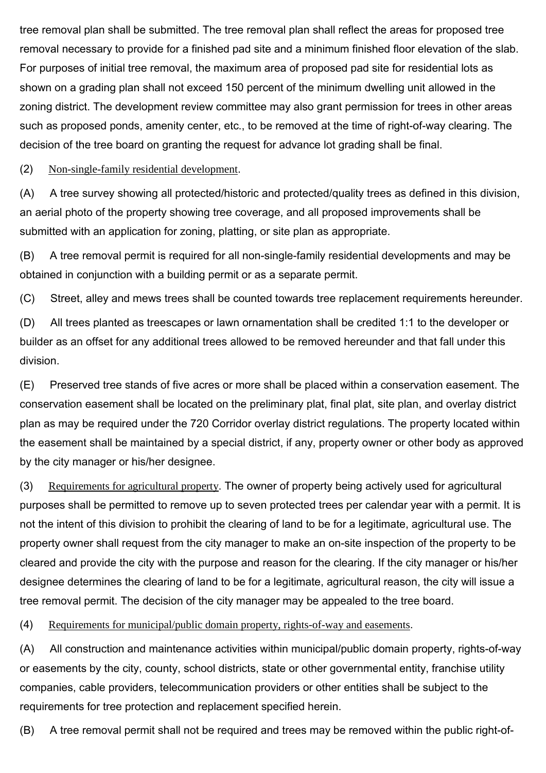tree removal plan shall be submitted. The tree removal plan shall reflect the areas for proposed tree removal necessary to provide for a finished pad site and a minimum finished floor elevation of the slab. For purposes of initial tree removal, the maximum area of proposed pad site for residential lots as shown on a grading plan shall not exceed 150 percent of the minimum dwelling unit allowed in the zoning district. The development review committee may also grant permission for trees in other areas such as proposed ponds, amenity center, etc., to be removed at the time of right-of-way clearing. The decision of the tree board on granting the request for advance lot grading shall be final.

#### (2) Non-single-family residential development.

(A) A tree survey showing all protected/historic and protected/quality trees as defined in this division, an aerial photo of the property showing tree coverage, and all proposed improvements shall be submitted with an application for zoning, platting, or site plan as appropriate.

(B) A tree removal permit is required for all non-single-family residential developments and may be obtained in conjunction with a building permit or as a separate permit.

(C) Street, alley and mews trees shall be counted towards tree replacement requirements hereunder.

(D) All trees planted as treescapes or lawn ornamentation shall be credited 1:1 to the developer or builder as an offset for any additional trees allowed to be removed hereunder and that fall under this division.

(E) Preserved tree stands of five acres or more shall be placed within a conservation easement. The conservation easement shall be located on the preliminary plat, final plat, site plan, and overlay district plan as may be required under the 720 Corridor overlay district regulations. The property located within the easement shall be maintained by a special district, if any, property owner or other body as approved by the city manager or his/her designee.

(3) Requirements for agricultural property. The owner of property being actively used for agricultural purposes shall be permitted to remove up to seven protected trees per calendar year with a permit. It is not the intent of this division to prohibit the clearing of land to be for a legitimate, agricultural use. The property owner shall request from the city manager to make an on-site inspection of the property to be cleared and provide the city with the purpose and reason for the clearing. If the city manager or his/her designee determines the clearing of land to be for a legitimate, agricultural reason, the city will issue a tree removal permit. The decision of the city manager may be appealed to the tree board.

(4) Requirements for municipal/public domain property, rights-of-way and easements.

(A) All construction and maintenance activities within municipal/public domain property, rights-of-way or easements by the city, county, school districts, state or other governmental entity, franchise utility companies, cable providers, telecommunication providers or other entities shall be subject to the requirements for tree protection and replacement specified herein.

(B) A tree removal permit shall not be required and trees may be removed within the public right-of-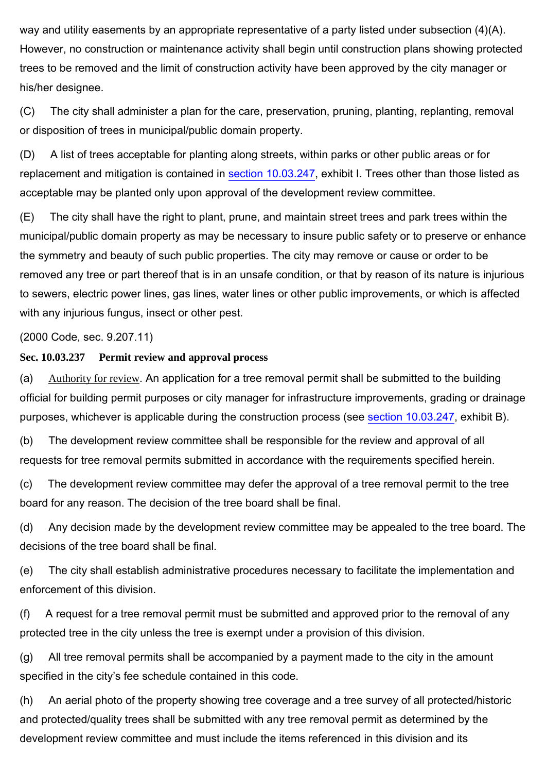way and utility easements by an appropriate representative of a party listed under subsection (4)(A). However, no construction or maintenance activity shall begin until construction plans showing protected trees to be removed and the limit of construction activity have been approved by the city manager or his/her designee.

(C) The city shall administer a plan for the care, preservation, pruning, planting, replanting, removal or disposition of trees in municipal/public domain property.

(D) A list of trees acceptable for planting along streets, within parks or other public areas or for replacement and mitigation is contained in section 10.03.247, exhibit I. Trees other than those listed as acceptable may be planted only upon approval of the development review committee.

(E) The city shall have the right to plant, prune, and maintain street trees and park trees within the municipal/public domain property as may be necessary to insure public safety or to preserve or enhance the symmetry and beauty of such public properties. The city may remove or cause or order to be removed any tree or part thereof that is in an unsafe condition, or that by reason of its nature is injurious to sewers, electric power lines, gas lines, water lines or other public improvements, or which is affected with any injurious fungus, insect or other pest.

(2000 Code, sec. 9.207.11)

#### **Sec. 10.03.237 Permit review and approval process**

(a) Authority for review. An application for a tree removal permit shall be submitted to the building official for building permit purposes or city manager for infrastructure improvements, grading or drainage purposes, whichever is applicable during the construction process (see section 10.03.247, exhibit B).

(b) The development review committee shall be responsible for the review and approval of all requests for tree removal permits submitted in accordance with the requirements specified herein.

(c) The development review committee may defer the approval of a tree removal permit to the tree board for any reason. The decision of the tree board shall be final.

(d) Any decision made by the development review committee may be appealed to the tree board. The decisions of the tree board shall be final.

(e) The city shall establish administrative procedures necessary to facilitate the implementation and enforcement of this division.

(f) A request for a tree removal permit must be submitted and approved prior to the removal of any protected tree in the city unless the tree is exempt under a provision of this division.

(g) All tree removal permits shall be accompanied by a payment made to the city in the amount specified in the city's fee schedule contained in this code.

(h) An aerial photo of the property showing tree coverage and a tree survey of all protected/historic and protected/quality trees shall be submitted with any tree removal permit as determined by the development review committee and must include the items referenced in this division and its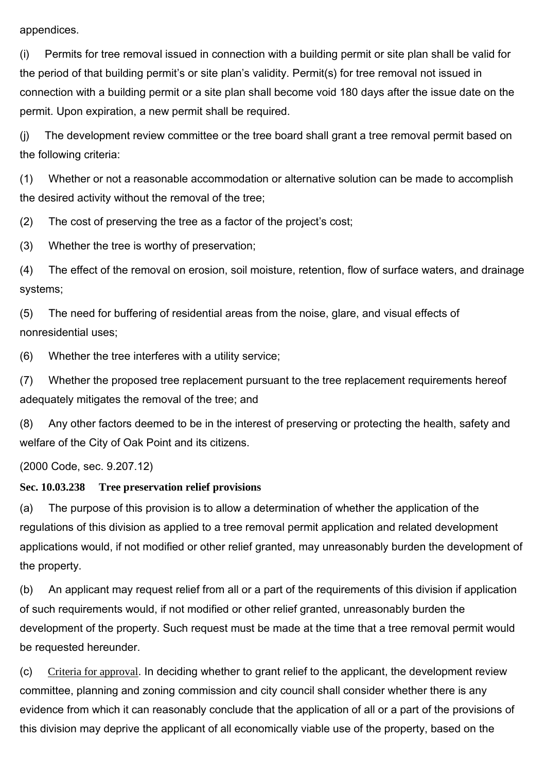appendices.

(i) Permits for tree removal issued in connection with a building permit or site plan shall be valid for the period of that building permit's or site plan's validity. Permit(s) for tree removal not issued in connection with a building permit or a site plan shall become void 180 days after the issue date on the permit. Upon expiration, a new permit shall be required.

(j) The development review committee or the tree board shall grant a tree removal permit based on the following criteria:

(1) Whether or not a reasonable accommodation or alternative solution can be made to accomplish the desired activity without the removal of the tree;

(2) The cost of preserving the tree as a factor of the project's cost;

(3) Whether the tree is worthy of preservation;

(4) The effect of the removal on erosion, soil moisture, retention, flow of surface waters, and drainage systems;

(5) The need for buffering of residential areas from the noise, glare, and visual effects of nonresidential uses;

(6) Whether the tree interferes with a utility service;

(7) Whether the proposed tree replacement pursuant to the tree replacement requirements hereof adequately mitigates the removal of the tree; and

(8) Any other factors deemed to be in the interest of preserving or protecting the health, safety and welfare of the City of Oak Point and its citizens.

(2000 Code, sec. 9.207.12)

#### **Sec. 10.03.238 Tree preservation relief provisions**

(a) The purpose of this provision is to allow a determination of whether the application of the regulations of this division as applied to a tree removal permit application and related development applications would, if not modified or other relief granted, may unreasonably burden the development of the property.

(b) An applicant may request relief from all or a part of the requirements of this division if application of such requirements would, if not modified or other relief granted, unreasonably burden the development of the property. Such request must be made at the time that a tree removal permit would be requested hereunder.

(c) Criteria for approval. In deciding whether to grant relief to the applicant, the development review committee, planning and zoning commission and city council shall consider whether there is any evidence from which it can reasonably conclude that the application of all or a part of the provisions of this division may deprive the applicant of all economically viable use of the property, based on the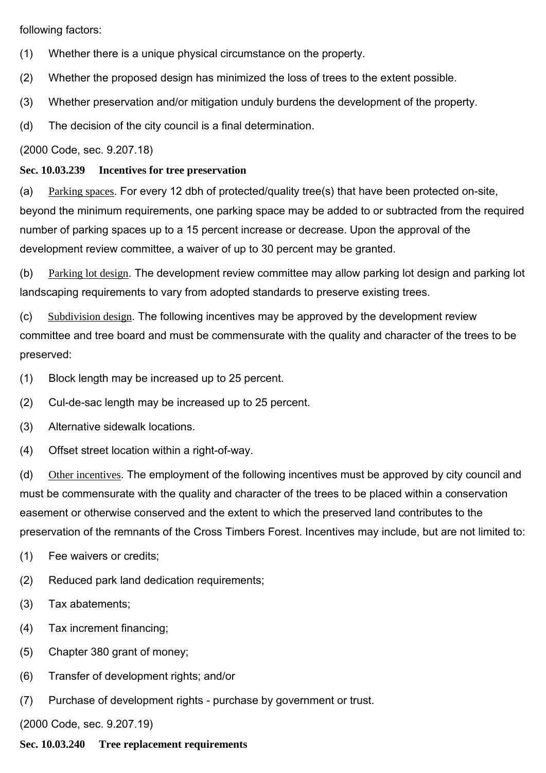following factors:

- (1) Whether there is a unique physical circumstance on the property.
- (2) Whether the proposed design has minimized the loss of trees to the extent possible.
- (3) Whether preservation and/or mitigation unduly burdens the development of the property.
- (d) The decision of the city council is a final determination.

(2000 Code, sec. 9.207.18)

### **Sec. 10.03.239 Incentives for tree preservation**

(a) Parking spaces. For every 12 dbh of protected/quality tree(s) that have been protected on-site, beyond the minimum requirements, one parking space may be added to or subtracted from the required number of parking spaces up to a 15 percent increase or decrease. Upon the approval of the development review committee, a waiver of up to 30 percent may be granted.

(b) Parking lot design. The development review committee may allow parking lot design and parking lot landscaping requirements to vary from adopted standards to preserve existing trees.

(c) Subdivision design. The following incentives may be approved by the development review committee and tree board and must be commensurate with the quality and character of the trees to be preserved:

(1) Block length may be increased up to 25 percent.

(2) Cul-de-sac length may be increased up to 25 percent.

- (3) Alternative sidewalk locations.
- (4) Offset street location within a right-of-way.

(d) Other incentives. The employment of the following incentives must be approved by city council and must be commensurate with the quality and character of the trees to be placed within a conservation easement or otherwise conserved and the extent to which the preserved land contributes to the preservation of the remnants of the Cross Timbers Forest. Incentives may include, but are not limited to:

- (1) Fee waivers or credits;
- (2) Reduced park land dedication requirements;
- (3) Tax abatements;
- (4) Tax increment financing;
- (5) Chapter 380 grant of money;
- (6) Transfer of development rights; and/or
- (7) Purchase of development rights purchase by government or trust.

(2000 Code, sec. 9.207.19)

**Sec. 10.03.240 Tree replacement requirements**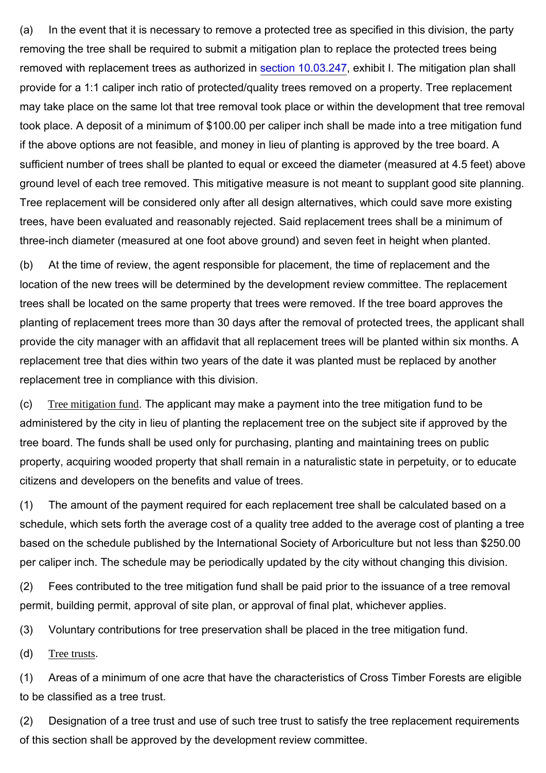(a) In the event that it is necessary to remove a protected tree as specified in this division, the party removing the tree shall be required to submit a mitigation plan to replace the protected trees being removed with replacement trees as authorized in section 10.03.247, exhibit I. The mitigation plan shall provide for a 1:1 caliper inch ratio of protected/quality trees removed on a property. Tree replacement may take place on the same lot that tree removal took place or within the development that tree removal took place. A deposit of a minimum of \$100.00 per caliper inch shall be made into a tree mitigation fund if the above options are not feasible, and money in lieu of planting is approved by the tree board. A sufficient number of trees shall be planted to equal or exceed the diameter (measured at 4.5 feet) above ground level of each tree removed. This mitigative measure is not meant to supplant good site planning. Tree replacement will be considered only after all design alternatives, which could save more existing trees, have been evaluated and reasonably rejected. Said replacement trees shall be a minimum of three-inch diameter (measured at one foot above ground) and seven feet in height when planted.

(b) At the time of review, the agent responsible for placement, the time of replacement and the location of the new trees will be determined by the development review committee. The replacement trees shall be located on the same property that trees were removed. If the tree board approves the planting of replacement trees more than 30 days after the removal of protected trees, the applicant shall provide the city manager with an affidavit that all replacement trees will be planted within six months. A replacement tree that dies within two years of the date it was planted must be replaced by another replacement tree in compliance with this division.

(c) Tree mitigation fund. The applicant may make a payment into the tree mitigation fund to be administered by the city in lieu of planting the replacement tree on the subject site if approved by the tree board. The funds shall be used only for purchasing, planting and maintaining trees on public property, acquiring wooded property that shall remain in a naturalistic state in perpetuity, or to educate citizens and developers on the benefits and value of trees.

(1) The amount of the payment required for each replacement tree shall be calculated based on a schedule, which sets forth the average cost of a quality tree added to the average cost of planting a tree based on the schedule published by the International Society of Arboriculture but not less than \$250.00 per caliper inch. The schedule may be periodically updated by the city without changing this division.

(2) Fees contributed to the tree mitigation fund shall be paid prior to the issuance of a tree removal permit, building permit, approval of site plan, or approval of final plat, whichever applies.

(3) Voluntary contributions for tree preservation shall be placed in the tree mitigation fund.

(d) Tree trusts.

(1) Areas of a minimum of one acre that have the characteristics of Cross Timber Forests are eligible to be classified as a tree trust.

(2) Designation of a tree trust and use of such tree trust to satisfy the tree replacement requirements of this section shall be approved by the development review committee.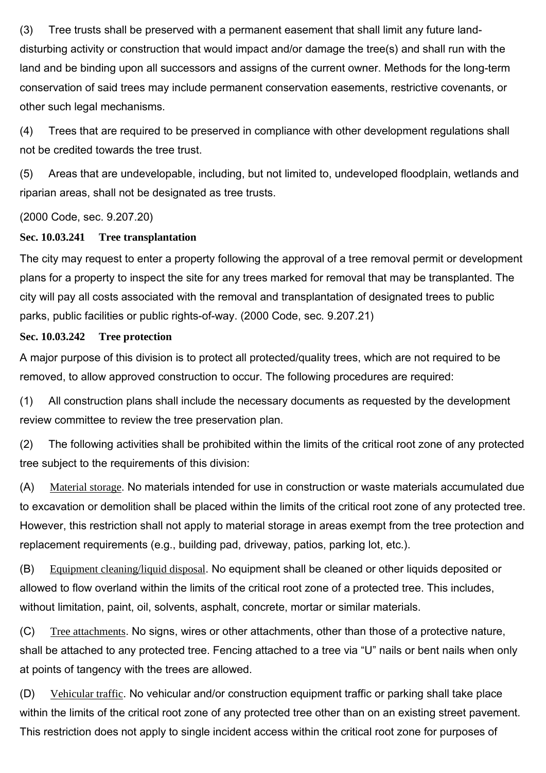(3) Tree trusts shall be preserved with a permanent easement that shall limit any future landdisturbing activity or construction that would impact and/or damage the tree(s) and shall run with the land and be binding upon all successors and assigns of the current owner. Methods for the long-term conservation of said trees may include permanent conservation easements, restrictive covenants, or other such legal mechanisms.

(4) Trees that are required to be preserved in compliance with other development regulations shall not be credited towards the tree trust.

(5) Areas that are undevelopable, including, but not limited to, undeveloped floodplain, wetlands and riparian areas, shall not be designated as tree trusts.

(2000 Code, sec. 9.207.20)

## **Sec. 10.03.241 Tree transplantation**

The city may request to enter a property following the approval of a tree removal permit or development plans for a property to inspect the site for any trees marked for removal that may be transplanted. The city will pay all costs associated with the removal and transplantation of designated trees to public parks, public facilities or public rights-of-way. (2000 Code, sec. 9.207.21)

## **Sec. 10.03.242 Tree protection**

A major purpose of this division is to protect all protected/quality trees, which are not required to be removed, to allow approved construction to occur. The following procedures are required:

(1) All construction plans shall include the necessary documents as requested by the development review committee to review the tree preservation plan.

(2) The following activities shall be prohibited within the limits of the critical root zone of any protected tree subject to the requirements of this division:

(A) Material storage. No materials intended for use in construction or waste materials accumulated due to excavation or demolition shall be placed within the limits of the critical root zone of any protected tree. However, this restriction shall not apply to material storage in areas exempt from the tree protection and replacement requirements (e.g., building pad, driveway, patios, parking lot, etc.).

(B) Equipment cleaning/liquid disposal. No equipment shall be cleaned or other liquids deposited or allowed to flow overland within the limits of the critical root zone of a protected tree. This includes, without limitation, paint, oil, solvents, asphalt, concrete, mortar or similar materials.

(C) Tree attachments. No signs, wires or other attachments, other than those of a protective nature, shall be attached to any protected tree. Fencing attached to a tree via "U" nails or bent nails when only at points of tangency with the trees are allowed.

(D) Vehicular traffic. No vehicular and/or construction equipment traffic or parking shall take place within the limits of the critical root zone of any protected tree other than on an existing street pavement. This restriction does not apply to single incident access within the critical root zone for purposes of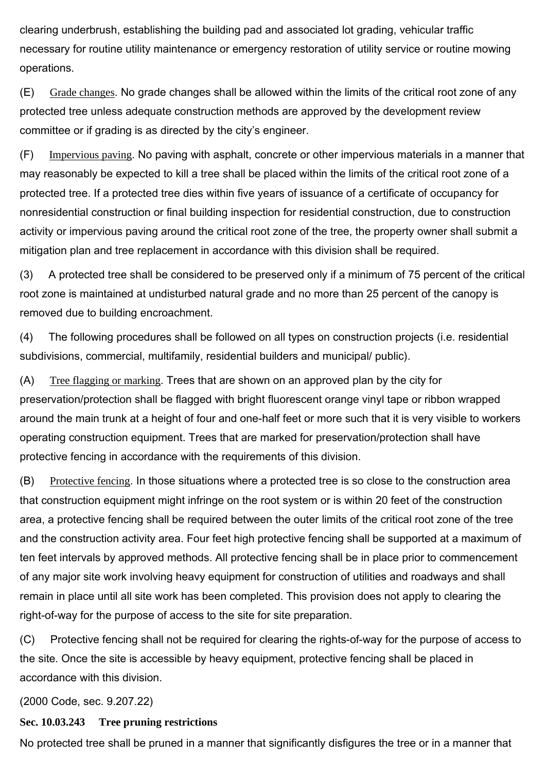clearing underbrush, establishing the building pad and associated lot grading, vehicular traffic necessary for routine utility maintenance or emergency restoration of utility service or routine mowing operations.

(E) Grade changes. No grade changes shall be allowed within the limits of the critical root zone of any protected tree unless adequate construction methods are approved by the development review committee or if grading is as directed by the city's engineer.

(F) Impervious paving. No paving with asphalt, concrete or other impervious materials in a manner that may reasonably be expected to kill a tree shall be placed within the limits of the critical root zone of a protected tree. If a protected tree dies within five years of issuance of a certificate of occupancy for nonresidential construction or final building inspection for residential construction, due to construction activity or impervious paving around the critical root zone of the tree, the property owner shall submit a mitigation plan and tree replacement in accordance with this division shall be required.

(3) A protected tree shall be considered to be preserved only if a minimum of 75 percent of the critical root zone is maintained at undisturbed natural grade and no more than 25 percent of the canopy is removed due to building encroachment.

(4) The following procedures shall be followed on all types on construction projects (i.e. residential subdivisions, commercial, multifamily, residential builders and municipal/ public).

(A) Tree flagging or marking. Trees that are shown on an approved plan by the city for preservation/protection shall be flagged with bright fluorescent orange vinyl tape or ribbon wrapped around the main trunk at a height of four and one-half feet or more such that it is very visible to workers operating construction equipment. Trees that are marked for preservation/protection shall have protective fencing in accordance with the requirements of this division.

(B) Protective fencing. In those situations where a protected tree is so close to the construction area that construction equipment might infringe on the root system or is within 20 feet of the construction area, a protective fencing shall be required between the outer limits of the critical root zone of the tree and the construction activity area. Four feet high protective fencing shall be supported at a maximum of ten feet intervals by approved methods. All protective fencing shall be in place prior to commencement of any major site work involving heavy equipment for construction of utilities and roadways and shall remain in place until all site work has been completed. This provision does not apply to clearing the right-of-way for the purpose of access to the site for site preparation.

(C) Protective fencing shall not be required for clearing the rights-of-way for the purpose of access to the site. Once the site is accessible by heavy equipment, protective fencing shall be placed in accordance with this division.

(2000 Code, sec. 9.207.22)

#### **Sec. 10.03.243 Tree pruning restrictions**

No protected tree shall be pruned in a manner that significantly disfigures the tree or in a manner that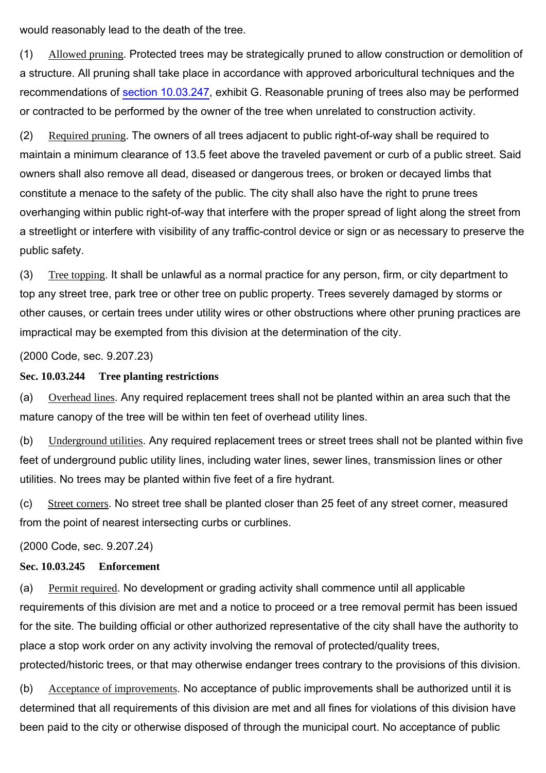would reasonably lead to the death of the tree.

(1) Allowed pruning. Protected trees may be strategically pruned to allow construction or demolition of a structure. All pruning shall take place in accordance with approved arboricultural techniques and the recommendations of section 10.03.247, exhibit G. Reasonable pruning of trees also may be performed or contracted to be performed by the owner of the tree when unrelated to construction activity.

(2) Required pruning. The owners of all trees adjacent to public right-of-way shall be required to maintain a minimum clearance of 13.5 feet above the traveled pavement or curb of a public street. Said owners shall also remove all dead, diseased or dangerous trees, or broken or decayed limbs that constitute a menace to the safety of the public. The city shall also have the right to prune trees overhanging within public right-of-way that interfere with the proper spread of light along the street from a streetlight or interfere with visibility of any traffic-control device or sign or as necessary to preserve the public safety.

(3) Tree topping. It shall be unlawful as a normal practice for any person, firm, or city department to top any street tree, park tree or other tree on public property. Trees severely damaged by storms or other causes, or certain trees under utility wires or other obstructions where other pruning practices are impractical may be exempted from this division at the determination of the city.

(2000 Code, sec. 9.207.23)

#### **Sec. 10.03.244 Tree planting restrictions**

(a) Overhead lines. Any required replacement trees shall not be planted within an area such that the mature canopy of the tree will be within ten feet of overhead utility lines.

(b) Underground utilities. Any required replacement trees or street trees shall not be planted within five feet of underground public utility lines, including water lines, sewer lines, transmission lines or other utilities. No trees may be planted within five feet of a fire hydrant.

(c) Street corners. No street tree shall be planted closer than 25 feet of any street corner, measured from the point of nearest intersecting curbs or curblines.

(2000 Code, sec. 9.207.24)

#### **Sec. 10.03.245 Enforcement**

(a) Permit required. No development or grading activity shall commence until all applicable requirements of this division are met and a notice to proceed or a tree removal permit has been issued for the site. The building official or other authorized representative of the city shall have the authority to place a stop work order on any activity involving the removal of protected/quality trees, protected/historic trees, or that may otherwise endanger trees contrary to the provisions of this division.

(b) Acceptance of improvements. No acceptance of public improvements shall be authorized until it is determined that all requirements of this division are met and all fines for violations of this division have been paid to the city or otherwise disposed of through the municipal court. No acceptance of public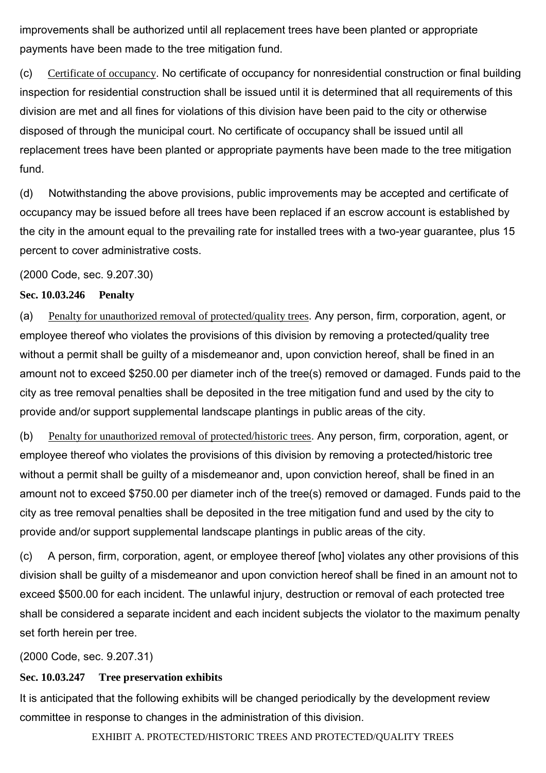improvements shall be authorized until all replacement trees have been planted or appropriate payments have been made to the tree mitigation fund.

(c) Certificate of occupancy. No certificate of occupancy for nonresidential construction or final building inspection for residential construction shall be issued until it is determined that all requirements of this division are met and all fines for violations of this division have been paid to the city or otherwise disposed of through the municipal court. No certificate of occupancy shall be issued until all replacement trees have been planted or appropriate payments have been made to the tree mitigation fund.

(d) Notwithstanding the above provisions, public improvements may be accepted and certificate of occupancy may be issued before all trees have been replaced if an escrow account is established by the city in the amount equal to the prevailing rate for installed trees with a two-year guarantee, plus 15 percent to cover administrative costs.

(2000 Code, sec. 9.207.30)

#### **Sec. 10.03.246 Penalty**

(a) Penalty for unauthorized removal of protected/quality trees. Any person, firm, corporation, agent, or employee thereof who violates the provisions of this division by removing a protected/quality tree without a permit shall be guilty of a misdemeanor and, upon conviction hereof, shall be fined in an amount not to exceed \$250.00 per diameter inch of the tree(s) removed or damaged. Funds paid to the city as tree removal penalties shall be deposited in the tree mitigation fund and used by the city to provide and/or support supplemental landscape plantings in public areas of the city.

(b) Penalty for unauthorized removal of protected/historic trees. Any person, firm, corporation, agent, or employee thereof who violates the provisions of this division by removing a protected/historic tree without a permit shall be guilty of a misdemeanor and, upon conviction hereof, shall be fined in an amount not to exceed \$750.00 per diameter inch of the tree(s) removed or damaged. Funds paid to the city as tree removal penalties shall be deposited in the tree mitigation fund and used by the city to provide and/or support supplemental landscape plantings in public areas of the city.

(c) A person, firm, corporation, agent, or employee thereof [who] violates any other provisions of this division shall be guilty of a misdemeanor and upon conviction hereof shall be fined in an amount not to exceed \$500.00 for each incident. The unlawful injury, destruction or removal of each protected tree shall be considered a separate incident and each incident subjects the violator to the maximum penalty set forth herein per tree.

(2000 Code, sec. 9.207.31)

#### **Sec. 10.03.247 Tree preservation exhibits**

It is anticipated that the following exhibits will be changed periodically by the development review committee in response to changes in the administration of this division.

EXHIBIT A. PROTECTED/HISTORIC TREES AND PROTECTED/QUALITY TREES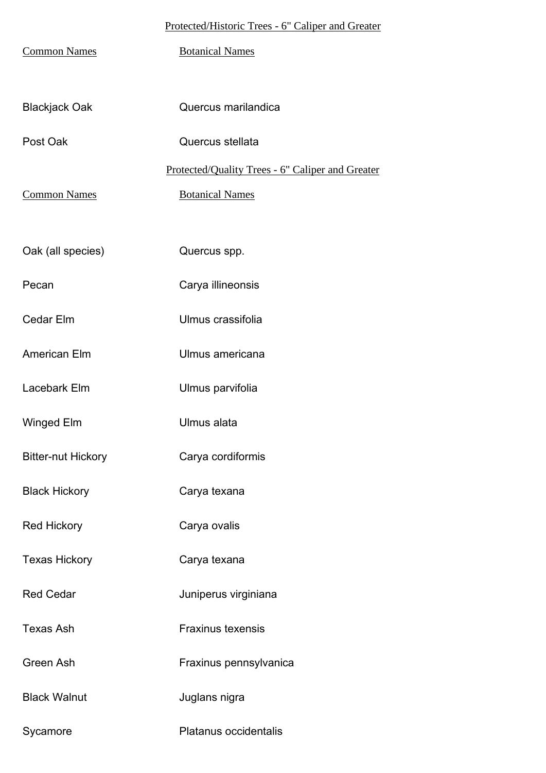## Protected/Historic Trees - 6" Caliper and Greater

| <b>Common Names</b>       | <b>Botanical Names</b>                           |
|---------------------------|--------------------------------------------------|
| <b>Blackjack Oak</b>      | Quercus marilandica                              |
| Post Oak                  | Quercus stellata                                 |
|                           | Protected/Quality Trees - 6" Caliper and Greater |
| <b>Common Names</b>       | <b>Botanical Names</b>                           |
|                           |                                                  |
| Oak (all species)         | Quercus spp.                                     |
| Pecan                     | Carya illineonsis                                |
| Cedar Elm                 | Ulmus crassifolia                                |
| American Elm              | Ulmus americana                                  |
| Lacebark Elm              | Ulmus parvifolia                                 |
| Winged Elm                | Ulmus alata                                      |
| <b>Bitter-nut Hickory</b> | Carya cordiformis                                |
| <b>Black Hickory</b>      | Carya texana                                     |
| <b>Red Hickory</b>        | Carya ovalis                                     |
| <b>Texas Hickory</b>      | Carya texana                                     |
| <b>Red Cedar</b>          | Juniperus virginiana                             |
| <b>Texas Ash</b>          | <b>Fraxinus texensis</b>                         |
| Green Ash                 | Fraxinus pennsylvanica                           |
| <b>Black Walnut</b>       | Juglans nigra                                    |
| Sycamore                  | Platanus occidentalis                            |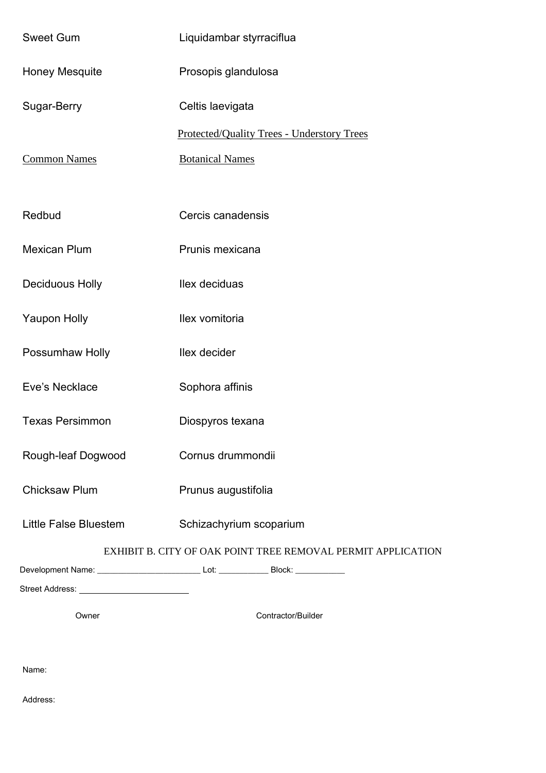| <b>Sweet Gum</b>                                             | Liquidambar styrraciflua                                                                            |  |  |
|--------------------------------------------------------------|-----------------------------------------------------------------------------------------------------|--|--|
| <b>Honey Mesquite</b>                                        | Prosopis glandulosa                                                                                 |  |  |
| Sugar-Berry                                                  | Celtis laevigata                                                                                    |  |  |
|                                                              | <b>Protected/Quality Trees - Understory Trees</b>                                                   |  |  |
| <b>Common Names</b>                                          | <b>Botanical Names</b>                                                                              |  |  |
|                                                              |                                                                                                     |  |  |
| Redbud                                                       | Cercis canadensis                                                                                   |  |  |
| <b>Mexican Plum</b>                                          | Prunis mexicana                                                                                     |  |  |
| <b>Deciduous Holly</b>                                       | Ilex deciduas                                                                                       |  |  |
| <b>Yaupon Holly</b>                                          | Ilex vomitoria                                                                                      |  |  |
| Possumhaw Holly                                              | llex decider                                                                                        |  |  |
| Eve's Necklace                                               | Sophora affinis                                                                                     |  |  |
| <b>Texas Persimmon</b>                                       | Diospyros texana                                                                                    |  |  |
| Rough-leaf Dogwood                                           | Cornus drummondii                                                                                   |  |  |
| <b>Chicksaw Plum</b>                                         | Prunus augustifolia                                                                                 |  |  |
| <b>Little False Bluestem</b>                                 | Schizachyrium scoparium                                                                             |  |  |
| EXHIBIT B. CITY OF OAK POINT TREE REMOVAL PERMIT APPLICATION |                                                                                                     |  |  |
|                                                              | Development Name: _________________________________Lot: ____________________Block: ________________ |  |  |
|                                                              |                                                                                                     |  |  |
| Owner                                                        | Contractor/Builder                                                                                  |  |  |

Name:

Address: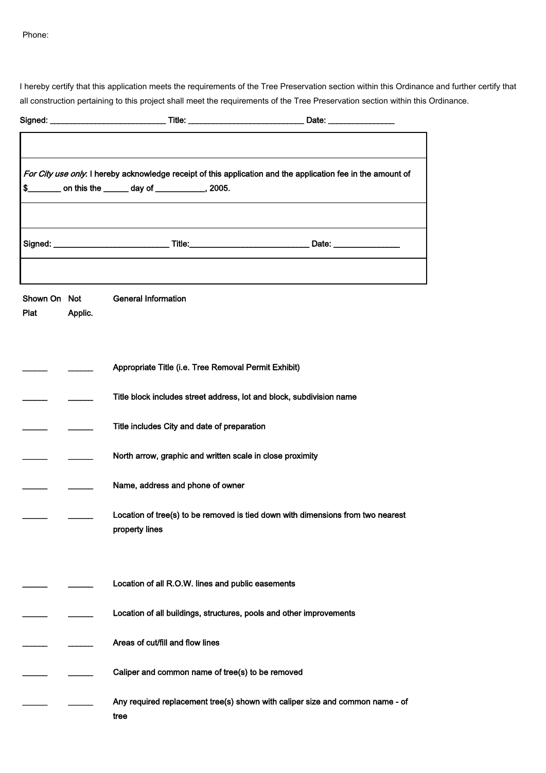Phone:

I hereby certify that this application meets the requirements of the Tree Preservation section within this Ordinance and further certify that all construction pertaining to this project shall meet the requirements of the Tree Preservation section within this Ordinance.

|                      |         | Signed: _________________________________Title: __________________________________Date: ______________________                                                       |
|----------------------|---------|----------------------------------------------------------------------------------------------------------------------------------------------------------------------|
|                      |         |                                                                                                                                                                      |
| S.                   |         | For City use only. I hereby acknowledge receipt of this application and the application fee in the amount of<br>_______ on this the ______ day of ___________, 2005. |
|                      |         |                                                                                                                                                                      |
|                      |         |                                                                                                                                                                      |
| Shown On Not<br>Plat | Applic. | <b>General Information</b>                                                                                                                                           |
|                      |         | Appropriate Title (i.e. Tree Removal Permit Exhibit)                                                                                                                 |
|                      |         | Title block includes street address, lot and block, subdivision name                                                                                                 |
|                      |         | Title includes City and date of preparation                                                                                                                          |
|                      |         | North arrow, graphic and written scale in close proximity                                                                                                            |
|                      |         | Name, address and phone of owner                                                                                                                                     |
|                      |         | Location of tree(s) to be removed is tied down with dimensions from two nearest<br>property lines                                                                    |
|                      |         | Location of all R.O.W. lines and public easements                                                                                                                    |
|                      |         | Location of all buildings, structures, pools and other improvements                                                                                                  |
|                      |         | Areas of cut/fill and flow lines                                                                                                                                     |
|                      |         | Caliper and common name of tree(s) to be removed                                                                                                                     |
|                      |         | Any required replacement tree(s) shown with caliper size and common name - of<br>tree                                                                                |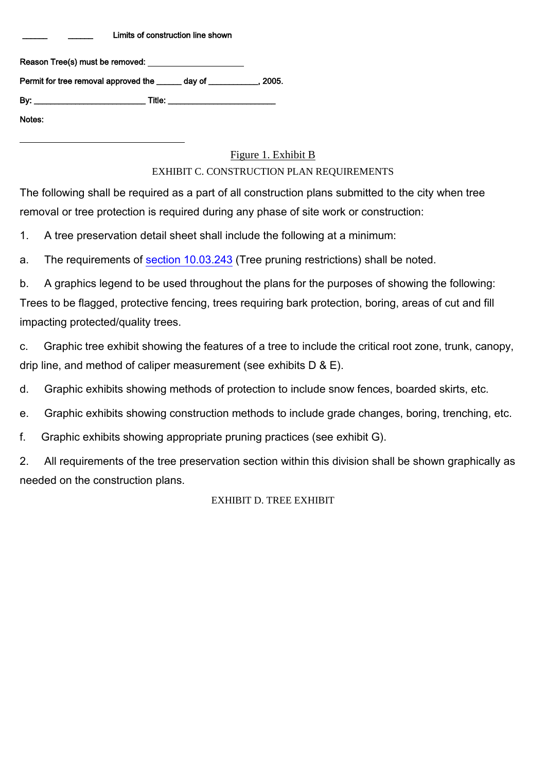Limits of construction line shown

| Permit for tree removal approved the day of the state 3005. |  |
|-------------------------------------------------------------|--|
|                                                             |  |
| Notes:                                                      |  |

l

#### Figure 1. Exhibit B

#### EXHIBIT C. CONSTRUCTION PLAN REQUIREMENTS

The following shall be required as a part of all construction plans submitted to the city when tree removal or tree protection is required during any phase of site work or construction:

1. A tree preservation detail sheet shall include the following at a minimum:

a. The requirements of section 10.03.243 (Tree pruning restrictions) shall be noted.

b. A graphics legend to be used throughout the plans for the purposes of showing the following: Trees to be flagged, protective fencing, trees requiring bark protection, boring, areas of cut and fill impacting protected/quality trees.

c. Graphic tree exhibit showing the features of a tree to include the critical root zone, trunk, canopy, drip line, and method of caliper measurement (see exhibits D & E).

d. Graphic exhibits showing methods of protection to include snow fences, boarded skirts, etc.

e. Graphic exhibits showing construction methods to include grade changes, boring, trenching, etc.

f. Graphic exhibits showing appropriate pruning practices (see exhibit G).

2. All requirements of the tree preservation section within this division shall be shown graphically as needed on the construction plans.

#### EXHIBIT D. TREE EXHIBIT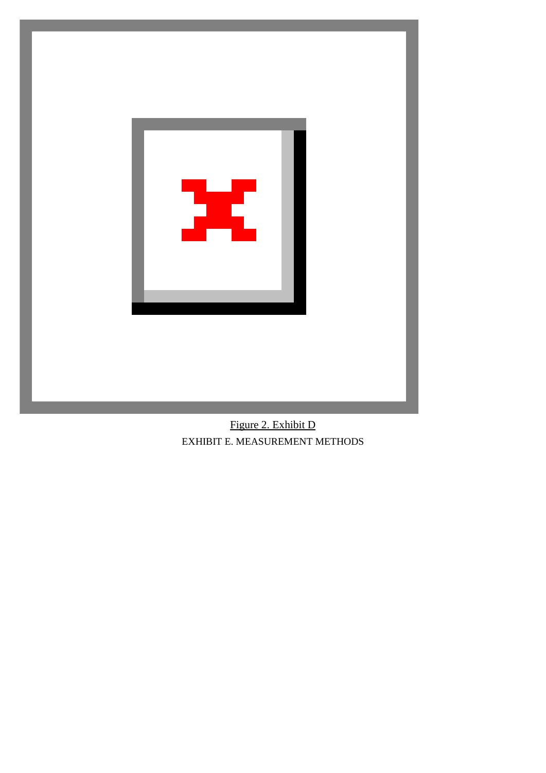

Figure 2. Exhibit D EXHIBIT E. MEASUREMENT METHODS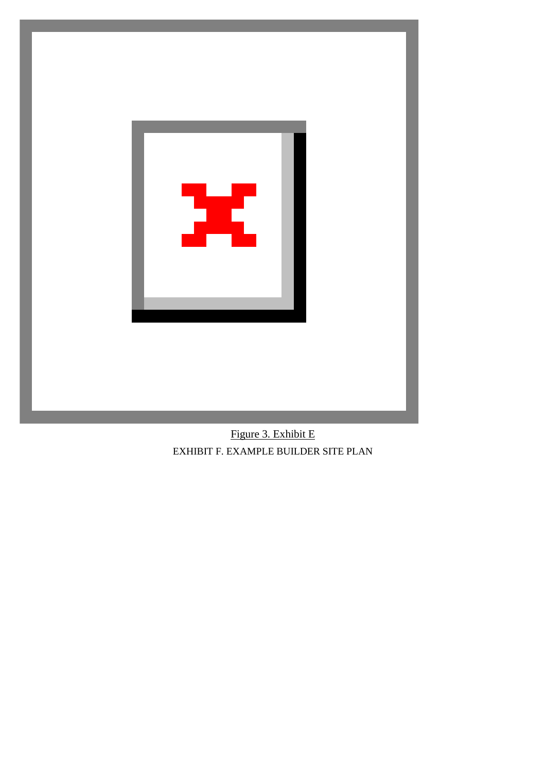

Figure 3. Exhibit E EXHIBIT F. EXAMPLE BUILDER SITE PLAN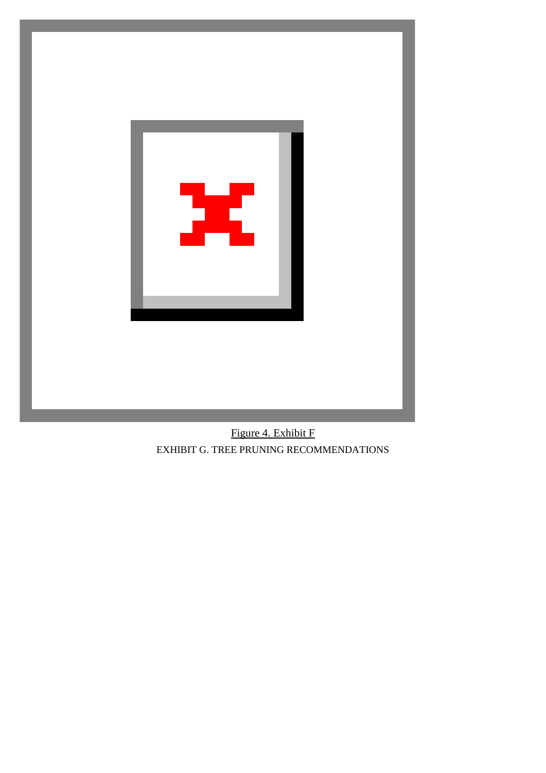

Figure 4. Exhibit F EXHIBIT G. TREE PRUNING RECOMMENDATIONS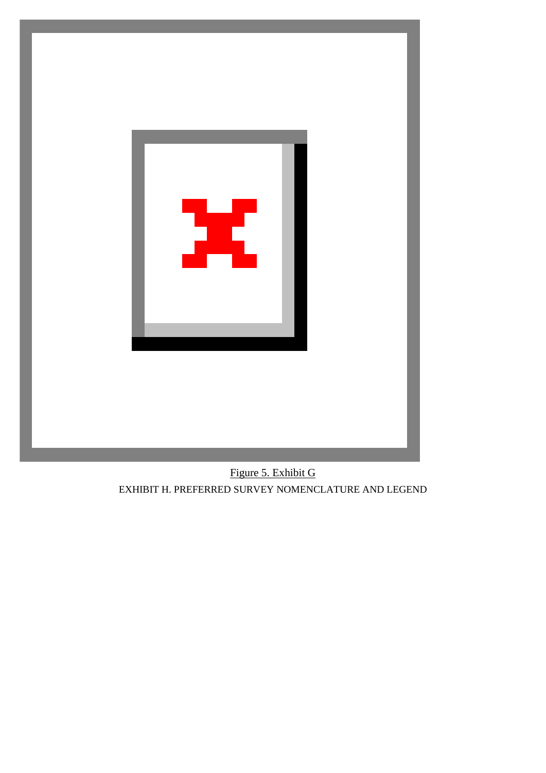

Figure 5. Exhibit G EXHIBIT H. PREFERRED SURVEY NOMENCLATURE AND LEGEND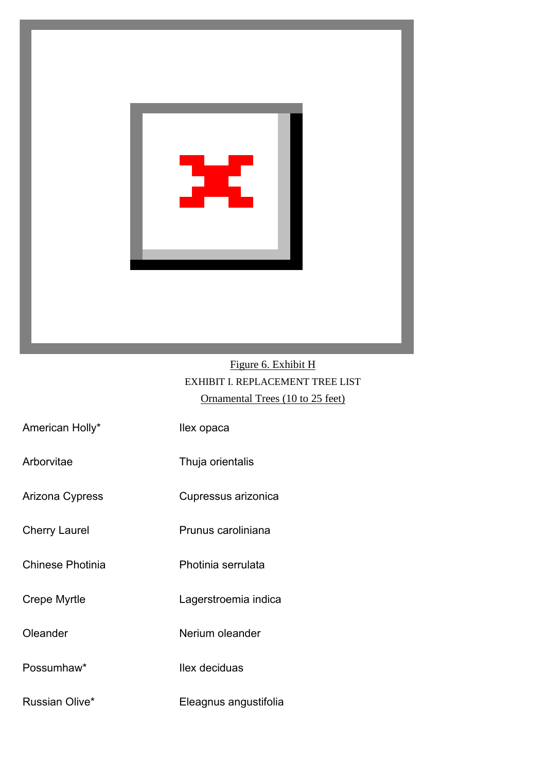

# Figure 6. Exhibit H EXHIBIT I. REPLACEMENT TREE LIST Ornamental Trees (10 to 25 feet)

| American Holly*      | llex opaca            |
|----------------------|-----------------------|
| Arborvitae           | Thuja orientalis      |
| Arizona Cypress      | Cupressus arizonica   |
| <b>Cherry Laurel</b> | Prunus caroliniana    |
| Chinese Photinia     | Photinia serrulata    |
| Crepe Myrtle         | Lagerstroemia indica  |
| Oleander             | Nerium oleander       |
| Possumhaw*           | llex deciduas         |
| Russian Olive*       | Eleagnus angustifolia |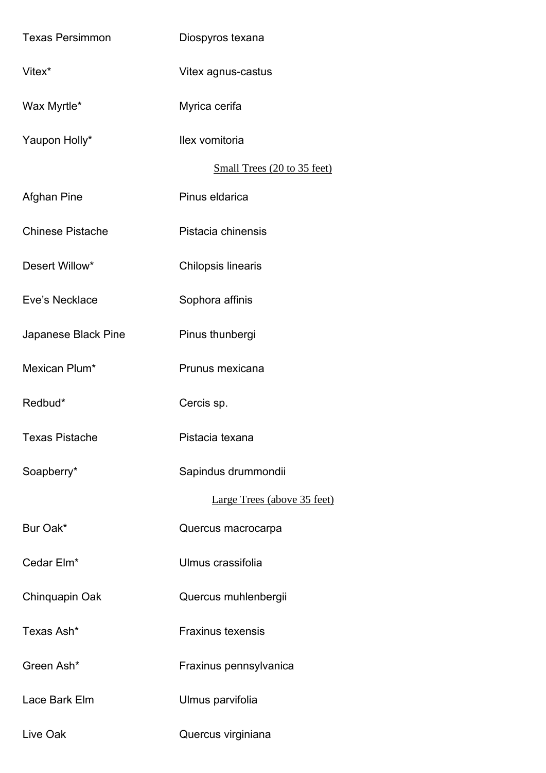| <b>Texas Persimmon</b>  | Diospyros texana            |
|-------------------------|-----------------------------|
| Vitex <sup>*</sup>      | Vitex agnus-castus          |
| Wax Myrtle*             | Myrica cerifa               |
| Yaupon Holly*           | Ilex vomitoria              |
|                         | Small Trees (20 to 35 feet) |
| Afghan Pine             | Pinus eldarica              |
| <b>Chinese Pistache</b> | Pistacia chinensis          |
| Desert Willow*          | Chilopsis linearis          |
| Eve's Necklace          | Sophora affinis             |
| Japanese Black Pine     | Pinus thunbergi             |
| Mexican Plum*           | Prunus mexicana             |
| Redbud*                 | Cercis sp.                  |
| Texas Pistache          | Pistacia texana             |
| Soapberry*              | Sapindus drummondii         |
|                         | Large Trees (above 35 feet) |
| Bur Oak*                | Quercus macrocarpa          |
| Cedar Elm*              | Ulmus crassifolia           |
| Chinquapin Oak          | Quercus muhlenbergii        |
| Texas Ash*              | <b>Fraxinus texensis</b>    |
| Green Ash*              |                             |
|                         | Fraxinus pennsylvanica      |
| Lace Bark Elm           | Ulmus parvifolia            |